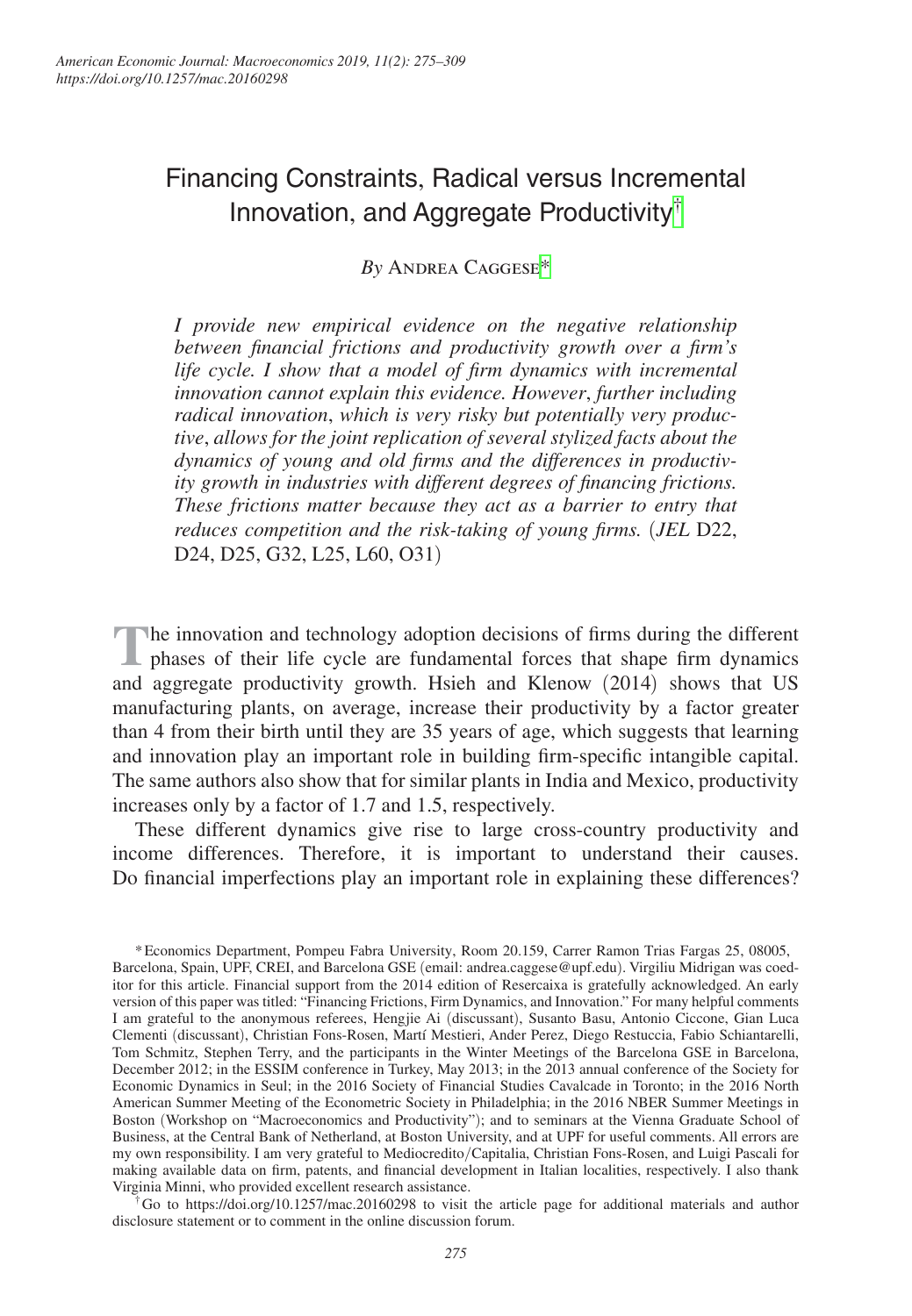# Financing Constraints, Radical versus Incremental Innovation, and Aggregate Productivity[†](#page-0-0)

*By* Andrea Cagges[e\\*](#page-0-1)

*I provide new empirical evidence on the negative relationship between financial frictions and productivity growth over a firm's life cycle. I show that a model of firm dynamics with incremental innovation cannot explain this evidence. However*, *further including radical innovation*, *which is very risky but potentially very productive*, *allows for the joint replication of several stylized facts about the dynamics of young and old firms and the differences in productivity growth in industries with different degrees of financing frictions. These frictions matter because they act as a barrier to entry that reduces competition and the risk-taking of young firms.* (*JEL* D22, D24, D25, G32, L25, L60, O31)

The innovation and technology adoption decisions of firms during the different phases of their life cycle are fundamental forces that shape firm dynamics and aggregate productivity growth. Hsieh and Klenow (2014) shows that US manufacturing plants, on average, increase their productivity by a factor greater than 4 from their birth until they are 35 years of age, which suggests that learning and innovation play an important role in building firm-specific intangible capital. The same authors also show that for similar plants in India and Mexico, productivity increases only by a factor of 1.7 and 1.5, respectively.

These different dynamics give rise to large cross-country productivity and income differences. Therefore, it is important to understand their causes. Do financial imperfections play an important role in explaining these differences?

<span id="page-0-1"></span>\* Economics Department, Pompeu Fabra University, Room 20.159, Carrer Ramon Trias Fargas 25, 08005, Barcelona, Spain, UPF, CREI, and Barcelona GSE (email: [andrea.caggese@upf.edu](mailto:andrea.caggese@upf.edu)). Virgiliu Midrigan was coeditor for this article. Financial support from the 2014 edition of Resercaixa is gratefully acknowledged. An early version of this paper was titled: "Financing Frictions, Firm Dynamics, and Innovation." For many helpful comments I am grateful to the anonymous referees, Hengjie Ai (discussant), Susanto Basu, Antonio Ciccone, Gian Luca Clementi (discussant), Christian Fons-Rosen, Martí Mestieri, Ander Perez, Diego Restuccia, Fabio Schiantarelli, Tom Schmitz, Stephen Terry, and the participants in the Winter Meetings of the Barcelona GSE in Barcelona, December 2012; in the ESSIM conference in Turkey, May 2013; in the 2013 annual conference of the Society for Economic Dynamics in Seul; in the 2016 Society of Financial Studies Cavalcade in Toronto; in the 2016 North American Summer Meeting of the Econometric Society in Philadelphia; in the 2016 NBER Summer Meetings in Boston (Workshop on "Macroeconomics and Productivity"); and to seminars at the Vienna Graduate School of Business, at the Central Bank of Netherland, at Boston University, and at UPF for useful comments. All errors are my own responsibility. I am very grateful to Mediocredito/Capitalia, Christian Fons-Rosen, and Luigi Pascali for making available data on firm, patents, and financial development in Italian localities, respectively. I also thank Virginia Minni, who provided excellent research assistance.

<span id="page-0-0"></span>†Go to <https://doi.org/10.1257/mac.20160298>to visit the article page for additional materials and author disclosure statement or to comment in the online discussion forum.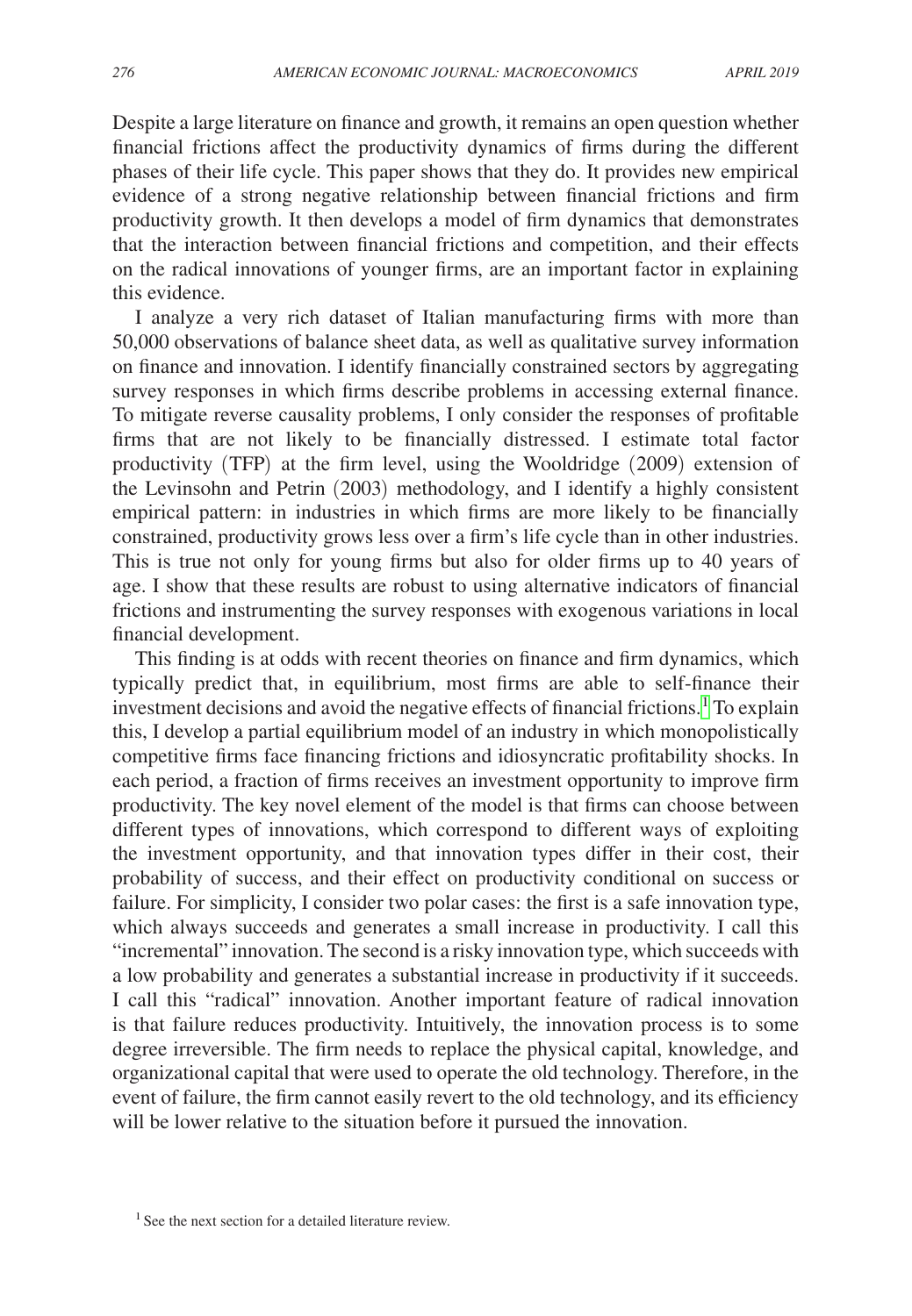Despite a large literature on finance and growth, it remains an open question whether financial frictions affect the productivity dynamics of firms during the different phases of their life cycle. This paper shows that they do. It provides new empirical evidence of a strong negative relationship between financial frictions and firm productivity growth. It then develops a model of firm dynamics that demonstrates that the interaction between financial frictions and competition, and their effects on the radical innovations of younger firms, are an important factor in explaining this evidence.

I analyze a very rich dataset of Italian manufacturing firms with more than 50,000 observations of balance sheet data, as well as qualitative survey information on finance and innovation. I identify financially constrained sectors by aggregating survey responses in which firms describe problems in accessing external finance. To mitigate reverse causality problems, I only consider the responses of profitable firms that are not likely to be financially distressed. I estimate total factor productivity (TFP) at the firm level, using the Wooldridge (2009) extension of the Levinsohn and Petrin (2003) methodology, and I identify a highly consistent empirical pattern: in industries in which firms are more likely to be financially constrained, productivity grows less over a firm's life cycle than in other industries. This is true not only for young firms but also for older firms up to 40 years of age. I show that these results are robust to using alternative indicators of financial frictions and instrumenting the survey responses with exogenous variations in local financial development.

This finding is at odds with recent theories on finance and firm dynamics, which typically predict that, in equilibrium, most firms are able to self-finance their investment decisions and avoid the negative effects of financial frictions.<sup>[1](#page-1-0)</sup> To explain this, I develop a partial equilibrium model of an industry in which monopolistically competitive firms face financing frictions and idiosyncratic profitability shocks. In each period, a fraction of firms receives an investment opportunity to improve firm productivity. The key novel element of the model is that firms can choose between different types of innovations, which correspond to different ways of exploiting the investment opportunity, and that innovation types differ in their cost, their probability of success, and their effect on productivity conditional on success or failure. For simplicity, I consider two polar cases: the first is a safe innovation type, which always succeeds and generates a small increase in productivity. I call this "incremental" innovation. The second is a risky innovation type, which succeeds with a low probability and generates a substantial increase in productivity if it succeeds. I call this "radical" innovation. Another important feature of radical innovation is that failure reduces productivity. Intuitively, the innovation process is to some degree irreversible. The firm needs to replace the physical capital, knowledge, and organizational capital that were used to operate the old technology. Therefore, in the event of failure, the firm cannot easily revert to the old technology, and its efficiency will be lower relative to the situation before it pursued the innovation.

<span id="page-1-0"></span> $<sup>1</sup>$  See the next section for a detailed literature review.</sup>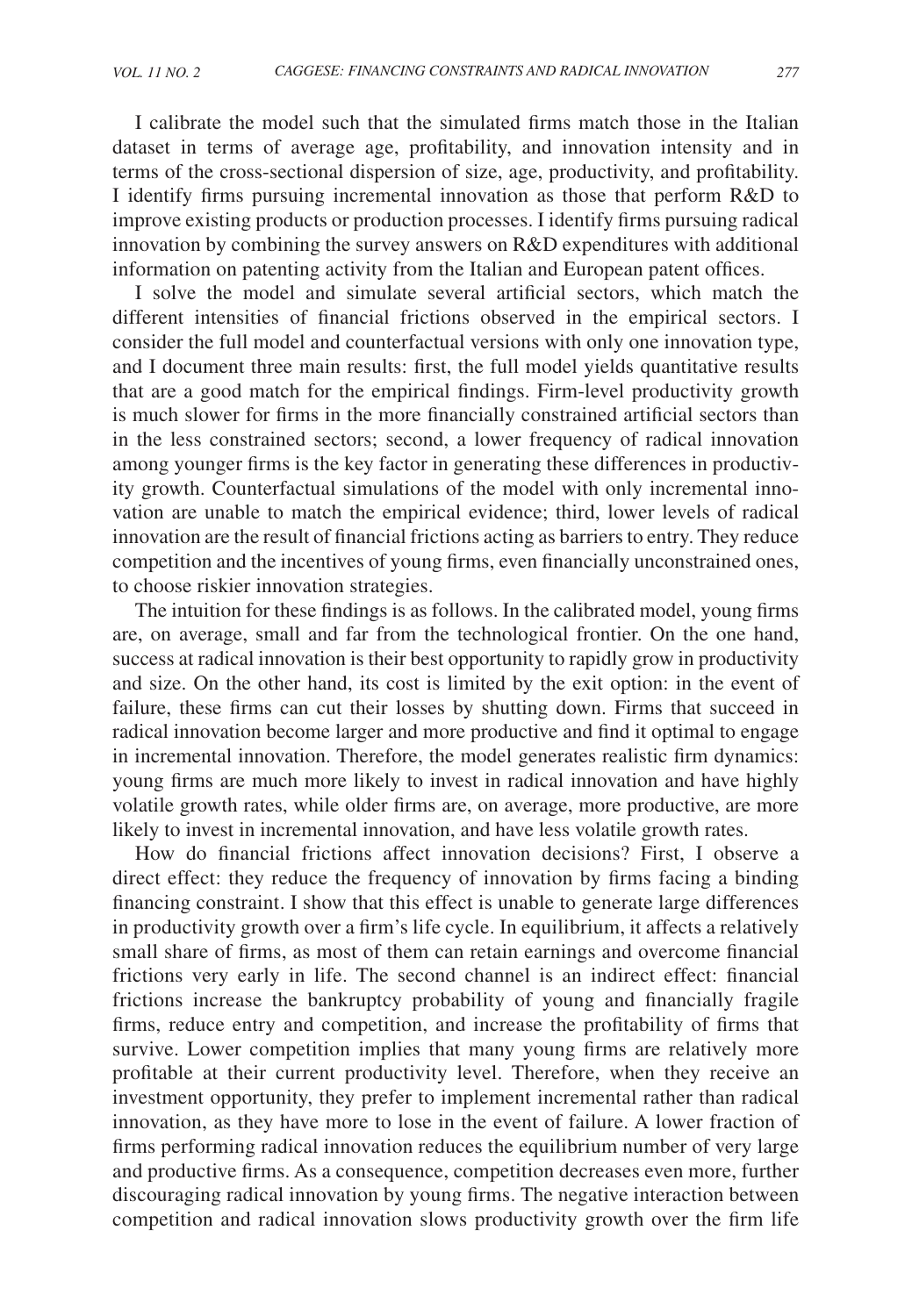I calibrate the model such that the simulated firms match those in the Italian dataset in terms of average age, profitability, and innovation intensity and in terms of the cross-sectional dispersion of size, age, productivity, and profitability. I identify firms pursuing incremental innovation as those that perform R&D to improve existing products or production processes. I identify firms pursuing radical innovation by combining the survey answers on R&D expenditures with additional information on patenting activity from the Italian and European patent offices.

I solve the model and simulate several artificial sectors, which match the different intensities of financial frictions observed in the empirical sectors. I consider the full model and counterfactual versions with only one innovation type, and I document three main results: first, the full model yields quantitative results that are a good match for the empirical findings. Firm-level productivity growth is much slower for firms in the more financially constrained artificial sectors than in the less constrained sectors; second, a lower frequency of radical innovation among younger firms is the key factor in generating these differences in productivity growth. Counterfactual simulations of the model with only incremental innovation are unable to match the empirical evidence; third, lower levels of radical innovation are the result of financial frictions acting as barriers to entry. They reduce competition and the incentives of young firms, even financially unconstrained ones, to choose riskier innovation strategies.

The intuition for these findings is as follows. In the calibrated model, young firms are, on average, small and far from the technological frontier. On the one hand, success at radical innovation is their best opportunity to rapidly grow in productivity and size. On the other hand, its cost is limited by the exit option: in the event of failure, these firms can cut their losses by shutting down. Firms that succeed in radical innovation become larger and more productive and find it optimal to engage in incremental innovation. Therefore, the model generates realistic firm dynamics: young firms are much more likely to invest in radical innovation and have highly volatile growth rates, while older firms are, on average, more productive, are more likely to invest in incremental innovation, and have less volatile growth rates.

How do financial frictions affect innovation decisions? First, I observe a direct effect: they reduce the frequency of innovation by firms facing a binding financing constraint. I show that this effect is unable to generate large differences in productivity growth over a firm's life cycle. In equilibrium, it affects a relatively small share of firms, as most of them can retain earnings and overcome financial frictions very early in life. The second channel is an indirect effect: financial frictions increase the bankruptcy probability of young and financially fragile firms, reduce entry and competition, and increase the profitability of firms that survive. Lower competition implies that many young firms are relatively more profitable at their current productivity level. Therefore, when they receive an investment opportunity, they prefer to implement incremental rather than radical innovation, as they have more to lose in the event of failure. A lower fraction of firms performing radical innovation reduces the equilibrium number of very large and productive firms. As a consequence, competition decreases even more, further discouraging radical innovation by young firms. The negative interaction between competition and radical innovation slows productivity growth over the firm life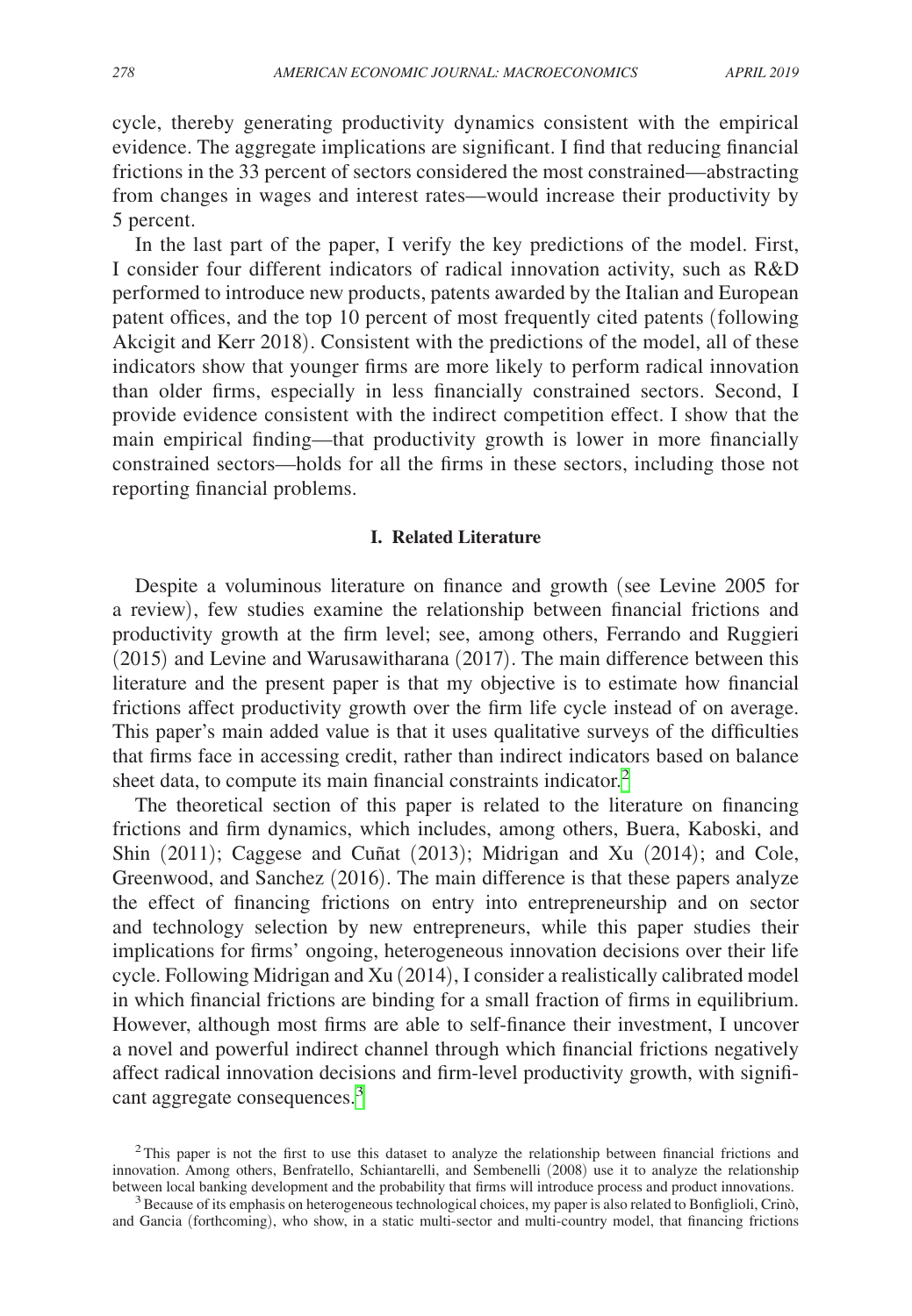cycle, thereby generating productivity dynamics consistent with the empirical evidence. The aggregate implications are significant. I find that reducing financial frictions in the 33 percent of sectors considered the most constrained—abstracting from changes in wages and interest rates—would increase their productivity by 5 percent.

In the last part of the paper, I verify the key predictions of the model. First, I consider four different indicators of radical innovation activity, such as R&D performed to introduce new products, patents awarded by the Italian and European patent offices, and the top 10 percent of most frequently cited patents (following Akcigit and Kerr 2018). Consistent with the predictions of the model, all of these indicators show that younger firms are more likely to perform radical innovation than older firms, especially in less financially constrained sectors. Second, I provide evidence consistent with the indirect competition effect. I show that the main empirical finding—that productivity growth is lower in more financially constrained sectors—holds for all the firms in these sectors, including those not reporting financial problems.

# **I. Related Literature**

Despite a voluminous literature on finance and growth (see Levine 2005 for a review), few studies examine the relationship between financial frictions and productivity growth at the firm level; see, among others, Ferrando and Ruggieri (2015) and Levine and Warusawitharana (2017). The main difference between this literature and the present paper is that my objective is to estimate how financial frictions affect productivity growth over the firm life cycle instead of on average. This paper's main added value is that it uses qualitative surveys of the difficulties that firms face in accessing credit, rather than indirect indicators based on balance sheet data, to compute its main financial constraints indicator.<sup>2</sup>

The theoretical section of this paper is related to the literature on financing frictions and firm dynamics, which includes, among others, Buera, Kaboski, and Shin (2011); Caggese and Cuñat (2013); Midrigan and Xu (2014); and Cole, Greenwood, and Sanchez (2016). The main difference is that these papers analyze the effect of financing frictions on entry into entrepreneurship and on sector and technology selection by new entrepreneurs, while this paper studies their implications for firms' ongoing, heterogeneous innovation decisions over their life cycle. Following Midrigan and Xu (2014), I consider a realistically calibrated model in which financial frictions are binding for a small fraction of firms in equilibrium. However, although most firms are able to self-finance their investment, I uncover a novel and powerful indirect channel through which financial frictions negatively affect radical innovation decisions and firm-level productivity growth, with signifi-cant aggregate consequences.<sup>[3](#page-3-1)</sup>

<span id="page-3-0"></span><sup>&</sup>lt;sup>2</sup>This paper is not the first to use this dataset to analyze the relationship between financial frictions and innovation. Among others, Benfratello, Schiantarelli, and Sembenelli (2008) use it to analyze the relationship<br>between local banking development and the probability that firms will introduce process and product innovations

<span id="page-3-1"></span><sup>&</sup>lt;sup>3</sup> Because of its emphasis on heterogeneous technological choices, my paper is also related to Bonfiglioli, Crinò, and Gancia (forthcoming), who show, in a static multi-sector and multi-country model, that financing frictions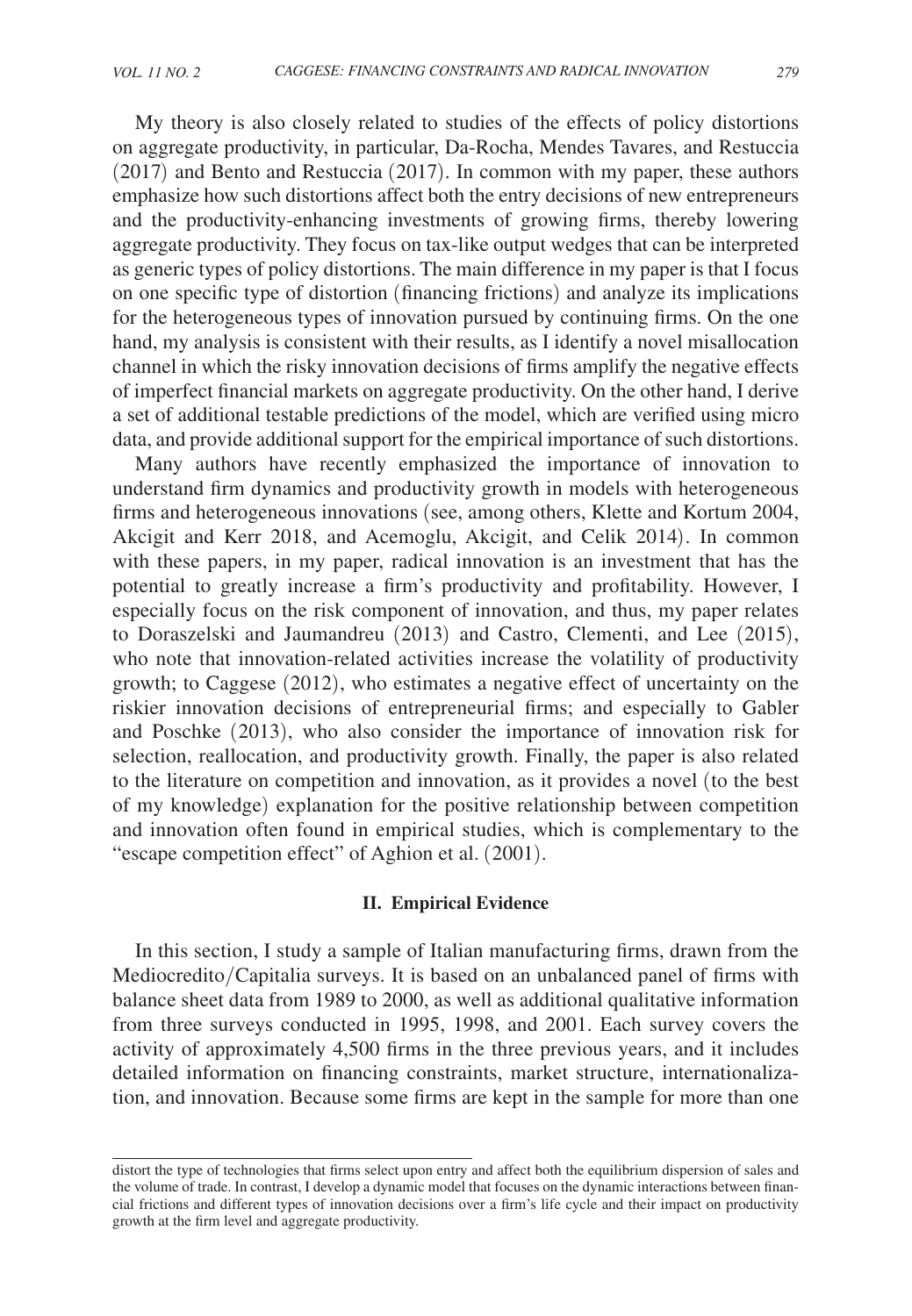My theory is also closely related to studies of the effects of policy distortions on aggregate productivity, in particular, Da-Rocha, Mendes Tavares, and Restuccia (2017) and Bento and Restuccia (2017). In common with my paper, these authors emphasize how such distortions affect both the entry decisions of new entrepreneurs and the productivity-enhancing investments of growing firms, thereby lowering aggregate productivity. They focus on tax-like output wedges that can be interpreted as generic types of policy distortions. The main difference in my paper is that I focus on one specific type of distortion (financing frictions) and analyze its implications for the heterogeneous types of innovation pursued by continuing firms. On the one hand, my analysis is consistent with their results, as I identify a novel misallocation channel in which the risky innovation decisions of firms amplify the negative effects of imperfect financial markets on aggregate productivity. On the other hand, I derive a set of additional testable predictions of the model, which are verified using micro data, and provide additional support for the empirical importance of such distortions.

Many authors have recently emphasized the importance of innovation to understand firm dynamics and productivity growth in models with heterogeneous firms and heterogeneous innovations (see, among others, Klette and Kortum 2004, Akcigit and Kerr 2018, and Acemoglu, Akcigit, and Celik 2014). In common with these papers, in my paper, radical innovation is an investment that has the potential to greatly increase a firm's productivity and profitability. However, I especially focus on the risk component of innovation, and thus, my paper relates to Doraszelski and Jaumandreu (2013) and Castro, Clementi, and Lee (2015), who note that innovation-related activities increase the volatility of productivity growth; to Caggese (2012), who estimates a negative effect of uncertainty on the riskier innovation decisions of entrepreneurial firms; and especially to Gabler and Poschke (2013), who also consider the importance of innovation risk for selection, reallocation, and productivity growth. Finally, the paper is also related to the literature on competition and innovation, as it provides a novel (to the best of my knowledge) explanation for the positive relationship between competition and innovation often found in empirical studies, which is complementary to the "escape competition effect" of Aghion et al. (2001).

#### **II. Empirical Evidence**

In this section, I study a sample of Italian manufacturing firms, drawn from the Mediocredito/Capitalia surveys. It is based on an unbalanced panel of firms with balance sheet data from 1989 to 2000, as well as additional qualitative information from three surveys conducted in 1995, 1998, and 2001. Each survey covers the activity of approximately 4,500 firms in the three previous years, and it includes detailed information on financing constraints, market structure, internationalization, and innovation. Because some firms are kept in the sample for more than one

distort the type of technologies that firms select upon entry and affect both the equilibrium dispersion of sales and the volume of trade. In contrast, I develop a dynamic model that focuses on the dynamic interactions between financial frictions and different types of innovation decisions over a firm's life cycle and their impact on productivity growth at the firm level and aggregate productivity.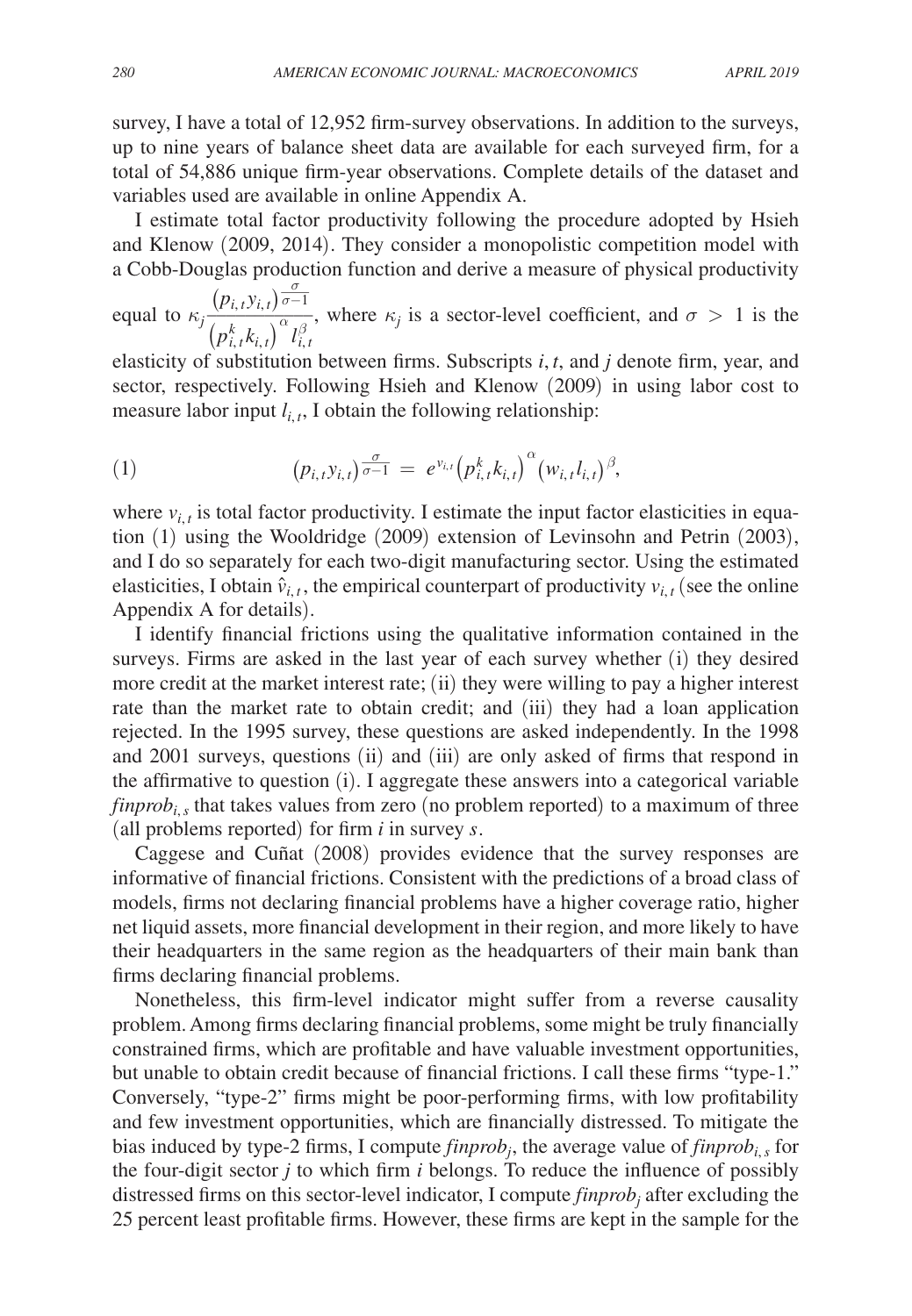survey, I have a total of 12,952 firm-survey observations. In addition to the surveys, up to nine years of balance sheet data are available for each surveyed firm, for a total of 54,886 unique firm-year observations. Complete details of the dataset and variables used are available in online Appendix A.

I estimate total factor productivity following the procedure adopted by Hsieh and Klenow (2009, 2014). They consider a monopolistic competition model with a Cobb-Douglas production function and derive a measure of physical productivity a Cobb-Douglas production function and derive a measure of physical productivity a Cobb-Douglas product<br>
equal to  $\kappa_j \frac{(p_{i,t}y_{i,t})^{\frac{\sigma}{\sigma-1}}}{(p_{i,t} + p_{i,t})^{\frac{\sigma}{\alpha-\beta}}}$ 

 $\frac{(p_i, i, j, k_i)}{(p_{i,t}^k k_{i,t})^{\alpha} l_{i,t}^{\beta}}$ , where  $\kappa_j$  is a sector-level coefficient, and  $\sigma > 1$  is the

elasticity of substitution between firms. Subscripts *i*, *t*, and *j* denote firm, year, and sector, respectively. Following Hsieh and Klenow (2009) in using labor cost to measure labor input  $l_{i,t}$ , I obtain the following relationship:

(1) 
$$
(p_{i,t}y_{i,t})^{\frac{\sigma}{\sigma-1}} = e^{v_{i,t}} (p_{i,t}^k k_{i,t})^{\alpha} (w_{i,t}l_{i,t})^{\beta},
$$

where  $v_{i,t}$  is total factor productivity. I estimate the input factor elasticities in equation (1) using the Wooldridge (2009) extension of Levinsohn and Petrin (2003), and I do so separately for each two-digit manufacturing sector. Using the estimated elasticities, I obtain  $\hat{v}_{i,t}$ , the empirical counterpart of productivity  $v_{i,t}$  (see the online Appendix A for details).

I identify financial frictions using the qualitative information contained in the surveys. Firms are asked in the last year of each survey whether (i) they desired more credit at the market interest rate; (ii) they were willing to pay a higher interest rate than the market rate to obtain credit; and (iii) they had a loan application rejected. In the 1995 survey, these questions are asked independently. In the 1998 and 2001 surveys, questions (ii) and (iii) are only asked of firms that respond in the affirmative to question (i). I aggregate these answers into a categorical variable *finprob*<sub>i, s</sub> that takes values from zero (no problem reported) to a maximum of three (all problems reported) for firm *i* in survey *s*.

Caggese and Cuñat (2008) provides evidence that the survey responses are informative of financial frictions. Consistent with the predictions of a broad class of models, firms not declaring financial problems have a higher coverage ratio, higher net liquid assets, more financial development in their region, and more likely to have their headquarters in the same region as the headquarters of their main bank than firms declaring financial problems.

Nonetheless, this firm-level indicator might suffer from a reverse causality problem. Among firms declaring financial problems, some might be truly financially constrained firms, which are profitable and have valuable investment opportunities, but unable to obtain credit because of financial frictions. I call these firms "type-1." Conversely, "type-2" firms might be poor-performing firms, with low profitability and few investment opportunities, which are financially distressed. To mitigate the bias induced by type-2 firms, I compute  $finprob_i$ , the average value of  $finprob_i$ <sub>s</sub> for the four-digit sector  $j$  to which firm  $i$  belongs. To reduce the influence of possibly distressed firms on this sector-level indicator, I compute *finprobj* after excluding the 25 percent least profitable firms. However, these firms are kept in the sample for the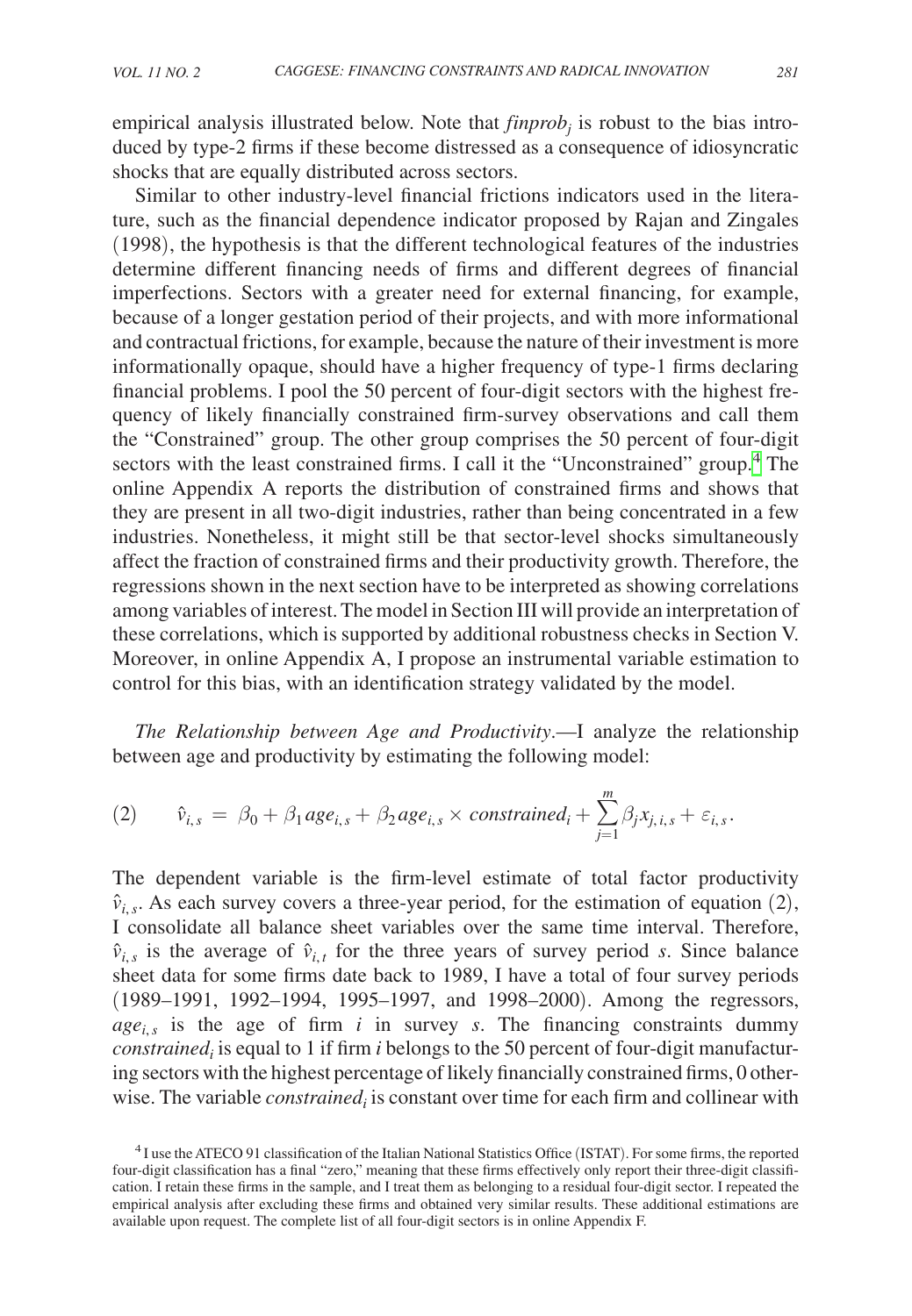empirical analysis illustrated below. Note that *finprob<sub>j</sub>* is robust to the bias introduced by type-2 firms if these become distressed as a consequence of idiosyncratic shocks that are equally distributed across sectors.

Similar to other industry-level financial frictions indicators used in the literature, such as the financial dependence indicator proposed by Rajan and Zingales (1998), the hypothesis is that the different technological features of the industries determine different financing needs of firms and different degrees of financial imperfections. Sectors with a greater need for external financing, for example, because of a longer gestation period of their projects, and with more informational and contractual frictions, for example, because the nature of their investment is more informationally opaque, should have a higher frequency of type-1 firms declaring financial problems. I pool the 50 percent of four-digit sectors with the highest frequency of likely financially constrained firm-survey observations and call them the "Constrained" group. The other group comprises the 50 percent of four-digit sectors with the least constrained firms. I call it the "Unconstrained" group.<sup>[4](#page-6-0)</sup> The online Appendix A reports the distribution of constrained firms and shows that they are present in all two-digit industries, rather than being concentrated in a few industries. Nonetheless, it might still be that sector-level shocks simultaneously affect the fraction of constrained firms and their productivity growth. Therefore, the regressions shown in the next section have to be interpreted as showing correlations among variables of interest. The model in Section III will provide an interpretation of these correlations, which is supported by additional robustness checks in Section V. Moreover, in online Appendix A, I propose an instrumental variable estimation to control for this bias, with an identification strategy validated by the model.

*The Relationship between Age and Productivity*.—I analyze the relationship between age and productivity by estimating the following model:

(2) 
$$
\hat{v}_{i,s} = \beta_0 + \beta_1 age_{i,s} + \beta_2 age_{i,s} \times constrained_i + \sum_{j=1}^m \beta_j x_{j,i,s} + \varepsilon_{i,s}.
$$

The dependent variable is the firm-level estimate of total factor productivity  $\hat{v}_{i,s}$ . As each survey covers a three-year period, for the estimation of equation (2), I consolidate all balance sheet variables over the same time interval. Therefore,  $\hat{v}_{i,s}$  is the average of  $\hat{v}_{i,t}$  for the three years of survey period *s*. Since balance sheet data for some firms date back to 1989, I have a total of four survey periods (1989–1991, 1992–1994, 1995–1997, and 1998–2000). Among the regressors,  $age_i$ , is the age of firm *i* in survey *s*. The financing constraints dummy  $\emph{constrained}_i$  is equal to 1 if firm  $i$  belongs to the 50 percent of four-digit manufacturing sectors with the highest percentage of likely financially constrained firms, 0 otherwise. The variable *constrained*<sub>*i*</sub> is constant over time for each firm and collinear with

<span id="page-6-0"></span><sup>4</sup> I use the ATECO 91 classification of the Italian National Statistics Office (ISTAT). For some firms, the reported four-digit classification has a final "zero," meaning that these firms effectively only report their three-digit classification. I retain these firms in the sample, and I treat them as belonging to a residual four-digit sector. I repeated the empirical analysis after excluding these firms and obtained very similar results. These additional estimations are available upon request. The complete list of all four-digit sectors is in online Appendix F.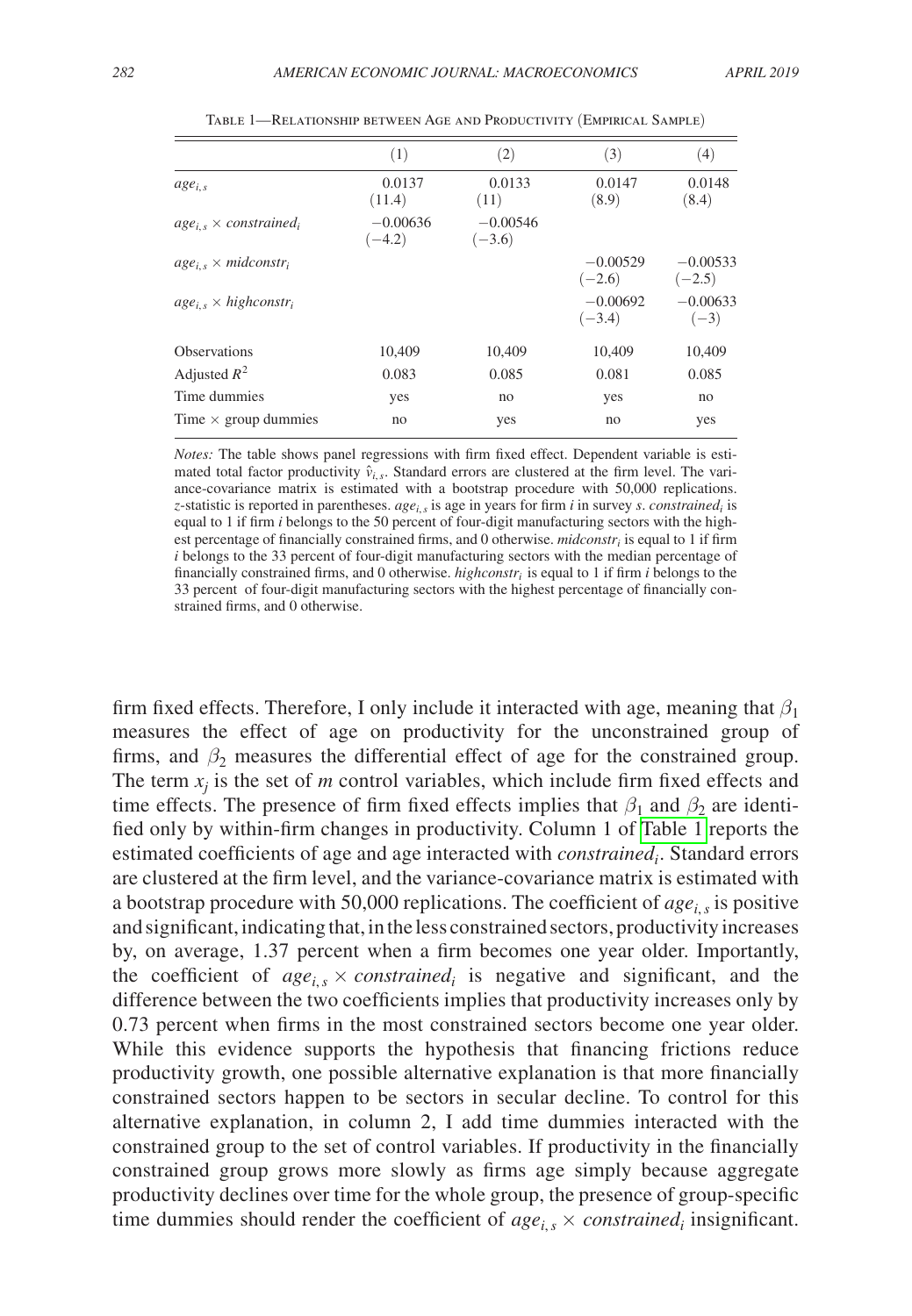|                                  | (1)                    | (2)                    | (3)                    | (4)                    |
|----------------------------------|------------------------|------------------------|------------------------|------------------------|
| $age_{i,s}$                      | 0.0137<br>(11.4)       | 0.0133<br>(11)         | 0.0147<br>(8.9)        | 0.0148<br>(8.4)        |
| $age_{i.s} \times constrained_i$ | $-0.00636$<br>$(-4.2)$ | $-0.00546$<br>$(-3.6)$ |                        |                        |
| $age_{i.s} \times midconstr_i$   |                        |                        | $-0.00529$<br>$(-2.6)$ | $-0.00533$<br>$(-2.5)$ |
| $age_i \times highconstr_i$      |                        |                        | $-0.00692$<br>$(-3.4)$ | $-0.00633$<br>$(-3)$   |
| <b>Observations</b>              | 10,409                 | 10,409                 | 10,409                 | 10,409                 |
| Adjusted $R^2$                   | 0.083                  | 0.085                  | 0.081                  | 0.085                  |
| Time dummies                     | yes                    | no                     | yes                    | no                     |
| Time $\times$ group dummies      | no                     | yes                    | no                     | yes                    |

Table 1—Relationship between Age and Productivity (Empirical Sample)

*Notes:* The table shows panel regressions with firm fixed effect. Dependent variable is estimated total factor productivity  $\hat{v}_{i,s}$ . Standard errors are clustered at the firm level. The variance-covariance matrix is estimated with a bootstrap procedure with 50,000 replications.  $z$ -statistic is reported in parentheses.  $age_{i,s}$  is age in years for firm *i* in survey *s*. *constrained<sub>i</sub>* is equal to 1 if firm *i* belongs to the 50 percent of four-digit manufacturing sectors with the highest percentage of financially constrained firms, and 0 otherwise. *midconstri* is equal to 1 if firm *i* belongs to the 33 percent of four-digit manufacturing sectors with the median percentage of financially constrained firms, and 0 otherwise. *highconstr<sub>i</sub>* is equal to 1 if firm *i* belongs to the 33 percent of four-digit manufacturing sectors with the highest percentage of financially constrained firms, and 0 otherwise.

firm fixed effects. Therefore, I only include it interacted with age, meaning that  $\beta_1$ measures the effect of age on productivity for the unconstrained group of firms, and  $\beta_2$  measures the differential effect of age for the constrained group. The term  $x_j$  is the set of *m* control variables, which include firm fixed effects and time effects. The presence of firm fixed effects implies that  $\beta_1$  and  $\beta_2$  are identified only by within-firm changes in productivity. Column 1 of Table 1 reports the estimated coefficients of age and age interacted with *constrainedi*. Standard errors are clustered at the firm level, and the variance-covariance matrix is estimated with a bootstrap procedure with 50,000 replications. The coefficient of  $age_{i,s}$  is positive and significant, indicating that, in the less constrained sectors, productivity increases by, on average, 1.37 percent when a firm becomes one year older. Importantly, the coefficient of  $age_{i,s} \times constrained_i$  is negative and significant, and the difference between the two coefficients implies that productivity increases only by 0.73 percent when firms in the most constrained sectors become one year older. While this evidence supports the hypothesis that financing frictions reduce productivity growth, one possible alternative explanation is that more financially constrained sectors happen to be sectors in secular decline. To control for this alternative explanation, in column 2, I add time dummies interacted with the constrained group to the set of control variables. If productivity in the financially constrained group grows more slowly as firms age simply because aggregate productivity declines over time for the whole group, the presence of group-specific time dummies should render the coefficient of  $age_{i,s} \times constrained_i$  insignificant.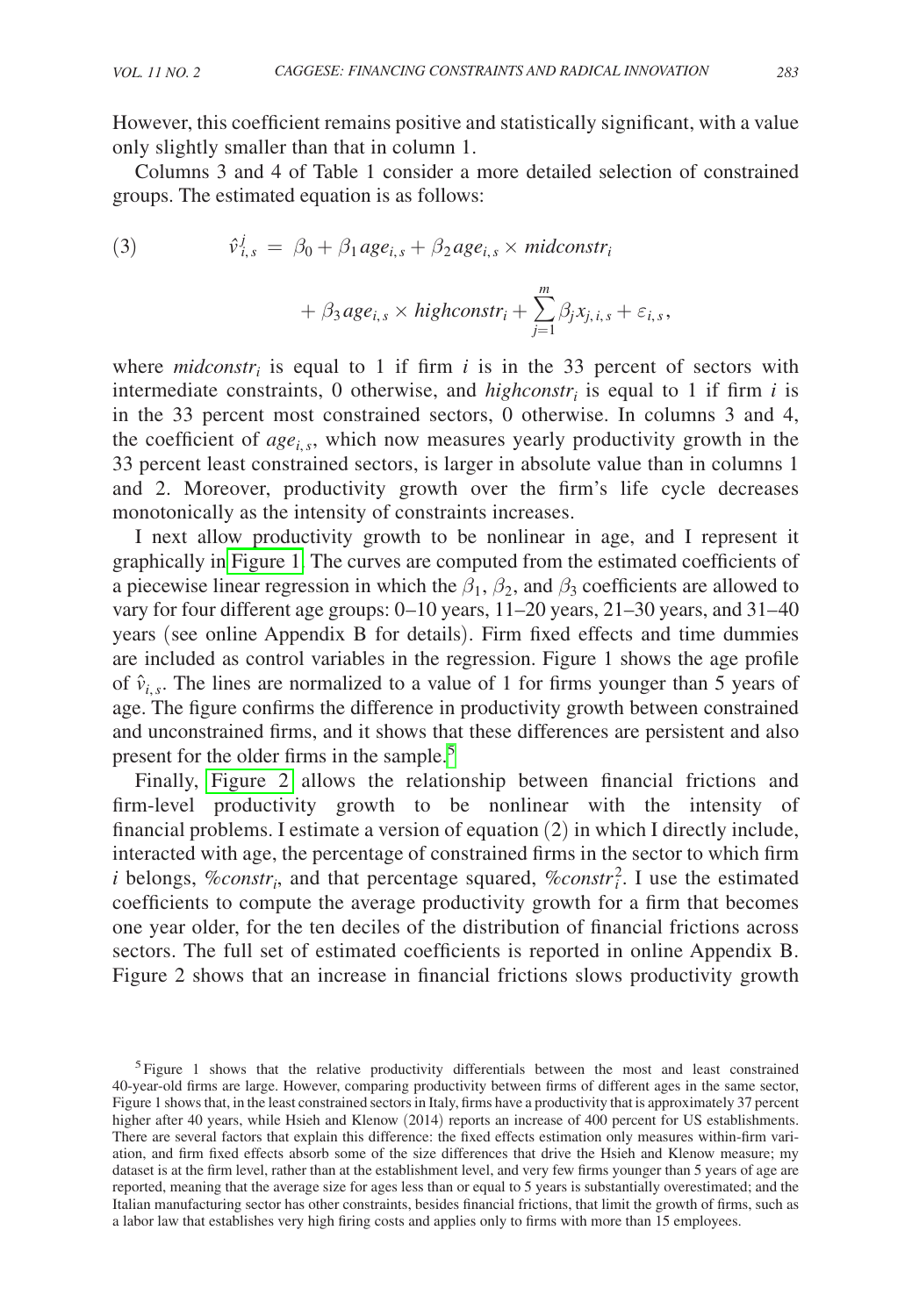However, this coefficient remains positive and statistically significant, with a value only slightly smaller than that in column 1.

Columns 3 and 4 of Table 1 consider a more detailed selection of constrained groups. The estimated equation is as follows:

(3) 
$$
\hat{v}_{i,s}^j = \beta_0 + \beta_1 age_{i,s} + \beta_2 age_{i,s} \times midconstr_i + \beta_3 age_{i,s} \times highconstr_i + \sum_{j=1}^m \beta_j x_{j,i,s} + \varepsilon_{i,s},
$$

where  $midconstraint$  is equal to 1 if firm  $i$  is in the 33 percent of sectors with intermediate constraints, 0 otherwise, and  $highconstruct_i$  is equal to 1 if firm *i* is in the 33 percent most constrained sectors, 0 otherwise. In columns 3 and 4, the coefficient of  $age_i$ , which now measures yearly productivity growth in the 33 percent least constrained sectors, is larger in absolute value than in columns 1 and 2. Moreover, productivity growth over the firm's life cycle decreases monotonically as the intensity of constraints increases.

I next allow productivity growth to be nonlinear in age, and I represent it graphically in [Figure 1.](#page-9-0) The curves are computed from the estimated coefficients of a piecewise linear regression in which the  $\beta_1$ ,  $\beta_2$ , and  $\beta_3$  coefficients are allowed to vary for four different age groups: 0–10 years, 11–20 years, 21–30 years, and 31–40 years (see online Appendix B for details). Firm fixed effects and time dummies are included as control variables in the regression. Figure 1 shows the age profile of  $\hat{v}_i$ <sub>s</sub>. The lines are normalized to a value of 1 for firms younger than 5 years of age. The figure confirms the difference in productivity growth between constrained and unconstrained firms, and it shows that these differences are persistent and also present for the older firms in the sample.<sup>5</sup>

Finally, Figure 2 allows the relationship between financial frictions and firm-level productivity growth to be nonlinear with the intensity of financial problems. I estimate a version of equation (2) in which I directly include, interacted with age, the percentage of constrained firms in the sector to which firm *i* belongs,  $\%constr_i$ , and that percentage squared,  $\%constr_i^2$ . I use the estimated coefficients to compute the average productivity growth for a firm that becomes one year older, for the ten deciles of the distribution of financial frictions across sectors. The full set of estimated coefficients is reported in online Appendix B. Figure 2 shows that an increase in financial frictions slows productivity growth

<span id="page-8-0"></span><sup>&</sup>lt;sup>5</sup>Figure 1 shows that the relative productivity differentials between the most and least constrained 40-year-old firms are large. However, comparing productivity between firms of different ages in the same sector, Figure 1 shows that, in the least constrained sectors in Italy, firms have a productivity that is approximately 37 percent higher after 40 years, while Hsieh and Klenow (2014) reports an increase of 400 percent for US establishments. There are several factors that explain this difference: the fixed effects estimation only measures within-firm variation, and firm fixed effects absorb some of the size differences that drive the Hsieh and Klenow measure; my dataset is at the firm level, rather than at the establishment level, and very few firms younger than 5 years of age are reported, meaning that the average size for ages less than or equal to 5 years is substantially overestimated; and the Italian manufacturing sector has other constraints, besides financial frictions, that limit the growth of firms, such as a labor law that establishes very high firing costs and applies only to firms with more than 15 employees.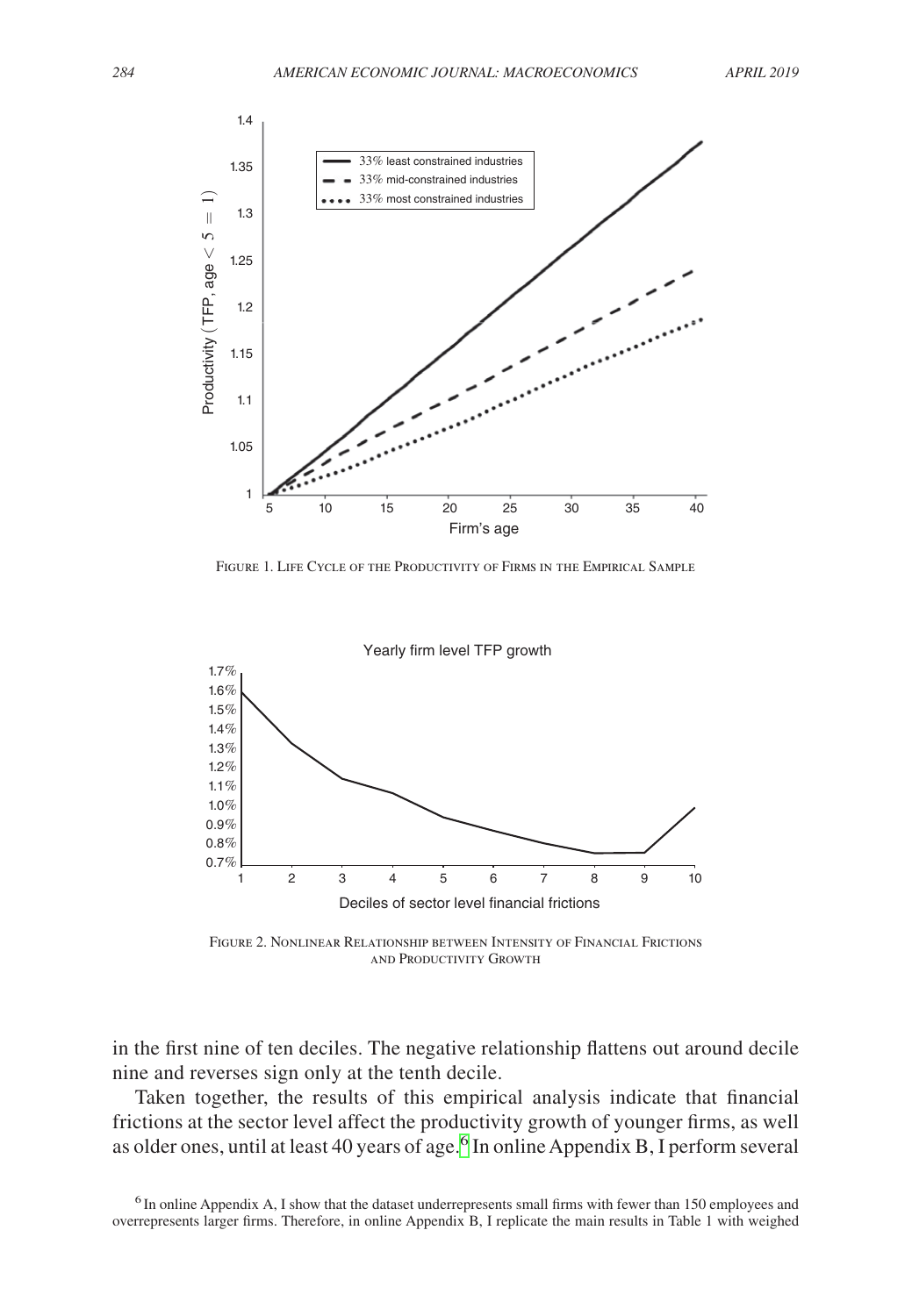<span id="page-9-0"></span>

FIGURE 1. LIFE CYCLE OF THE PRODUCTIVITY OF FIRMS IN THE EMPIRICAL SAMPLE



Figure 2. Nonlinear Relationship between Intensity of Financial Frictions and Productivity Growth

in the first nine of ten deciles. The negative relationship flattens out around decile nine and reverses sign only at the tenth decile.

Taken together, the results of this empirical analysis indicate that financial frictions at the sector level affect the productivity growth of younger firms, as well as older ones, until at least 40 years of age.<sup>[6](#page-9-1)</sup> In online Appendix B, I perform several

<span id="page-9-1"></span> $6$  In online Appendix A, I show that the dataset underrepresents small firms with fewer than 150 employees and overrepresents larger firms. Therefore, in online Appendix B, I replicate the main results in Table 1 with we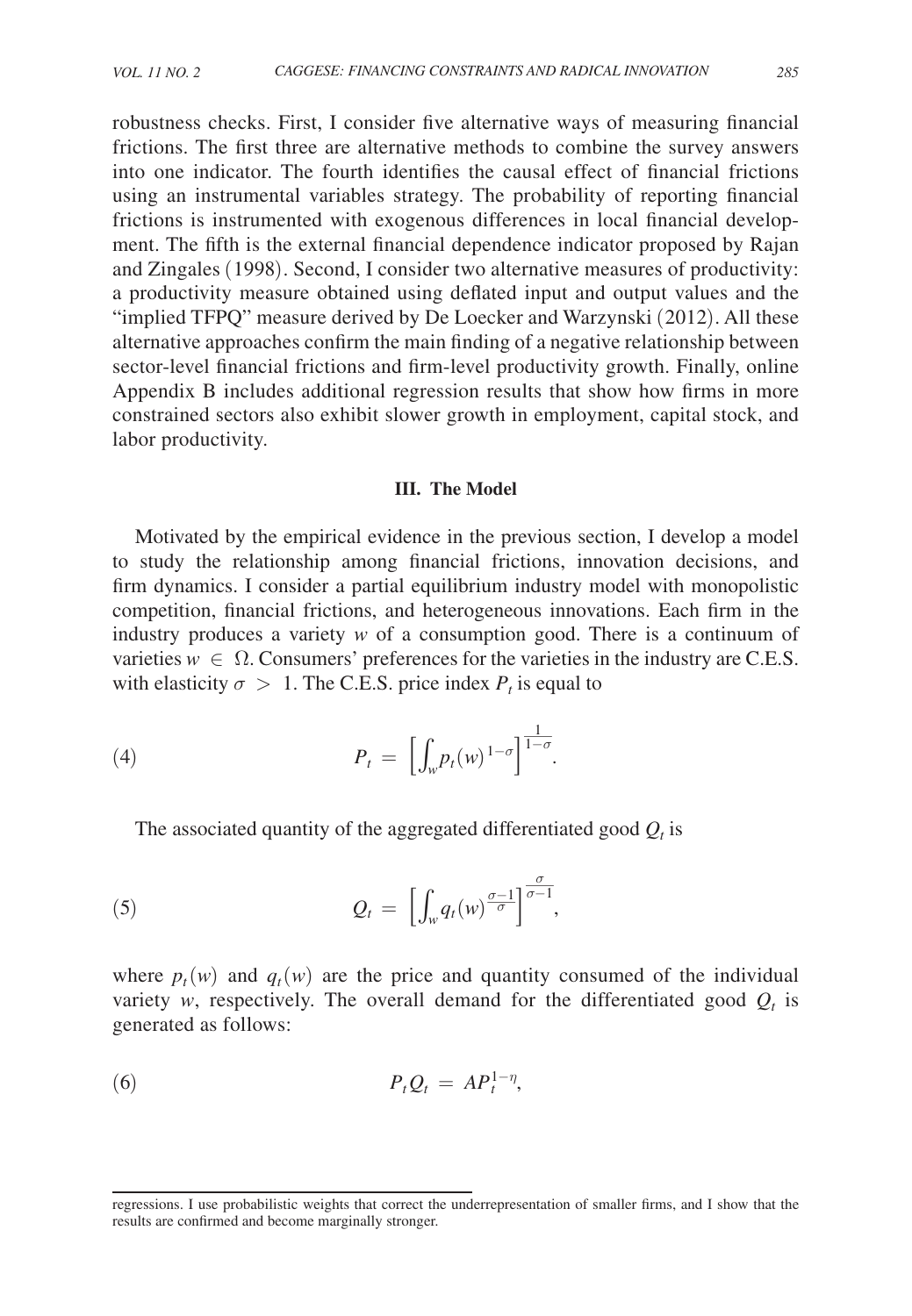robustness checks. First, I consider five alternative ways of measuring financial frictions. The first three are alternative methods to combine the survey answers into one indicator. The fourth identifies the causal effect of financial frictions using an instrumental variables strategy. The probability of reporting financial frictions is instrumented with exogenous differences in local financial development. The fifth is the external financial dependence indicator proposed by Rajan and Zingales (1998). Second, I consider two alternative measures of productivity: a productivity measure obtained using deflated input and output values and the "implied TFPQ" measure derived by De Loecker and Warzynski (2012). All these alternative approaches confirm the main finding of a negative relationship between sector-level financial frictions and firm-level productivity growth. Finally, online Appendix B includes additional regression results that show how firms in more constrained sectors also exhibit slower growth in employment, capital stock, and labor productivity.

### **III. The Model**

Motivated by the empirical evidence in the previous section, I develop a model to study the relationship among financial frictions, innovation decisions, and firm dynamics. I consider a partial equilibrium industry model with monopolistic competition, financial frictions, and heterogeneous innovations. Each firm in the industry produces a variety *w* of a consumption good. There is a continuum of varieties  $w \in \Omega$ . Consumers' preferences for the varieties in the industry are C.E.S. with elasticity  $\sigma > 1$ . The C.E.S. price index  $P_t$  is equal to

(4) 
$$
P_{t} = \left[ \int_{w} p_{t}(w)^{1-\sigma} \right]^{\frac{1}{1-\sigma}}.
$$

The associated quantity of the aggregated differentiated good  $Q_t$  is

(5) 
$$
Q_t = \left[ \int_w q_t(w)^{\frac{\sigma-1}{\sigma}} \right]^{\frac{\sigma}{\sigma-1}},
$$

where  $p_t(w)$  and  $q_t(w)$  are the price and quantity consumed of the individual variety  $w$ , respectively. The overall demand for the differentiated good  $Q_t$  is generated as follows:

$$
P_t Q_t = A P_t^{1-\eta},
$$

regressions. I use probabilistic weights that correct the underrepresentation of smaller firms, and I show that the results are confirmed and become marginally stronger.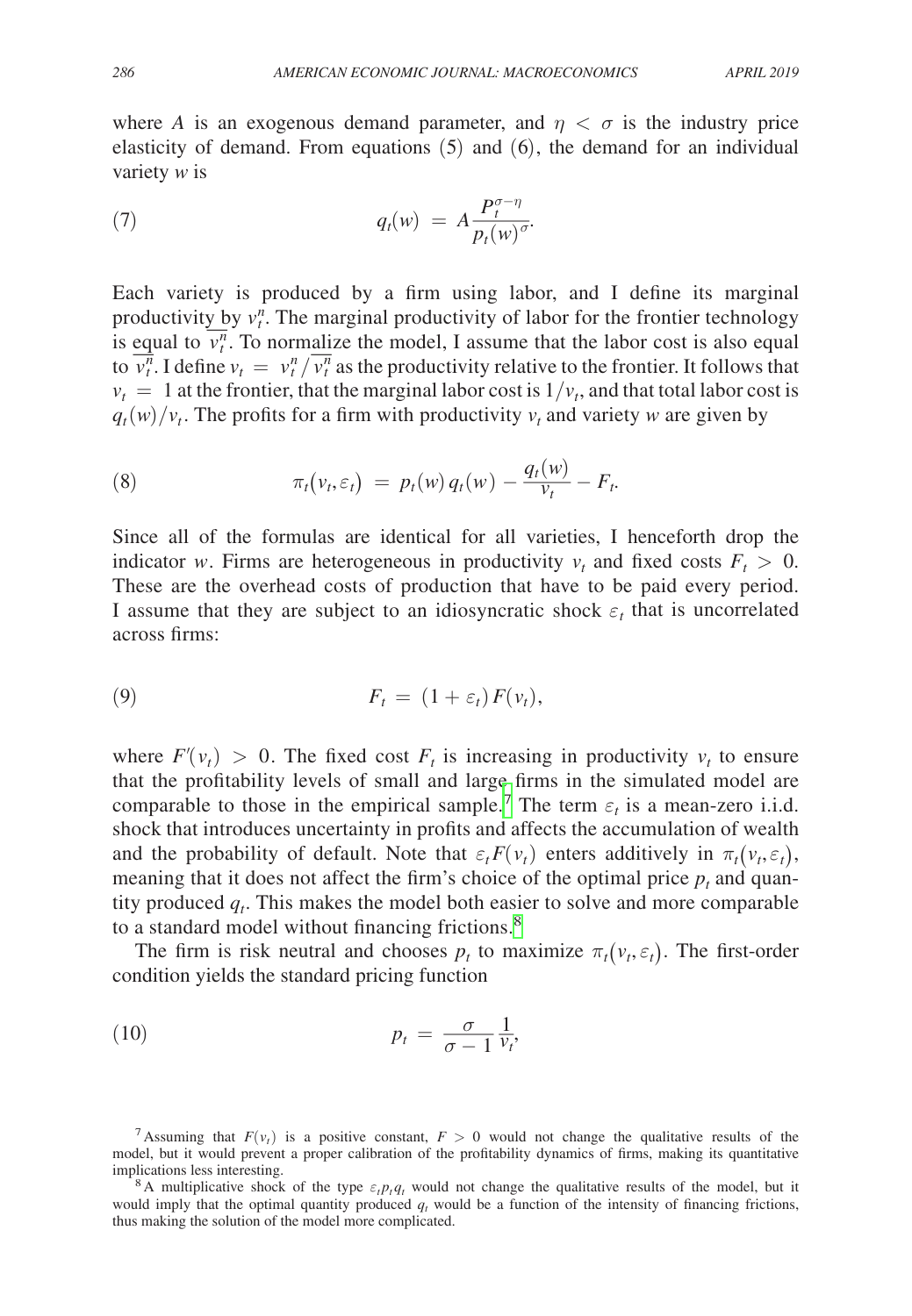where *A* is an exogenous demand parameter, and  $\eta < \sigma$  is the industry price elasticity of demand. From equations (5) and (6), the demand for an individual variety *w* is<br>
(7)  $q_t(w) = A \frac{P_t^{\sigma-\eta}}{p_t(w)^{\sigma}}$ . variety *w* is

(7) 
$$
q_t(w) = A \frac{P_t^{\sigma - \eta}}{p_t(w)^{\sigma}}.
$$

Each variety is produced by a firm using labor, and I define its marginal productivity by  $v_t^n$ . The marginal productivity of labor for the frontier technology is equal to  $\overline{v_i^n}$ . To normalize the model, I assume that the labor cost is also equal to  $\overline{v_t^n}$ . I define  $v_t = v_t^n / \overline{v_t^n}$  as the productivity relative to the frontier. It follows that  $v_t = 1$  at the frontier, that the marginal labor cost is  $1/v_t$ , and that total labor cost is

$$
q_t(w)/v_t
$$
. The profits for a firm with productivity  $v_t$  and variety w are given by  
(8) 
$$
\pi_t(v_t, \varepsilon_t) = p_t(w) q_t(w) - \frac{q_t(w)}{v_t} - F_t.
$$

Since all of the formulas are identical for all varieties, I henceforth drop the indicator *w*. Firms are heterogeneous in productivity  $v_t$  and fixed costs  $F_t > 0$ . These are the overhead costs of production that have to be paid every period. I assume that they are subject to an idiosyncratic shock  $\varepsilon_t$  that is uncorrelated across firms:

$$
(9) \tF_t = (1 + \varepsilon_t) F(v_t),
$$

where  $F'(v_t) > 0$ . The fixed cost  $F_t$  is increasing in productivity  $v_t$  to ensure that the profitability levels of small and large firms in the simulated model are comparable to those in the empirical sample.<sup>[7](#page-11-0)</sup> The term  $\varepsilon_t$  is a mean-zero i.i.d. shock that introduces uncertainty in profits and affects the accumulation of wealth and the probability of default. Note that  $\varepsilon_t F(v_t)$  enters additively in  $\pi_t(v_t, \varepsilon_t)$ , meaning that it does not affect the firm's choice of the optimal price  $p_t$  and quantity produced  $q_t$ . This makes the model both easier to solve and more comparable to a standard model without financing frictions.<sup>[8](#page-11-1)</sup>

The firm is risk neutral and chooses  $p_t$  to maximize  $\pi_t(v_t, \varepsilon_t)$ . The first-order

The Hill is first neutral and chooses 
$$
p_t
$$
 to find  
\ncondition yields the standard pricing function

\n(10)

\n
$$
p_t = \frac{\sigma}{\sigma - 1} \frac{1}{v_t},
$$

<span id="page-11-0"></span><sup>7</sup>Assuming that  $F(v_t)$  is a positive constant,  $F > 0$  would not change the qualitative results of the model, but it would prevent a proper calibration of the profitability dynamics of firms, making its quantitative

<span id="page-11-1"></span>implications less interesting.<br><sup>8</sup>A multiplicative shock of the type  $\varepsilon_t p_t q_t$  would not change the qualitative results of the model, but it would imply that the optimal quantity produced  $q_t$  would be a function of the intensity of financing frictions, thus making the solution of the model more complicated.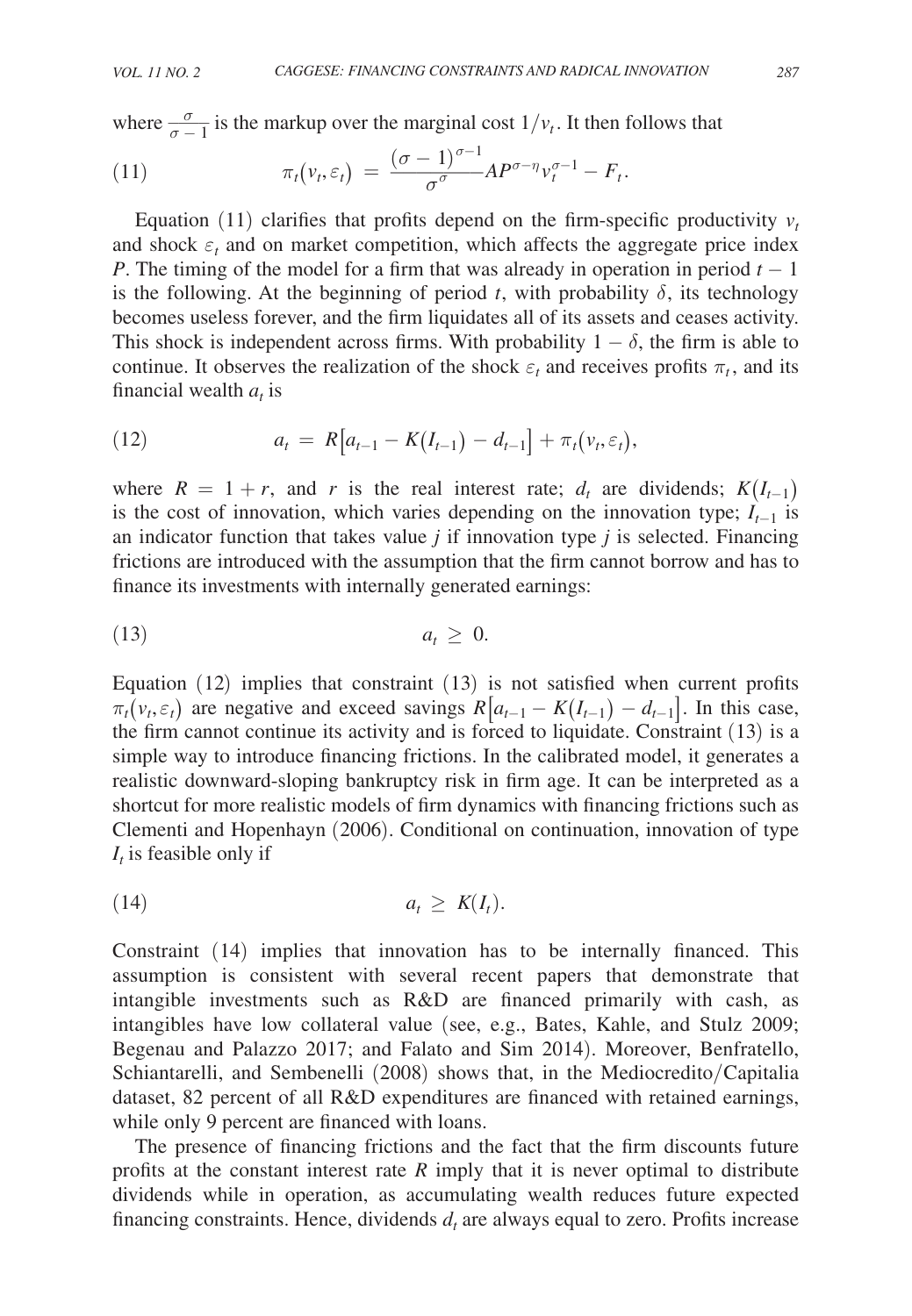where  $\frac{\sigma}{\sigma - 1}$  is the markup over the marginal cost  $1/v_t$ . It then follows that

(11) 
$$
\pi_t(\nu_t, \varepsilon_t) = \frac{(\sigma - 1)^{\sigma - 1}}{\sigma^{\sigma}} A P^{\sigma - \eta} \nu_t^{\sigma - 1} - F_t.
$$

Equation (11) clarifies that profits depend on the firm-specific productivity  $v_t$ and shock  $\varepsilon_t$  and on market competition, which affects the aggregate price index *P*. The timing of the model for a firm that was already in operation in period *t* − 1 is the following. At the beginning of period *t*, with probability  $\delta$ , its technology becomes useless forever, and the firm liquidates all of its assets and ceases activity. This shock is independent across firms. With probability  $1 - \delta$ , the firm is able to continue. It observes the realization of the shock  $\varepsilon_t$  and receives profits  $\pi_t$ , and its financial wealth  $a_t$  is

(12) 
$$
a_t = R[a_{t-1} - K(l_{t-1}) - d_{t-1}] + \pi_t(v_t, \varepsilon_t),
$$

where  $R = 1 + r$ , and *r* is the real interest rate;  $d_t$  are dividends;  $K(I_{t-1})$ is the cost of innovation, which varies depending on the innovation type;  $I_{t-1}$  is an indicator function that takes value *j* if innovation type *j* is selected. Financing frictions are introduced with the assumption that the firm cannot borrow and has to finance its investments with internally generated earnings:

$$
(13) \t a_t \geq 0.
$$

Equation (12) implies that constraint (13) is not satisfied when current profits  $\pi_t(v_t, \varepsilon_t)$  are negative and exceed savings  $R[a_{t-1} - K(I_{t-1}) - d_{t-1}]$ . In this case, the firm cannot continue its activity and is forced to liquidate. Constraint (13) is a simple way to introduce financing frictions. In the calibrated model, it generates a realistic downward-sloping bankruptcy risk in firm age. It can be interpreted as a shortcut for more realistic models of firm dynamics with financing frictions such as Clementi and Hopenhayn (2006). Conditional on continuation, innovation of type  $I_t$  is feasible only if

$$
(14) \t\t\t a_t \geq K(I_t).
$$

Constraint (14) implies that innovation has to be internally financed. This assumption is consistent with several recent papers that demonstrate that intangible investments such as R&D are financed primarily with cash, as intangibles have low collateral value (see, e.g., Bates, Kahle, and Stulz 2009; Begenau and Palazzo 2017; and Falato and Sim 2014). Moreover, Benfratello, Schiantarelli, and Sembenelli (2008) shows that, in the Mediocredito/Capitalia dataset, 82 percent of all R&D expenditures are financed with retained earnings, while only 9 percent are financed with loans.

The presence of financing frictions and the fact that the firm discounts future profits at the constant interest rate *R* imply that it is never optimal to distribute dividends while in operation, as accumulating wealth reduces future expected financing constraints. Hence, dividends  $d_t$  are always equal to zero. Profits increase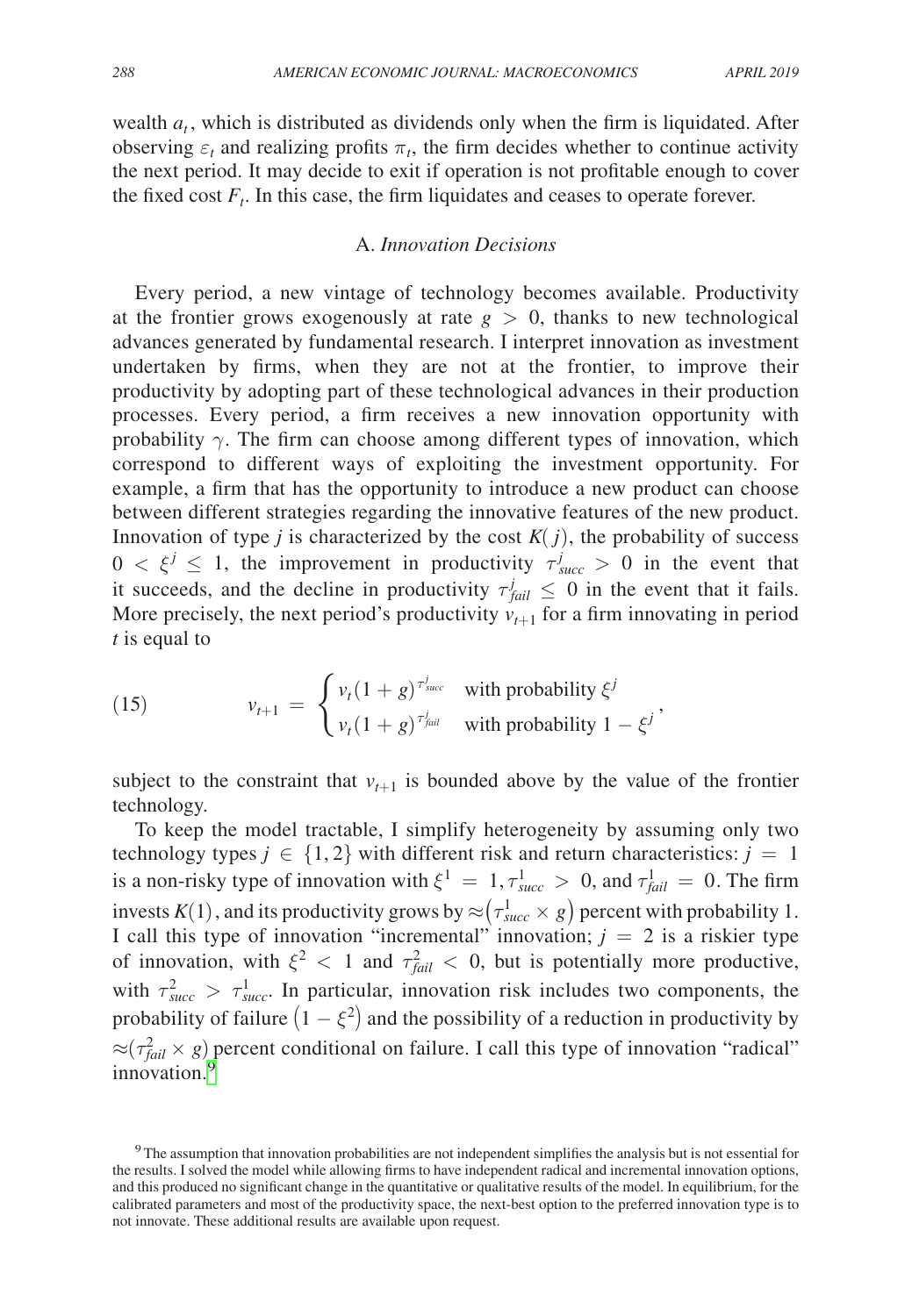wealth  $a_t$ , which is distributed as dividends only when the firm is liquidated. After observing  $\varepsilon_t$  and realizing profits  $\pi_t$ , the firm decides whether to continue activity the next period. It may decide to exit if operation is not profitable enough to cover the fixed cost  $F_t$ . In this case, the firm liquidates and ceases to operate forever.

# A. *Innovation Decisions*

Every period, a new vintage of technology becomes available. Productivity at the frontier grows exogenously at rate  $g > 0$ , thanks to new technological advances generated by fundamental research. I interpret innovation as investment undertaken by firms, when they are not at the frontier, to improve their productivity by adopting part of these technological advances in their production processes. Every period, a firm receives a new innovation opportunity with probability  $\gamma$ . The firm can choose among different types of innovation, which correspond to different ways of exploiting the investment opportunity. For example, a firm that has the opportunity to introduce a new product can choose between different strategies regarding the innovative features of the new product. Innovation of type *j* is characterized by the cost  $K(j)$ , the probability of success  $0 < \xi^j \leq 1$ , the improvement in productivity  $\tau_{succ}^j > 0$  in the event that it succeeds, and the decline in productivity  $\tau_{fail}^j \leq 0$  in the event that it fails. *t* is equal to

More precisely, the next period's productivity 
$$
v_{t+1}
$$
 for a firm innovative in period   
*t* is equal to  
(15) 
$$
v_{t+1} = \begin{cases} v_t (1+g)^{\tau_{succ}^i} & \text{with probability } \xi^j \\ v_t (1+g)^{\tau_{fail}^j} & \text{with probability } 1 - \xi^j \end{cases}
$$

subject to the constraint that  $v_{t+1}$  is bounded above by the value of the frontier technology.

To keep the model tractable, I simplify heterogeneity by assuming only two technology types  $j \in \{1, 2\}$  with different risk and return characteristics:  $j = 1$ is a non-risky type of innovation with  $\xi^1 = 1, \tau_{succ}^1 > 0$ , and  $\tau_{fail}^1 = 0$ . The firm invests  $K(1)$ , and its productivity grows by  $\approx (\tau_{succ}^1 \times g)$  percent with probability 1. I call this type of innovation "incremental" innovation;  $j = 2$  is a riskier type of innovation, with  $\xi^2$  < 1 and  $\tau_{fail}^2$  < 0, but is potentially more productive, with  $\tau_{succ}^2 > \tau_{succ}^1$ . In particular, innovation risk includes two components, the probability of failure  $(1 - \xi^2)$  and the possibility of a reduction in productivity by  $\approx (\tau_{fail}^2 \times g)$  percent conditional on failure. I call this type of innovation "radical" innovation.<sup>[9](#page-13-0)</sup>

<span id="page-13-0"></span><sup>9</sup>The assumption that innovation probabilities are not independent simplifies the analysis but is not essential for the results. I solved the model while allowing firms to have independent radical and incremental innovation options, and this produced no significant change in the quantitative or qualitative results of the model. In equilibrium, for the calibrated parameters and most of the productivity space, the next-best option to the preferred innovation type is to not innovate. These additional results are available upon request.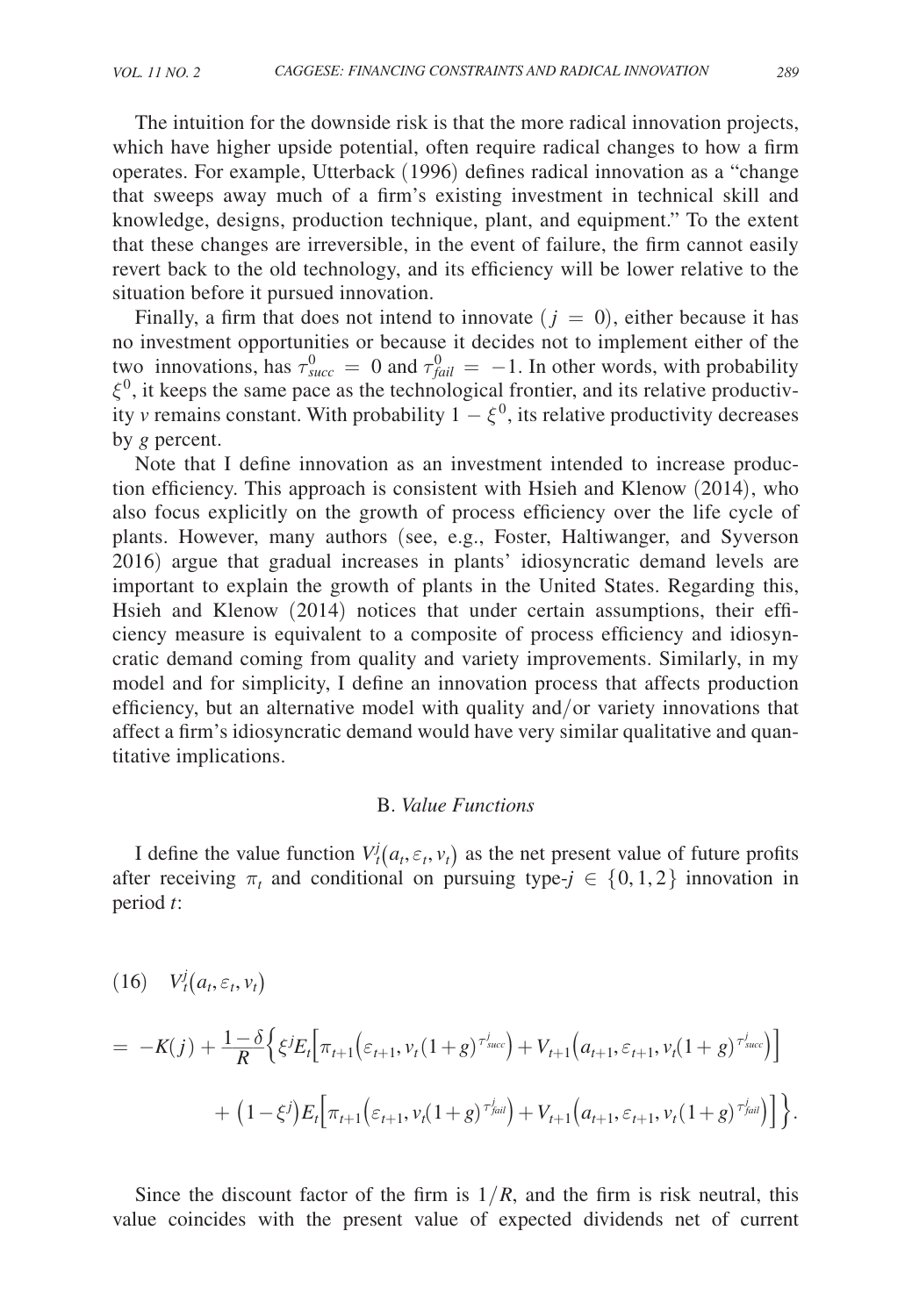The intuition for the downside risk is that the more radical innovation projects, which have higher upside potential, often require radical changes to how a firm operates. For example, Utterback (1996) defines radical innovation as a "change that sweeps away much of a firm's existing investment in technical skill and knowledge, designs, production technique, plant, and equipment." To the extent that these changes are irreversible, in the event of failure, the firm cannot easily revert back to the old technology, and its efficiency will be lower relative to the situation before it pursued innovation.

Finally, a firm that does not intend to innovate  $(j = 0)$ , either because it has no investment opportunities or because it decides not to implement either of the two innovations, has  $\tau_{succ}^0 = 0$  and  $\tau_{fail}^0 = -1$ . In other words, with probability  $\xi^0$ , it keeps the same pace as the technological frontier, and its relative productivity *v* remains constant. With probability  $1 - \xi^0$ , its relative productivity decreases by *g* percent.

Note that I define innovation as an investment intended to increase production efficiency. This approach is consistent with Hsieh and Klenow (2014), who also focus explicitly on the growth of process efficiency over the life cycle of plants. However, many authors (see, e.g., Foster, Haltiwanger, and Syverson 2016) argue that gradual increases in plants' idiosyncratic demand levels are important to explain the growth of plants in the United States. Regarding this, Hsieh and Klenow (2014) notices that under certain assumptions, their efficiency measure is equivalent to a composite of process efficiency and idiosyncratic demand coming from quality and variety improvements. Similarly, in my model and for simplicity, I define an innovation process that affects production efficiency, but an alternative model with quality and/or variety innovations that affect a firm's idiosyncratic demand would have very similar qualitative and quantitative implications.

# B. *Value Functions*

I define the value function  $V_t^j(a_t, \varepsilon_t, v_t)$  as the net present value of future profits after receiving  $\pi_t$  and conditional on pursuing type- $j \in \{0, 1, 2\}$  innovation in period *t*:

(16) 
$$
V_{t}^{j}(a_{t}, \varepsilon_{t}, v_{t}) = -K(j) + \frac{1-\delta}{R} \Big\{ \xi^{j} E_{t} \Big[ \pi_{t+1} \big( \varepsilon_{t+1}, v_{t} (1+g)^{\tau_{succ}^{j}} \big) + V_{t+1} \big( a_{t+1}, \varepsilon_{t+1}, v_{t} (1+g)^{\tau_{succ}^{j}} \big) \Big] + (1-\xi^{j}) E_{t} \Big[ \pi_{t+1} \big( \varepsilon_{t+1}, v_{t} (1+g)^{\tau_{fail}^{j}} \big) + V_{t+1} \big( a_{t+1}, \varepsilon_{t+1}, v_{t} (1+g)^{\tau_{fail}^{j}} \big) \Big] \Big\}.
$$

Since the discount factor of the firm is  $1/R$ , and the firm is risk neutral, this value coincides with the present value of expected dividends net of current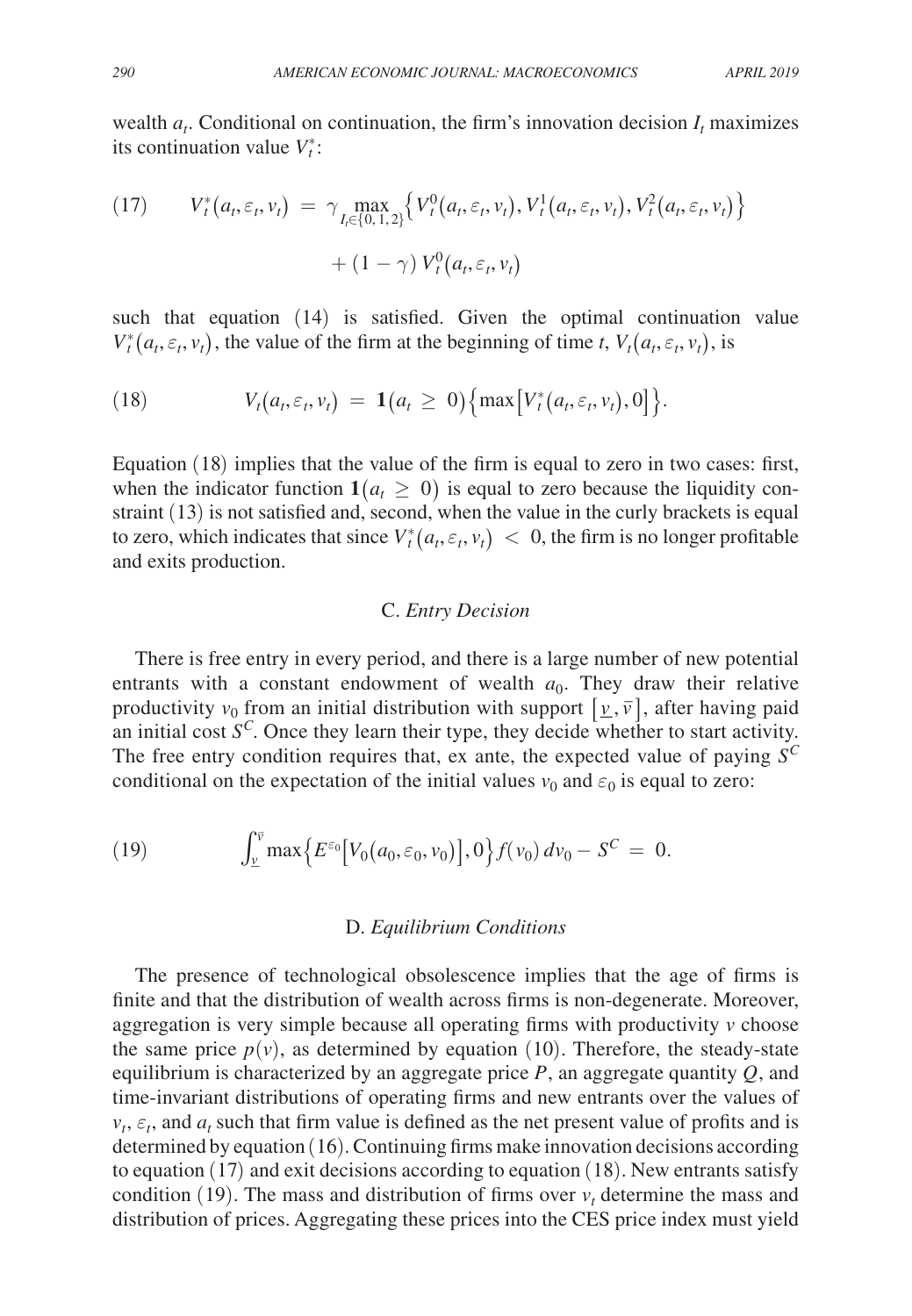wealth  $a_t$ . Conditional on continuation, the firm's innovation decision  $I_t$  maximizes its continuation value  $V_t^*$ :

(17) 
$$
V_t^*(a_t, \varepsilon_t, v_t) = \gamma \max_{I_t \in \{0, 1, 2\}} \{ V_t^0(a_t, \varepsilon_t, v_t), V_t^1(a_t, \varepsilon_t, v_t), V_t^2(a_t, \varepsilon_t, v_t) \} + (1 - \gamma) V_t^0(a_t, \varepsilon_t, v_t)
$$

such that equation (14) is satisfied. Given the optimal continuation value  $V_t^*(a_t, \varepsilon_t, v_t)$ , the value of the firm at the beginning of time *t*,  $V_t(a_t, \varepsilon_t, v_t)$ , is

(18) 
$$
V_t(a_t, \varepsilon_t, v_t) = \mathbf{1}(a_t \geq 0) \Big\{ \max [V_t^*(a_t, \varepsilon_t, v_t), 0] \Big\}.
$$

Equation (18) implies that the value of the firm is equal to zero in two cases: first, when the indicator function  $1(a_t \geq 0)$  is equal to zero because the liquidity constraint (13) is not satisfied and, second, when the value in the curly brackets is equal to zero, which indicates that since  $V_t^*(a_t, \varepsilon_t, v_t) < 0$ , the firm is no longer profitable and exits production.

# C. *Entry Decision*

There is free entry in every period, and there is a large number of new potential entrants with a constant endowment of wealth  $a_0$ . They draw their relative productivity  $v_0$  from an initial distribution with support  $[\underline{v}, \overline{v}]$ , after having paid an initial cost  $S^C$ . Once they learn their type, they decide whether to start activity. The free entry condition requires that, ex ante, the expected value of paying *S<sup>C</sup>* conditional on the expectation of the initial values  $v_0$  and  $\varepsilon_0$  is equal to zero:

(19) 
$$
\int_{\underline{v}}^{\overline{v}} \max \Big\{ E^{\varepsilon_0} \big[ V_0(a_0, \varepsilon_0, v_0) \big], 0 \Big\} f(v_0) \, dv_0 - S^C = 0.
$$

# D. *Equilibrium Conditions*

The presence of technological obsolescence implies that the age of firms is finite and that the distribution of wealth across firms is non-degenerate. Moreover, aggregation is very simple because all operating firms with productivity *v* choose the same price  $p(v)$ , as determined by equation (10). Therefore, the steady-state equilibrium is characterized by an aggregate price *P*, an aggregate quantity *Q*, and time-invariant distributions of operating firms and new entrants over the values of  $v_t$ ,  $\varepsilon_t$ , and  $a_t$  such that firm value is defined as the net present value of profits and is determined by equation (16). Continuing firms make innovation decisions according to equation (17) and exit decisions according to equation (18). New entrants satisfy condition (19). The mass and distribution of firms over  $v_t$  determine the mass and distribution of prices. Aggregating these prices into the CES price index must yield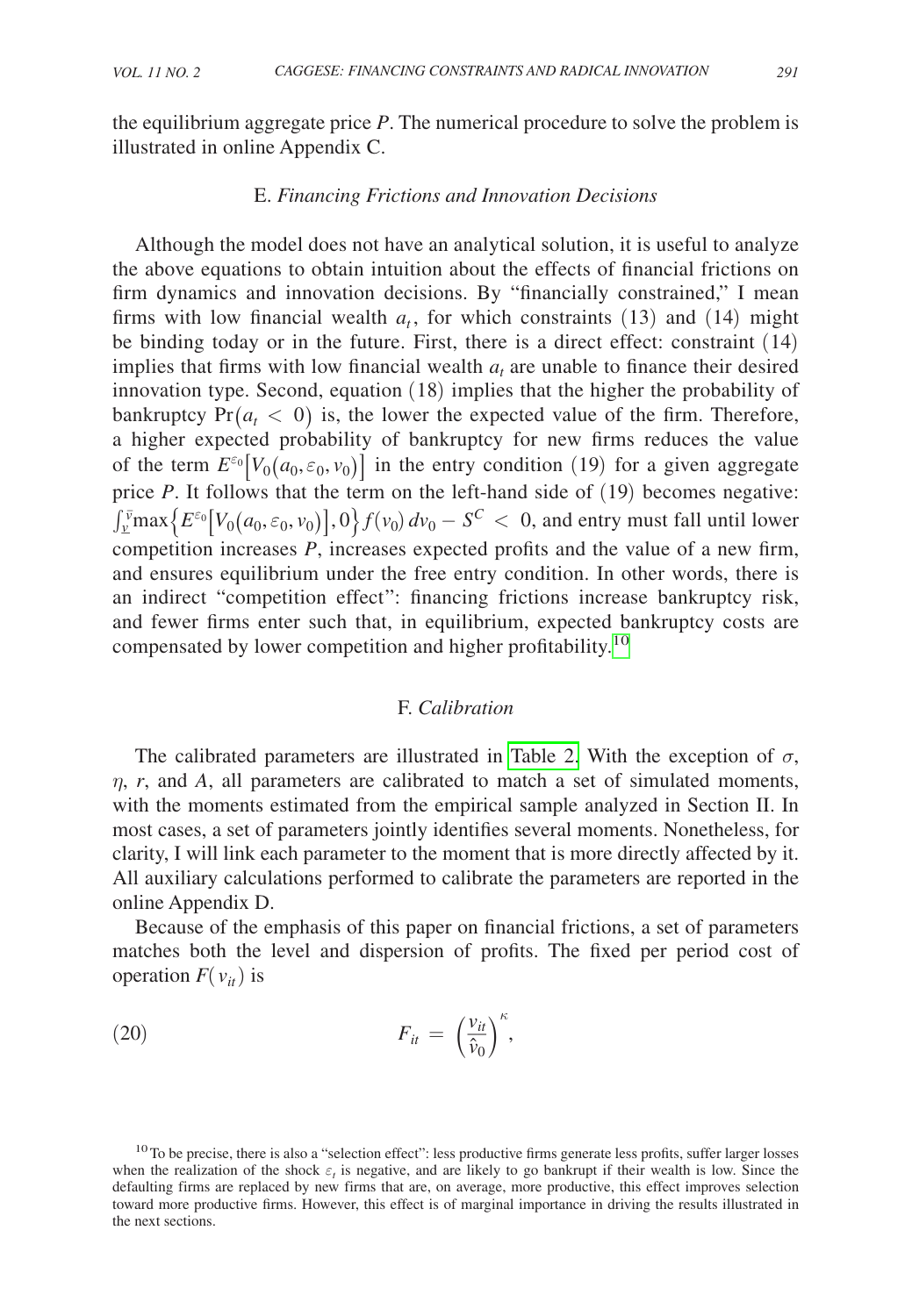the equilibrium aggregate price *P*. The numerical procedure to solve the problem is illustrated in online Appendix C.

# E. *Financing Frictions and Innovation Decisions*

Although the model does not have an analytical solution, it is useful to analyze the above equations to obtain intuition about the effects of financial frictions on firm dynamics and innovation decisions. By "financially constrained," I mean firms with low financial wealth  $a_t$ , for which constraints (13) and (14) might be binding today or in the future. First, there is a direct effect: constraint (14) implies that firms with low financial wealth  $a_t$  are unable to finance their desired innovation type. Second, equation (18) implies that the higher the probability of bankruptcy  $Pr(a_t < 0)$  is, the lower the expected value of the firm. Therefore, a higher expected probability of bankruptcy for new firms reduces the value of the term  $E^{\epsilon_0}[V_0(a_0, \epsilon_0, v_0)]$  in the entry condition (19) for a given aggregate price *P*. It follows that the term on the left-hand side of (19) becomes negative:  $\int_{\Sigma} \bar{v} \max \{ E^{\varepsilon_0} \big[ V_0(a_0, \varepsilon_0, v_0) \big], 0 \} f(v_0) dv_0 - S^C < 0$ , and entry must fall until lower competition increases *P*, increases expected profits and the value of a new firm, and ensures equilibrium under the free entry condition. In other words, there is an indirect "competition effect": financing frictions increase bankruptcy risk, and fewer firms enter such that, in equilibrium, expected bankruptcy costs are compensated by lower competition and higher profitability.<sup>[10](#page-16-0)</sup>

# F. *Calibration*

The calibrated parameters are illustrated in Table 2. With the exception of  $\sigma$ ,  $\eta$ ,  $r$ , and  $A$ , all parameters are calibrated to match a set of simulated moments, with the moments estimated from the empirical sample analyzed in Section II. In most cases, a set of parameters jointly identifies several moments. Nonetheless, for clarity, I will link each parameter to the moment that is more directly affected by it. All auxiliary calculations performed to calibrate the parameters are reported in the online Appendix D.

Because of the emphasis of this paper on financial frictions, a set of parameters matches both the level and dispersion of profits. The fixed per period cost of operation  $F(v_{it})$  is

$$
F_{it} = \left(\frac{v_{it}}{\hat{v}_0}\right)^{\kappa},
$$

<span id="page-16-0"></span> $10$ To be precise, there is also a "selection effect": less productive firms generate less profits, suffer larger losses when the realization of the shock  $\varepsilon_t$  is negative, and are likely to go bankrupt if their wealth is low. Since the defaulting firms are replaced by new firms that are, on average, more productive, this effect improves selection toward more productive firms. However, this effect is of marginal importance in driving the results illustrated in the next sections.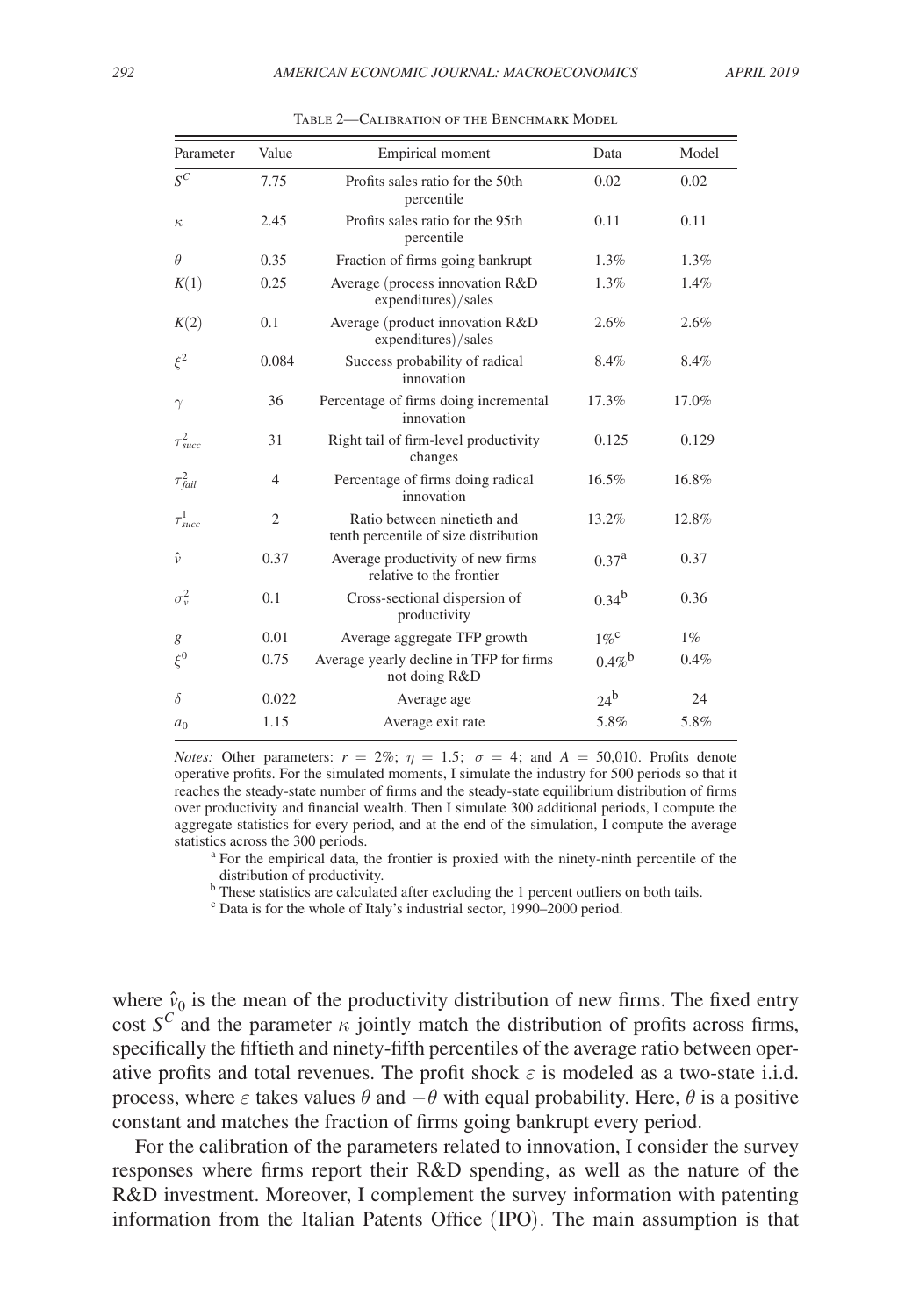<span id="page-17-0"></span>

| Parameter        | Value          | <b>Empirical moment</b>                                              | Data                 | Model |
|------------------|----------------|----------------------------------------------------------------------|----------------------|-------|
| $S^C$            | 7.75           | Profits sales ratio for the 50th<br>percentile                       | 0.02                 | 0.02  |
| $\kappa$         | 2.45           | Profits sales ratio for the 95th<br>percentile                       | 0.11                 | 0.11  |
| $\theta$         | 0.35           | Fraction of firms going bankrupt                                     | 1.3%                 | 1.3%  |
| K(1)             | 0.25           | Average (process innovation R&D)<br>expenditures)/sales              | 1.3%                 | 1.4%  |
| K(2)             | 0.1            | Average (product innovation R&D<br>expenditures)/sales               | 2.6%                 | 2.6%  |
| $\xi^2$          | 0.084          | Success probability of radical<br>innovation                         | 8.4%                 | 8.4%  |
| $\gamma$         | 36             | Percentage of firms doing incremental<br>innovation                  | 17.3%                | 17.0% |
| $\tau_{succ}^2$  | 31             | Right tail of firm-level productivity<br>changes                     | 0.125                | 0.129 |
| $\tau_{fail}^2$  | 4              | Percentage of firms doing radical<br>innovation                      | 16.5%                | 16.8% |
| $\tau_{succ}^1$  | $\overline{c}$ | Ratio between ninetieth and<br>tenth percentile of size distribution | $13.2\%$             | 12.8% |
| $\hat{\nu}$      | 0.37           | Average productivity of new firms<br>relative to the frontier        | 0.37 <sup>a</sup>    | 0.37  |
| $\sigma_v^2$     | 0.1            | Cross-sectional dispersion of<br>productivity                        | $0.34^{b}$           | 0.36  |
| $\boldsymbol{g}$ | 0.01           | Average aggregate TFP growth                                         | $1\%^{\text{c}}$     | $1\%$ |
| $\xi^0$          | 0.75           | Average yearly decline in TFP for firms<br>not doing R&D             | $0.4\%$ <sup>b</sup> | 0.4%  |
| $\delta$         | 0.022          | Average age                                                          | $24^{\rm b}$         | 24    |
| a <sub>0</sub>   | 1.15           | Average exit rate                                                    | 5.8%                 | 5.8%  |

TABLE 2-CALIBRATION OF THE BENCHMARK MODEL

*Notes:* Other parameters:  $r = 2\%$ ;  $\eta = 1.5$ ;  $\sigma = 4$ ; and  $A = 50,010$ . Profits denote operative profits. For the simulated moments, I simulate the industry for 500 periods so that it reaches the steady-state number of firms and the steady-state equilibrium distribution of firms over productivity and financial wealth. Then I simulate 300 additional periods, I compute the aggregate statistics for every period, and at the end of the simulation, I compute the average statistics across the 300 periods.<br><sup>a</sup> For the empirical data, the frontier is proxied with the ninety-ninth percentile of the

distribution of productivity.

 $\frac{b}{c}$  These statistics are calculated after excluding the 1 percent outliers on both tails.  $\frac{c}{c}$  Data is for the whole of Italy's industrial sector, 1990–2000 period.

where  $\hat{v}_0$  is the mean of the productivity distribution of new firms. The fixed entry cost  $S^C$  and the parameter  $\kappa$  jointly match the distribution of profits across firms, specifically the fiftieth and ninety-fifth percentiles of the average ratio between operative profits and total revenues. The profit shock  $\varepsilon$  is modeled as a two-state i.i.d. process, where  $\varepsilon$  takes values  $\theta$  and  $-\theta$  with equal probability. Here,  $\theta$  is a positive constant and matches the fraction of firms going bankrupt every period.

For the calibration of the parameters related to innovation, I consider the survey responses where firms report their R&D spending, as well as the nature of the R&D investment. Moreover, I complement the survey information with patenting information from the Italian Patents Office (IPO). The main assumption is that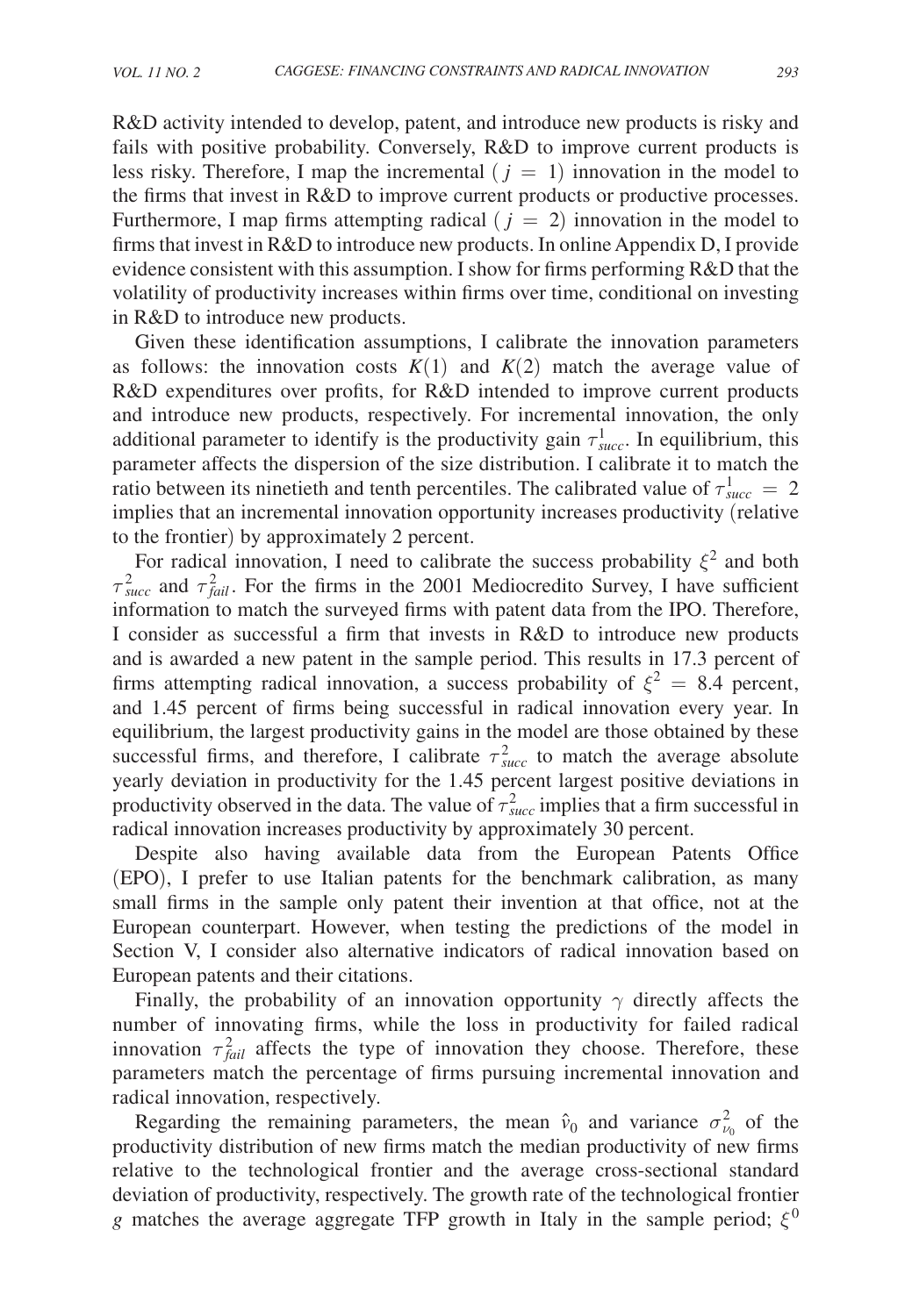R&D activity intended to develop, patent, and introduce new products is risky and fails with positive probability. Conversely, R&D to improve current products is less risky. Therefore, I map the incremental  $(j = 1)$  innovation in the model to the firms that invest in R&D to improve current products or productive processes. Furthermore, I map firms attempting radical  $(j = 2)$  innovation in the model to firms that invest in R&D to introduce new products. In online Appendix D, I provide evidence consistent with this assumption. I show for firms performing R&D that the volatility of productivity increases within firms over time, conditional on investing in R&D to introduce new products.

Given these identification assumptions, I calibrate the innovation parameters as follows: the innovation costs  $K(1)$  and  $K(2)$  match the average value of R&D expenditures over profits, for R&D intended to improve current products and introduce new products, respectively. For incremental innovation, the only additional parameter to identify is the productivity gain  $\tau_{succ}^1$ . In equilibrium, this parameter affects the dispersion of the size distribution. I calibrate it to match the ratio between its ninetieth and tenth percentiles. The calibrated value of  $\tau_{succ}^1 = 2$ implies that an incremental innovation opportunity increases productivity (relative to the frontier) by approximately 2 percent.

For radical innovation, I need to calibrate the success probability  $\xi^2$  and both  $\tau_{succ}^2$  and  $\tau_{fail}^2$ . For the firms in the 2001 Mediocredito Survey, I have sufficient information to match the surveyed firms with patent data from the IPO. Therefore, I consider as successful a firm that invests in R&D to introduce new products and is awarded a new patent in the sample period. This results in 17.3 percent of firms attempting radical innovation, a success probability of  $\xi^2 = 8.\overline{4}$  percent, and 1.45 percent of firms being successful in radical innovation every year. In equilibrium, the largest productivity gains in the model are those obtained by these successful firms, and therefore, I calibrate  $\tau_{succ}^2$  to match the average absolute yearly deviation in productivity for the 1.45 percent largest positive deviations in productivity observed in the data. The value of  $\tau_{succ}^2$  implies that a firm successful in radical innovation increases productivity by approximately 30 percent.

Despite also having available data from the European Patents Office (EPO), I prefer to use Italian patents for the benchmark calibration, as many small firms in the sample only patent their invention at that office, not at the European counterpart. However, when testing the predictions of the model in Section V, I consider also alternative indicators of radical innovation based on European patents and their citations.

Finally, the probability of an innovation opportunity  $\gamma$  directly affects the number of innovating firms, while the loss in productivity for failed radical innovation  $\tau_{fail}^2$  affects the type of innovation they choose. Therefore, these parameters match the percentage of firms pursuing incremental innovation and radical innovation, respectively.

Regarding the remaining parameters, the mean  $\hat{v}_0$  and variance  $\sigma_{\nu_0}^2$  of the productivity distribution of new firms match the median productivity of new firms relative to the technological frontier and the average cross-sectional standard deviation of productivity, respectively. The growth rate of the technological frontier *g* matches the average aggregate TFP growth in Italy in the sample period;  $\xi^0$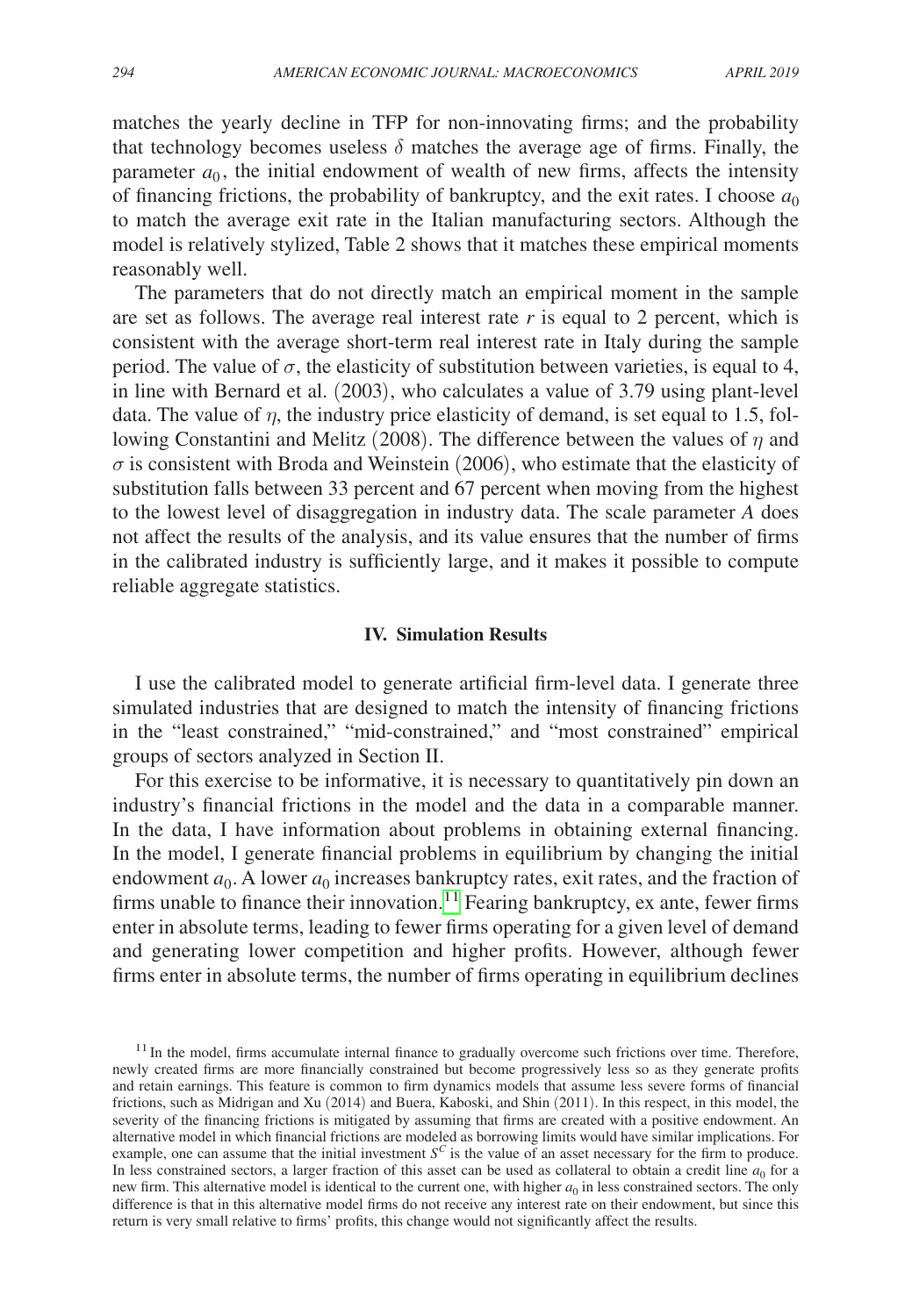matches the yearly decline in TFP for non-innovating firms; and the probability that technology becomes useless  $\delta$  matches the average age of firms. Finally, the parameter  $a_0$ , the initial endowment of wealth of new firms, affects the intensity of financing frictions, the probability of bankruptcy, and the exit rates. I choose  $a_0$ to match the average exit rate in the Italian manufacturing sectors. Although the model is relatively stylized, Table 2 shows that it matches these empirical moments reasonably well.

The parameters that do not directly match an empirical moment in the sample are set as follows. The average real interest rate *r* is equal to 2 percent, which is consistent with the average short-term real interest rate in Italy during the sample period. The value of  $\sigma$ , the elasticity of substitution between varieties, is equal to 4, in line with Bernard et al. (2003), who calculates a value of 3.79 using plant-level data. The value of  $\eta$ , the industry price elasticity of demand, is set equal to 1.5, following Constantini and Melitz (2008). The difference between the values of  $\eta$  and  $\sigma$  is consistent with Broda and Weinstein (2006), who estimate that the elasticity of substitution falls between 33 percent and 67 percent when moving from the highest to the lowest level of disaggregation in industry data. The scale parameter *A* does not affect the results of the analysis, and its value ensures that the number of firms in the calibrated industry is sufficiently large, and it makes it possible to compute reliable aggregate statistics.

### **IV. Simulation Results**

I use the calibrated model to generate artificial firm-level data. I generate three simulated industries that are designed to match the intensity of financing frictions in the "least constrained," "mid-constrained," and "most constrained" empirical groups of sectors analyzed in Section II.

For this exercise to be informative, it is necessary to quantitatively pin down an industry's financial frictions in the model and the data in a comparable manner. In the data, I have information about problems in obtaining external financing. In the model, I generate financial problems in equilibrium by changing the initial endowment  $a_0$ . A lower  $a_0$  increases bankruptcy rates, exit rates, and the fraction of firms unable to finance their innovation.<sup>[11](#page-19-0)</sup> Fearing bankruptcy, ex ante, fewer firms enter in absolute terms, leading to fewer firms operating for a given level of demand and generating lower competition and higher profits. However, although fewer firms enter in absolute terms, the number of firms operating in equilibrium declines

<span id="page-19-0"></span><sup>&</sup>lt;sup>11</sup> In the model, firms accumulate internal finance to gradually overcome such frictions over time. Therefore, newly created firms are more financially constrained but become progressively less so as they generate profits and retain earnings. This feature is common to firm dynamics models that assume less severe forms of financial frictions, such as Midrigan and Xu (2014) and Buera, Kaboski, and Shin (2011). In this respect, in this model, the severity of the financing frictions is mitigated by assuming that firms are created with a positive endowment. An alternative model in which financial frictions are modeled as borrowing limits would have similar implications. For example, one can assume that the initial investment  $S^C$  is the value of an asset necessary for the firm to produce. In less constrained sectors, a larger fraction of this asset can be used as collateral to obtain a credit line  $a_0$  for a new firm. This alternative model is identical to the current one, with higher  $a_0$  in less constrained sectors. The only difference is that in this alternative model firms do not receive any interest rate on their endowment, but since this return is very small relative to firms' profits, this change would not significantly affect the results.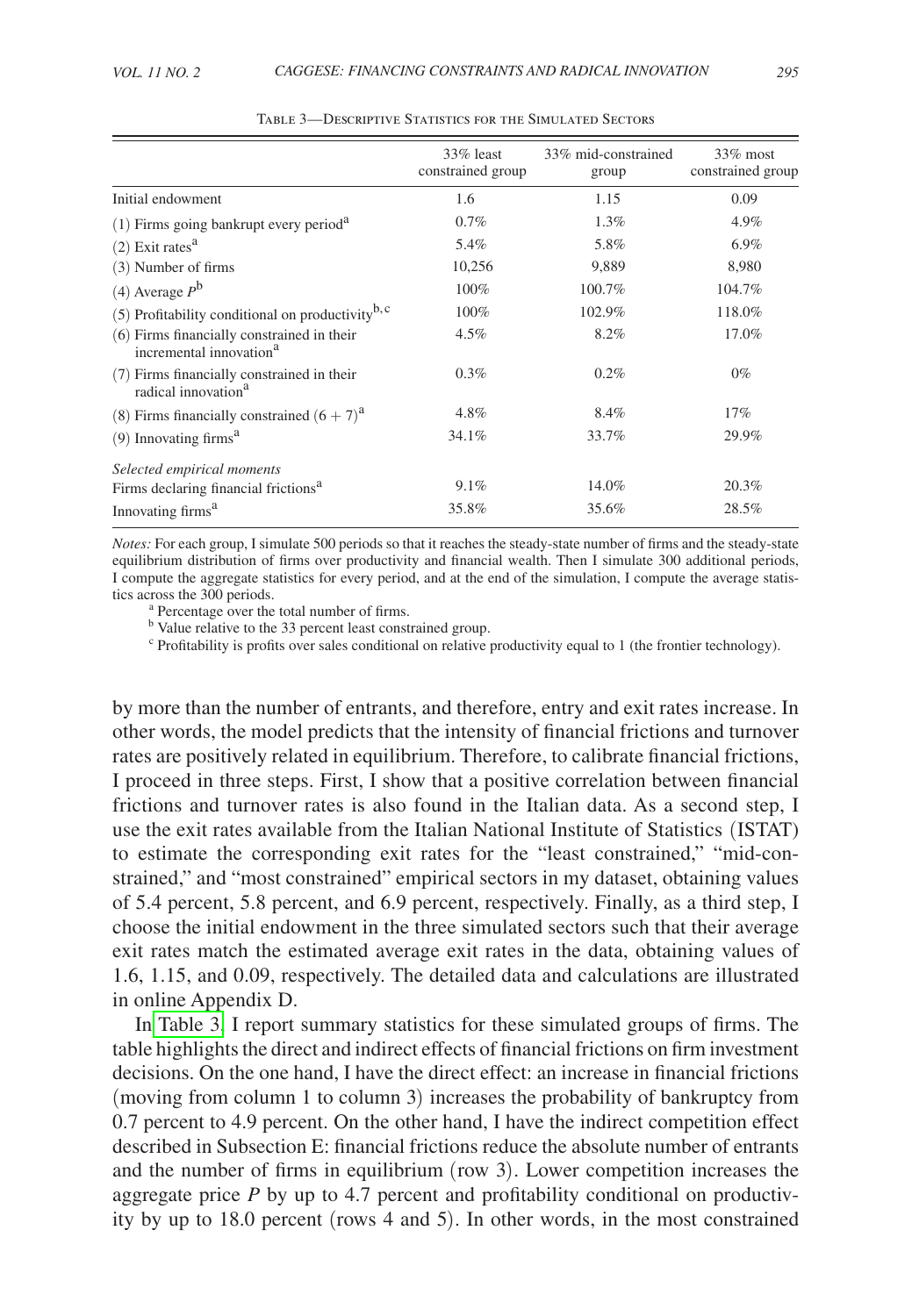|                                                                                   | $33\%$ least<br>constrained group | 33% mid-constrained<br>group | $33\%$ most<br>constrained group |
|-----------------------------------------------------------------------------------|-----------------------------------|------------------------------|----------------------------------|
| Initial endowment                                                                 | 1.6                               | 1.15                         | 0.09                             |
| $(1)$ Firms going bankrupt every period <sup>a</sup>                              | 0.7%                              | 1.3%                         | 4.9%                             |
| $(2)$ Exit rates <sup>a</sup>                                                     | 5.4%                              | 5.8%                         | 6.9%                             |
| (3) Number of firms                                                               | 10,256                            | 9,889                        | 8,980                            |
| $(4)$ Average $P^{\rm b}$                                                         | $100\%$                           | 100.7%                       | 104.7%                           |
| (5) Profitability conditional on productivity <sup>b, c</sup>                     | $100\%$                           | 102.9%                       | 118.0%                           |
| (6) Firms financially constrained in their<br>incremental innovation <sup>a</sup> | $4.5\%$                           | 8.2%                         | 17.0%                            |
| (7) Firms financially constrained in their<br>radical innovation <sup>a</sup>     | 0.3%                              | $0.2\%$                      | $0\%$                            |
| (8) Firms financially constrained $(6 + 7)^{a}$                                   | 4.8%                              | 8.4%                         | 17%                              |
| $(9)$ Innovating firms <sup>a</sup>                                               | 34.1%                             | 33.7%                        | 29.9%                            |
| Selected empirical moments                                                        |                                   |                              |                                  |
| Firms declaring financial frictions <sup>a</sup>                                  | 9.1%                              | 14.0%                        | 20.3%                            |
| Innovating firms <sup>a</sup>                                                     | 35.8%                             | 35.6%                        | 28.5%                            |

Table 3—Descriptive Statistics for the Simulated Sectors

*Notes:* For each group, I simulate 500 periods so that it reaches the steady-state number of firms and the steady-state equilibrium distribution of firms over productivity and financial wealth. Then I simulate 300 additional periods, I compute the aggregate statistics for every period, and at the end of the simulation, I compute the average statistics across the 300 periods.<br><sup>a</sup> Percentage over the total number of firms.

<sup>b</sup> Value relative to the 33 percent least constrained group.

<sup>c</sup> Profitability is profits over sales conditional on relative productivity equal to 1 (the frontier technology).

by more than the number of entrants, and therefore, entry and exit rates increase. In other words, the model predicts that the intensity of financial frictions and turnover rates are positively related in equilibrium. Therefore, to calibrate financial frictions, I proceed in three steps. First, I show that a positive correlation between financial frictions and turnover rates is also found in the Italian data. As a second step, I use the exit rates available from the Italian National Institute of Statistics (ISTAT) to estimate the corresponding exit rates for the "least constrained," "mid-constrained," and "most constrained" empirical sectors in my dataset, obtaining values of 5.4 percent, 5.8 percent, and 6.9 percent, respectively. Finally, as a third step, I choose the initial endowment in the three simulated sectors such that their average exit rates match the estimated average exit rates in the data, obtaining values of 1.6, 1.15, and 0.09, respectively. The detailed data and calculations are illustrated in online Appendix D.

In Table 3, I report summary statistics for these simulated groups of firms. The table highlights the direct and indirect effects of financial frictions on firm investment decisions. On the one hand, I have the direct effect: an increase in financial frictions (moving from column 1 to column 3) increases the probability of bankruptcy from 0.7 percent to 4.9 percent. On the other hand, I have the indirect competition effect described in Subsection E: financial frictions reduce the absolute number of entrants and the number of firms in equilibrium (row 3). Lower competition increases the aggregate price *P* by up to 4.7 percent and profitability conditional on productivity by up to 18.0 percent (rows 4 and 5). In other words, in the most constrained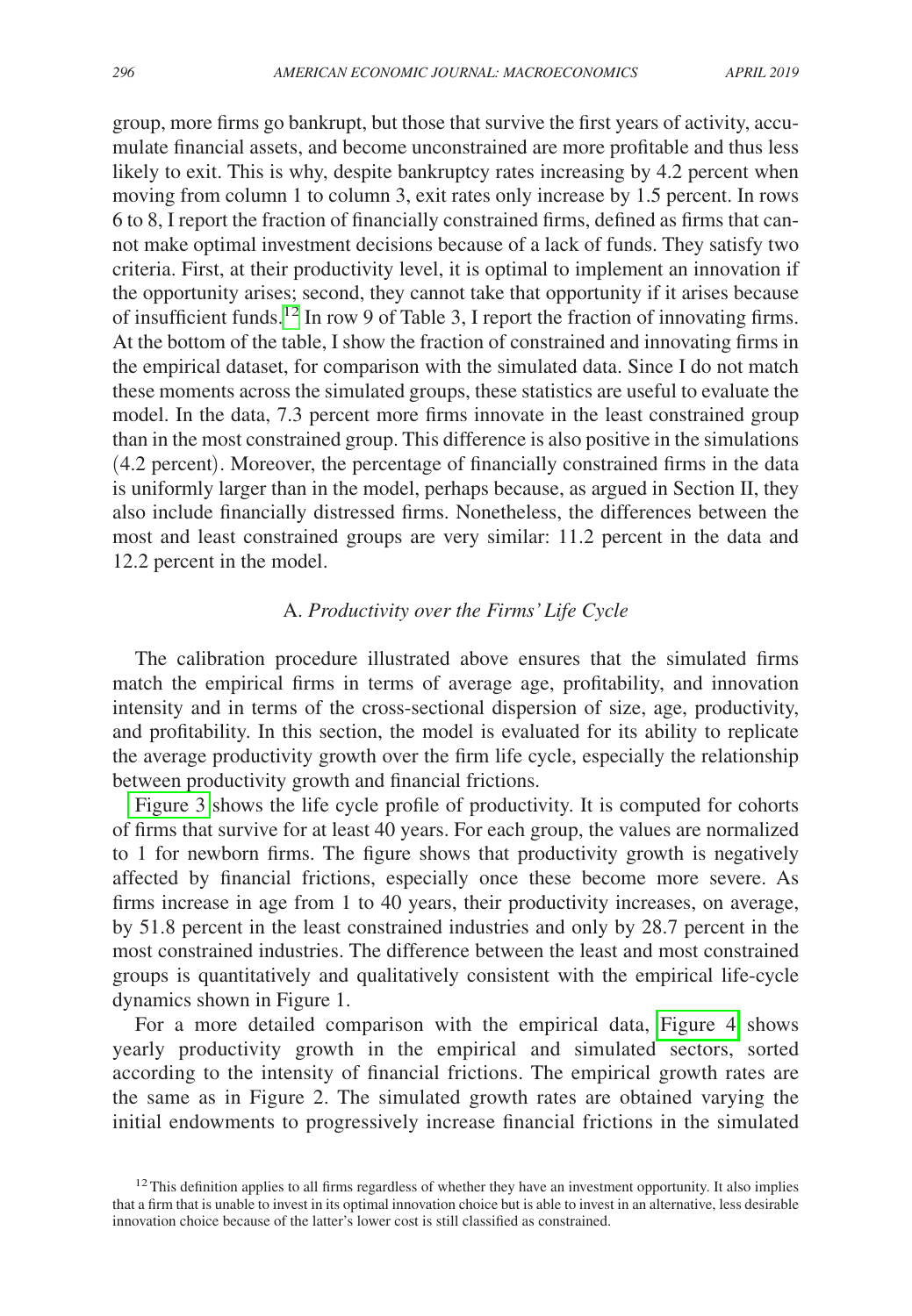group, more firms go bankrupt, but those that survive the first years of activity, accumulate financial assets, and become unconstrained are more profitable and thus less likely to exit. This is why, despite bankruptcy rates increasing by 4.2 percent when moving from column 1 to column 3, exit rates only increase by 1.5 percent. In rows 6 to 8, I report the fraction of financially constrained firms, defined as firms that cannot make optimal investment decisions because of a lack of funds. They satisfy two criteria. First, at their productivity level, it is optimal to implement an innovation if the opportunity arises; second, they cannot take that opportunity if it arises because of insufficient funds.[12](#page-21-0) In row 9 of Table 3, I report the fraction of innovating firms. At the bottom of the table, I show the fraction of constrained and innovating firms in the empirical dataset, for comparison with the simulated data. Since I do not match these moments across the simulated groups, these statistics are useful to evaluate the model. In the data, 7.3 percent more firms innovate in the least constrained group than in the most constrained group. This difference is also positive in the simulations (4.2 percent). Moreover, the percentage of financially constrained firms in the data is uniformly larger than in the model, perhaps because, as argued in Section II, they also include financially distressed firms. Nonetheless, the differences between the most and least constrained groups are very similar: 11.2 percent in the data and 12.2 percent in the model.

# A. *Productivity over the Firms' Life Cycle*

The calibration procedure illustrated above ensures that the simulated firms match the empirical firms in terms of average age, profitability, and innovation intensity and in terms of the cross-sectional dispersion of size, age, productivity, and profitability. In this section, the model is evaluated for its ability to replicate the average productivity growth over the firm life cycle, especially the relationship between productivity growth and financial frictions.

[Figure 3](#page-22-0) shows the life cycle profile of productivity. It is computed for cohorts of firms that survive for at least 40 years. For each group, the values are normalized to 1 for newborn firms. The figure shows that productivity growth is negatively affected by financial frictions, especially once these become more severe. As firms increase in age from 1 to 40 years, their productivity increases, on average, by 51.8 percent in the least constrained industries and only by 28.7 percent in the most constrained industries. The difference between the least and most constrained groups is quantitatively and qualitatively consistent with the empirical life-cycle dynamics shown in Figure 1.

For a more detailed comparison with the empirical data, [Figure 4](#page-22-0) shows yearly productivity growth in the empirical and simulated sectors, sorted according to the intensity of financial frictions. The empirical growth rates are the same as in Figure 2. The simulated growth rates are obtained varying the initial endowments to progressively increase financial frictions in the simulated

<span id="page-21-0"></span> $12$ This definition applies to all firms regardless of whether they have an investment opportunity. It also implies that a firm that is unable to invest in its optimal innovation choice but is able to invest in an alternative, less desirable innovation choice because of the latter's lower cost is still classified as constrained.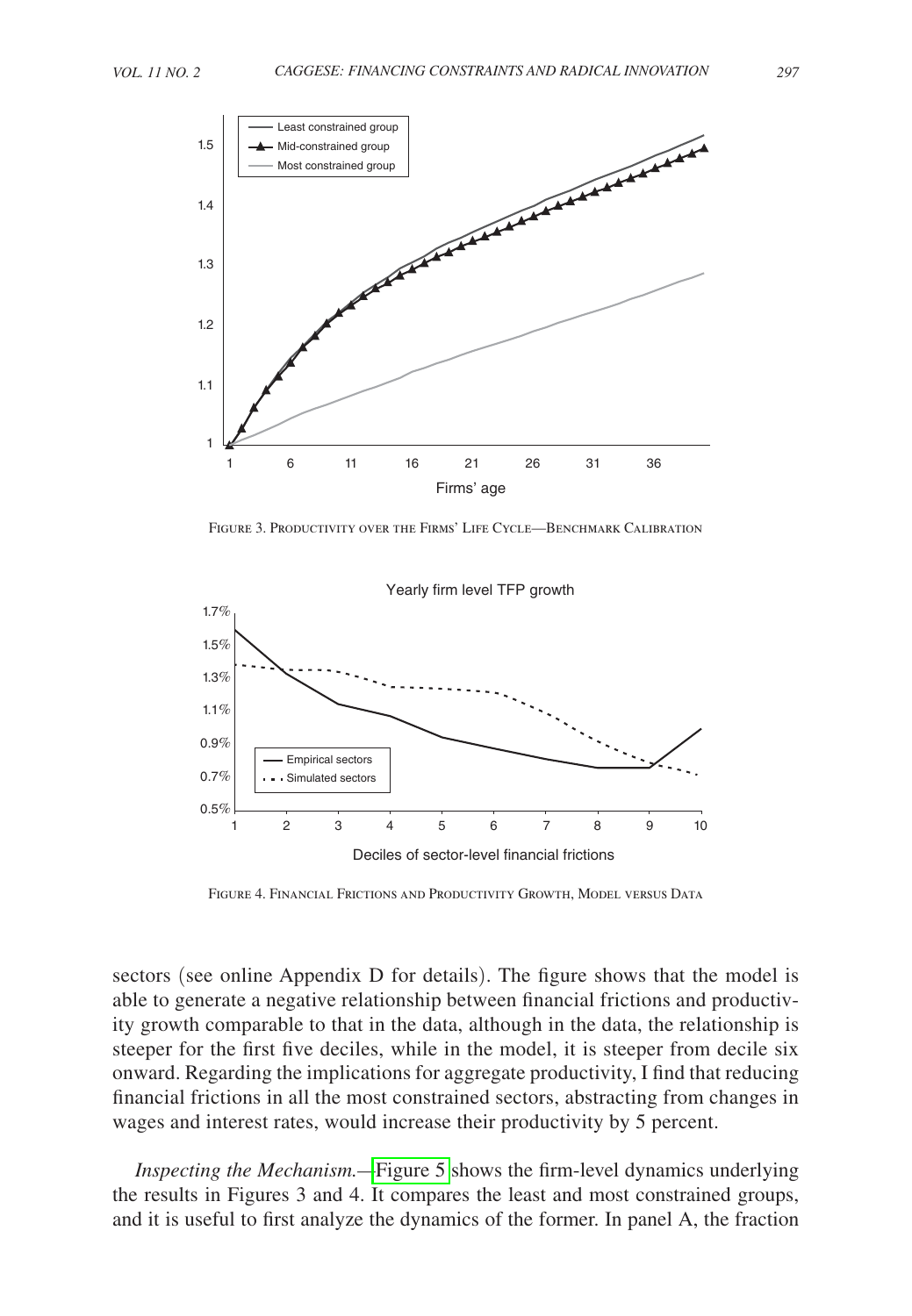<span id="page-22-0"></span>

FIGURE 3. PRODUCTIVITY OVER THE FIRMS' LIFE CYCLE—BENCHMARK CALIBRATION



Figure 4. Financial Frictions and Productivity Growth, Model versus Data

sectors (see online Appendix D for details). The figure shows that the model is able to generate a negative relationship between financial frictions and productivity growth comparable to that in the data, although in the data, the relationship is steeper for the first five deciles, while in the model, it is steeper from decile six onward. Regarding the implications for aggregate productivity, I find that reducing financial frictions in all the most constrained sectors, abstracting from changes in wages and interest rates, would increase their productivity by 5 percent.

*Inspecting the Mechanism.—*[Figure 5](#page-23-0) shows the firm-level dynamics underlying the results in Figures 3 and 4. It compares the least and most constrained groups, and it is useful to first analyze the dynamics of the former. In panel A, the fraction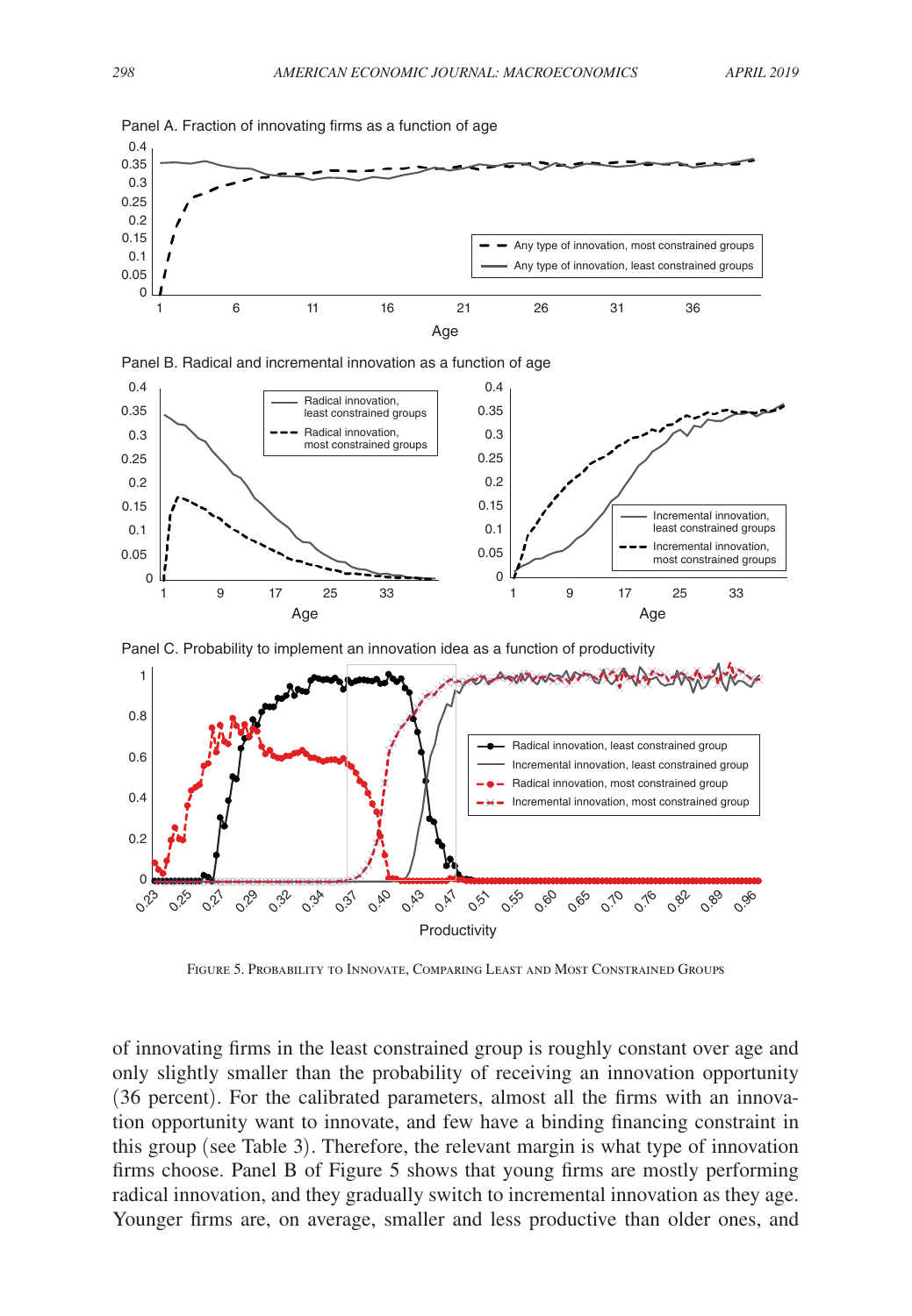<span id="page-23-0"></span>







Figure 5. Probability to Innovate, Comparing Least and Most Constrained Groups

of innovating firms in the least constrained group is roughly constant over age and only slightly smaller than the probability of receiving an innovation opportunity (36 percent). For the calibrated parameters, almost all the firms with an innovation opportunity want to innovate, and few have a binding financing constraint in this group (see Table 3). Therefore, the relevant margin is what type of innovation firms choose. Panel B of Figure 5 shows that young firms are mostly performing radical innovation, and they gradually switch to incremental innovation as they age. Younger firms are, on average, smaller and less productive than older ones, and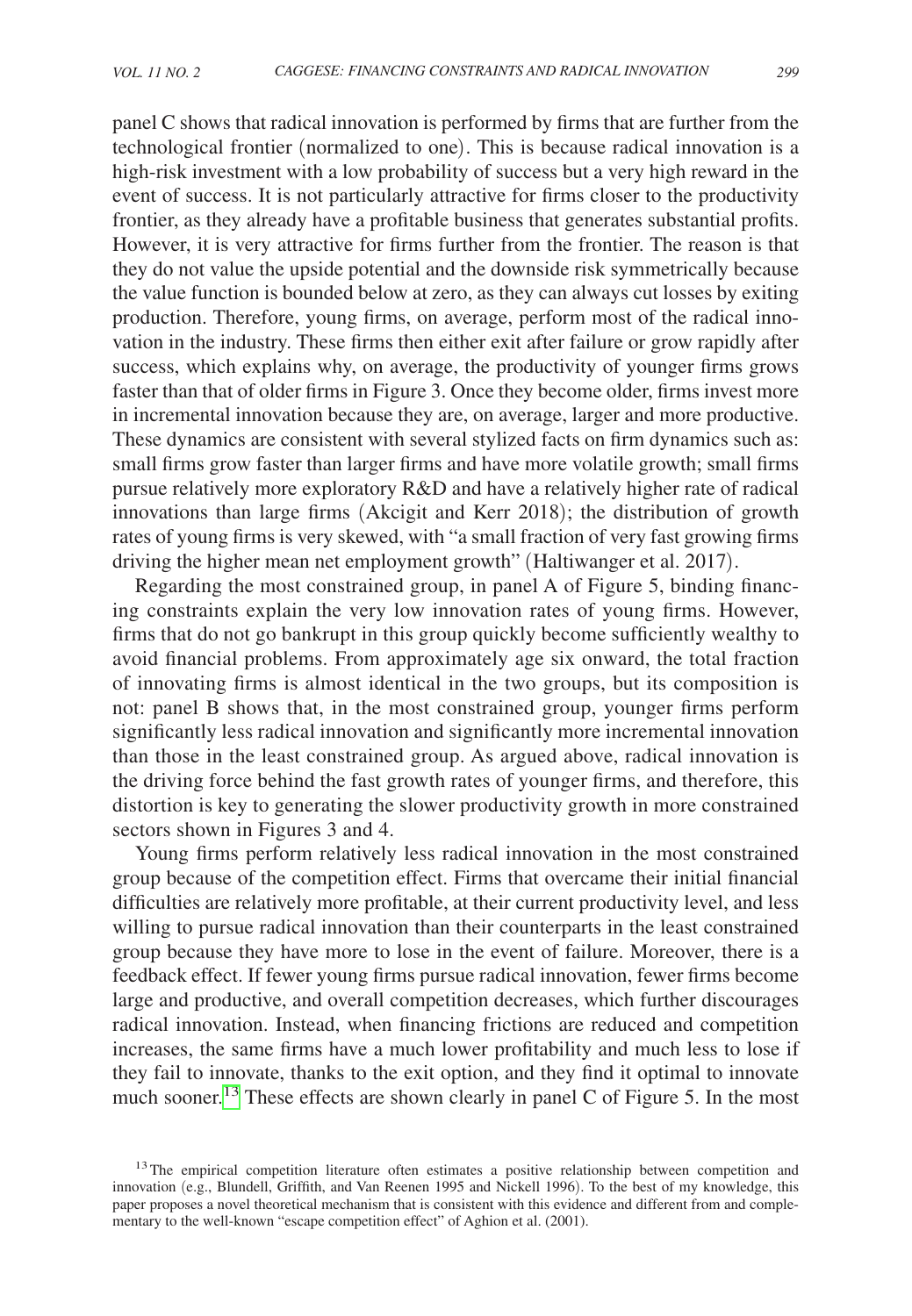panel C shows that radical innovation is performed by firms that are further from the technological frontier (normalized to one). This is because radical innovation is a high-risk investment with a low probability of success but a very high reward in the event of success. It is not particularly attractive for firms closer to the productivity frontier, as they already have a profitable business that generates substantial profits. However, it is very attractive for firms further from the frontier. The reason is that they do not value the upside potential and the downside risk symmetrically because the value function is bounded below at zero, as they can always cut losses by exiting production. Therefore, young firms, on average, perform most of the radical innovation in the industry. These firms then either exit after failure or grow rapidly after success, which explains why, on average, the productivity of younger firms grows faster than that of older firms in Figure 3. Once they become older, firms invest more in incremental innovation because they are, on average, larger and more productive. These dynamics are consistent with several stylized facts on firm dynamics such as: small firms grow faster than larger firms and have more volatile growth; small firms pursue relatively more exploratory R&D and have a relatively higher rate of radical innovations than large firms (Akcigit and Kerr 2018); the distribution of growth rates of young firms is very skewed, with "a small fraction of very fast growing firms driving the higher mean net employment growth" (Haltiwanger et al. 2017).

Regarding the most constrained group, in panel A of Figure 5, binding financing constraints explain the very low innovation rates of young firms. However, firms that do not go bankrupt in this group quickly become sufficiently wealthy to avoid financial problems. From approximately age six onward, the total fraction of innovating firms is almost identical in the two groups, but its composition is not: panel B shows that, in the most constrained group, younger firms perform significantly less radical innovation and significantly more incremental innovation than those in the least constrained group. As argued above, radical innovation is the driving force behind the fast growth rates of younger firms, and therefore, this distortion is key to generating the slower productivity growth in more constrained sectors shown in Figures 3 and 4.

Young firms perform relatively less radical innovation in the most constrained group because of the competition effect. Firms that overcame their initial financial difficulties are relatively more profitable, at their current productivity level, and less willing to pursue radical innovation than their counterparts in the least constrained group because they have more to lose in the event of failure. Moreover, there is a feedback effect. If fewer young firms pursue radical innovation, fewer firms become large and productive, and overall competition decreases, which further discourages radical innovation. Instead, when financing frictions are reduced and competition increases, the same firms have a much lower profitability and much less to lose if they fail to innovate, thanks to the exit option, and they find it optimal to innovate much sooner.<sup>13</sup> These effects are shown clearly in panel C of Figure 5. In the most

<span id="page-24-0"></span><sup>&</sup>lt;sup>13</sup>The empirical competition literature often estimates a positive relationship between competition and innovation (e.g., Blundell, Griffith, and Van Reenen 1995 and Nickell 1996). To the best of my knowledge, this paper proposes a novel theoretical mechanism that is consistent with this evidence and different from and complementary to the well-known "escape competition effect" of Aghion et al. (2001).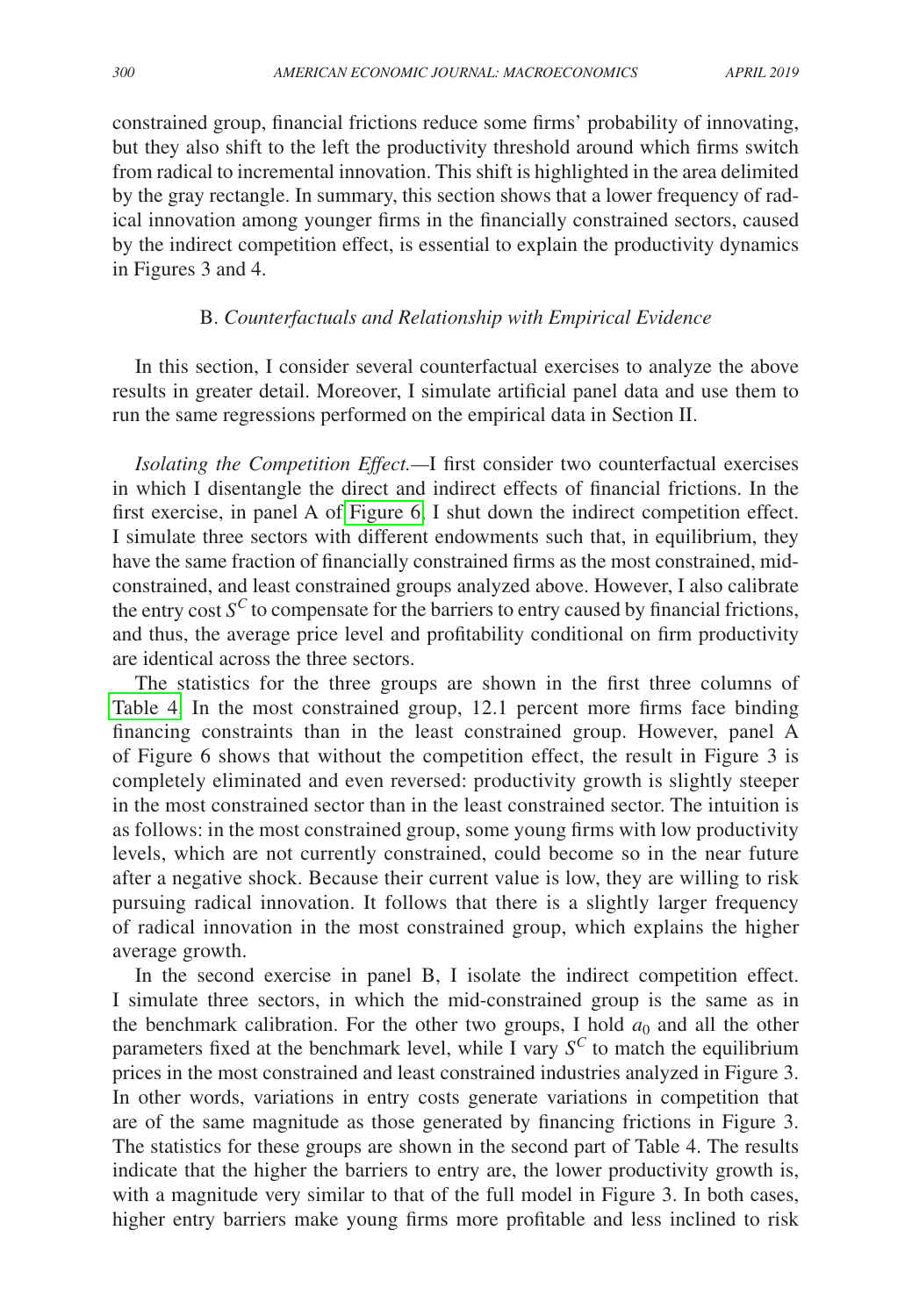constrained group, financial frictions reduce some firms' probability of innovating, but they also shift to the left the productivity threshold around which firms switch from radical to incremental innovation. This shift is highlighted in the area delimited by the gray rectangle. In summary, this section shows that a lower frequency of radical innovation among younger firms in the financially constrained sectors, caused by the indirect competition effect, is essential to explain the productivity dynamics in Figures 3 and 4.

# B. *Counterfactuals and Relationship with Empirical Evidence*

In this section, I consider several counterfactual exercises to analyze the above results in greater detail. Moreover, I simulate artificial panel data and use them to run the same regressions performed on the empirical data in Section II.

*Isolating the Competition Effect.—*I first consider two counterfactual exercises in which I disentangle the direct and indirect effects of financial frictions. In the first exercise, in panel A of [Figure 6,](#page-26-0) I shut down the indirect competition effect. I simulate three sectors with different endowments such that, in equilibrium, they have the same fraction of financially constrained firms as the most constrained, midconstrained, and least constrained groups analyzed above. However, I also calibrate the entry cost  $S^C$  to compensate for the barriers to entry caused by financial frictions, and thus, the average price level and profitability conditional on firm productivity are identical across the three sectors.

The statistics for the three groups are shown in the first three columns of [Table 4.](#page-27-0) In the most constrained group, 12.1 percent more firms face binding financing constraints than in the least constrained group. However, panel A of Figure 6 shows that without the competition effect, the result in Figure 3 is completely eliminated and even reversed: productivity growth is slightly steeper in the most constrained sector than in the least constrained sector. The intuition is as follows: in the most constrained group, some young firms with low productivity levels, which are not currently constrained, could become so in the near future after a negative shock. Because their current value is low, they are willing to risk pursuing radical innovation. It follows that there is a slightly larger frequency of radical innovation in the most constrained group, which explains the higher average growth.

In the second exercise in panel B, I isolate the indirect competition effect. I simulate three sectors, in which the mid-constrained group is the same as in the benchmark calibration. For the other two groups, I hold  $a_0$  and all the other parameters fixed at the benchmark level, while I vary  $S^C$  to match the equilibrium prices in the most constrained and least constrained industries analyzed in Figure 3. In other words, variations in entry costs generate variations in competition that are of the same magnitude as those generated by financing frictions in Figure 3. The statistics for these groups are shown in the second part of Table 4. The results indicate that the higher the barriers to entry are, the lower productivity growth is, with a magnitude very similar to that of the full model in Figure 3. In both cases, higher entry barriers make young firms more profitable and less inclined to risk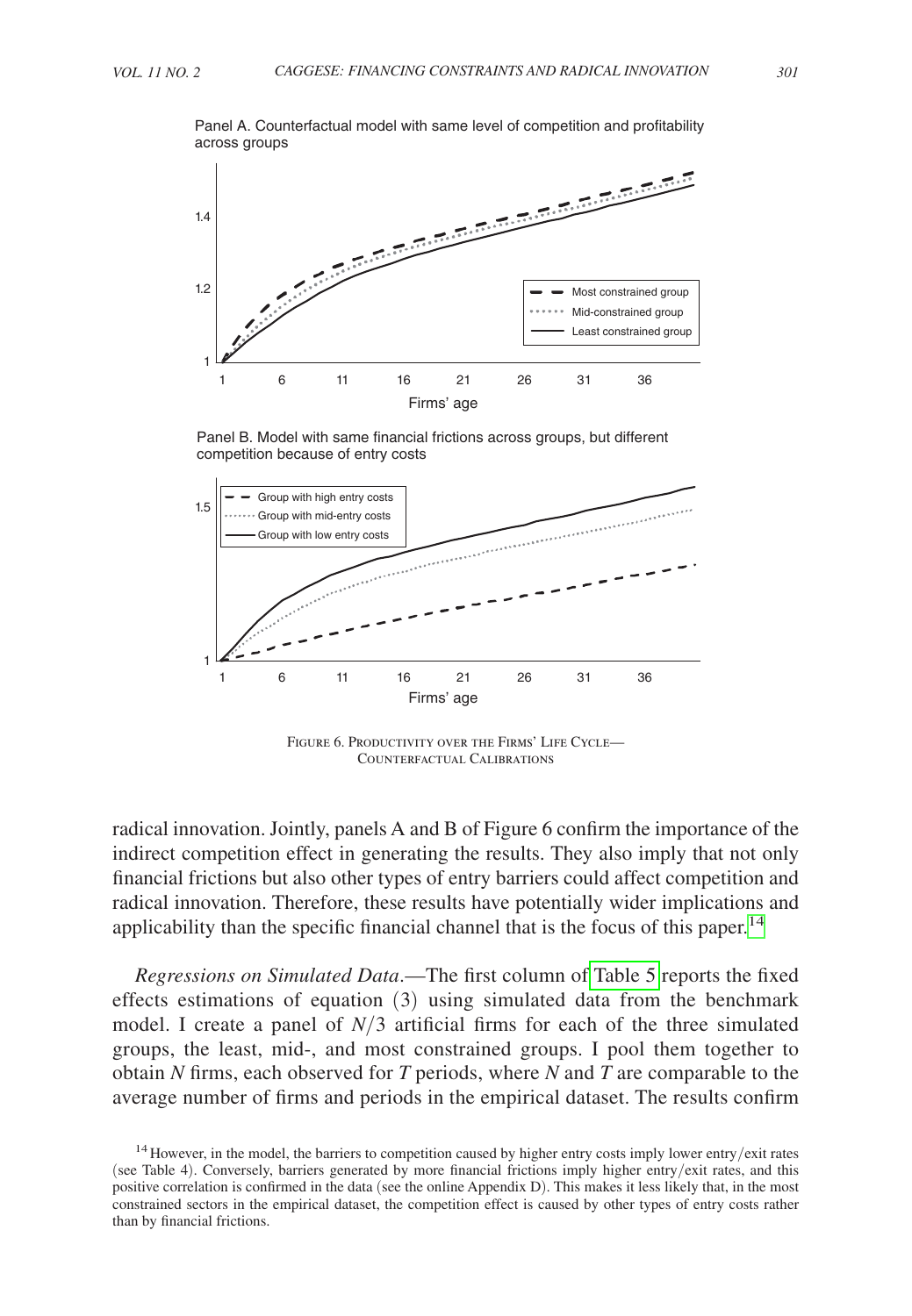<span id="page-26-0"></span>



Panel B. Model with same financial frictions across groups, but different competition because of entry costs



Figure 6. Productivity over the Firms' Life Cycle— COUNTERFACTUAL CALIBRATIONS

radical innovation. Jointly, panels A and B of Figure 6 confirm the importance of the indirect competition effect in generating the results. They also imply that not only financial frictions but also other types of entry barriers could affect competition and radical innovation. Therefore, these results have potentially wider implications and applicability than the specific financial channel that is the focus of this paper.<sup>[14](#page-26-1)</sup>

*Regressions on Simulated Data*.—The first column of [Table 5](#page-28-0) reports the fixed effects estimations of equation (3) using simulated data from the benchmark model. I create a panel of *N*/3 artificial firms for each of the three simulated groups, the least, mid-, and most constrained groups. I pool them together to obtain *N* firms, each observed for *T* periods, where *N* and *T* are comparable to the average number of firms and periods in the empirical dataset. The results confirm

<span id="page-26-1"></span> $14$  However, in the model, the barriers to competition caused by higher entry costs imply lower entry/exit rates (see Table 4). Conversely, barriers generated by more financial frictions imply higher entry/exit rates, and this positive correlation is confirmed in the data (see the online Appendix D). This makes it less likely that, in the most constrained sectors in the empirical dataset, the competition effect is caused by other types of entry costs rather than by financial frictions.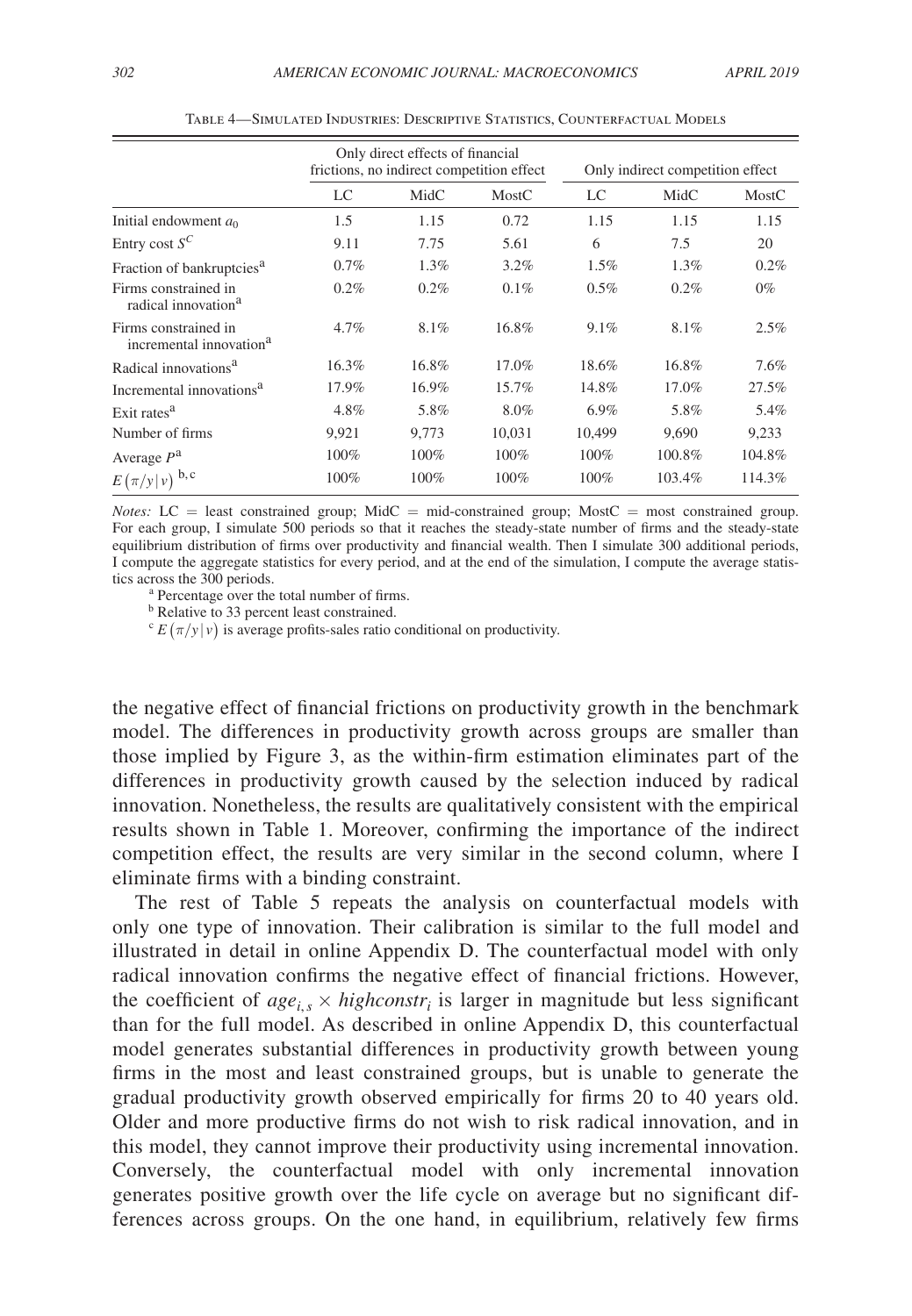<span id="page-27-0"></span>

|                                                             |         | Only direct effects of financial<br>frictions, no indirect competition effect |        |         | Only indirect competition effect |        |
|-------------------------------------------------------------|---------|-------------------------------------------------------------------------------|--------|---------|----------------------------------|--------|
|                                                             | LC      | MidC                                                                          | MostC  | LC      | MidC                             | MostC  |
| Initial endowment $a_0$                                     | 1.5     | 1.15                                                                          | 0.72   | 1.15    | 1.15                             | 1.15   |
| Entry cost $S^C$                                            | 9.11    | 7.75                                                                          | 5.61   | 6       | 7.5                              | 20     |
| Fraction of bankruptcies <sup>a</sup>                       | $0.7\%$ | 1.3%                                                                          | 3.2%   | $1.5\%$ | $1.3\%$                          | 0.2%   |
| Firms constrained in<br>radical innovation <sup>a</sup>     | 0.2%    | 0.2%                                                                          | 0.1%   | $0.5\%$ | $0.2\%$                          | $0\%$  |
| Firms constrained in<br>incremental innovation <sup>a</sup> | 4.7%    | 8.1%                                                                          | 16.8%  | 9.1%    | 8.1%                             | 2.5%   |
| Radical innovations <sup>a</sup>                            | 16.3%   | 16.8%                                                                         | 17.0%  | 18.6%   | 16.8%                            | 7.6%   |
| Incremental innovations <sup>a</sup>                        | 17.9%   | 16.9%                                                                         | 15.7%  | 14.8%   | 17.0%                            | 27.5%  |
| Exit rates <sup>a</sup>                                     | 4.8%    | 5.8%                                                                          | 8.0%   | 6.9%    | 5.8%                             | 5.4%   |
| Number of firms                                             | 9,921   | 9,773                                                                         | 10,031 | 10,499  | 9,690                            | 9,233  |
| Average $P^a$                                               | 100%    | 100%                                                                          | 100%   | 100%    | 100.8%                           | 104.8% |
| $E(\pi/y v)^{b,c}$                                          | 100%    | 100%                                                                          | 100%   | 100%    | 103.4%                           | 114.3% |

Table 4—Simulated Industries: Descriptive Statistics, Counterfactual Models

*Notes:* LC = least constrained group; MidC = mid-constrained group; MostC = most constrained group. For each group, I simulate 500 periods so that it reaches the steady-state number of firms and the steady-state equilibrium distribution of firms over productivity and financial wealth. Then I simulate 300 additional periods, I compute the aggregate statistics for every period, and at the end of the simulation, I compute the average statistics across the 300 periods.<br><sup>a</sup> Percentage over the total number of firms.

<sup>b</sup> Relative to 33 percent least constrained.

<sup>c</sup>  $E(\pi/y|v)$  is average profits-sales ratio conditional on productivity.

the negative effect of financial frictions on productivity growth in the benchmark model. The differences in productivity growth across groups are smaller than those implied by Figure 3, as the within-firm estimation eliminates part of the differences in productivity growth caused by the selection induced by radical innovation. Nonetheless, the results are qualitatively consistent with the empirical results shown in Table 1. Moreover, confirming the importance of the indirect competition effect, the results are very similar in the second column, where I eliminate firms with a binding constraint.

The rest of Table 5 repeats the analysis on counterfactual models with only one type of innovation. Their calibration is similar to the full model and illustrated in detail in online Appendix D. The counterfactual model with only radical innovation confirms the negative effect of financial frictions. However, the coefficient of  $age_{i,s} \times highconstr_i$  is larger in magnitude but less significant than for the full model. As described in online Appendix D, this counterfactual model generates substantial differences in productivity growth between young firms in the most and least constrained groups, but is unable to generate the gradual productivity growth observed empirically for firms 20 to 40 years old. Older and more productive firms do not wish to risk radical innovation, and in this model, they cannot improve their productivity using incremental innovation. Conversely, the counterfactual model with only incremental innovation generates positive growth over the life cycle on average but no significant differences across groups. On the one hand, in equilibrium, relatively few firms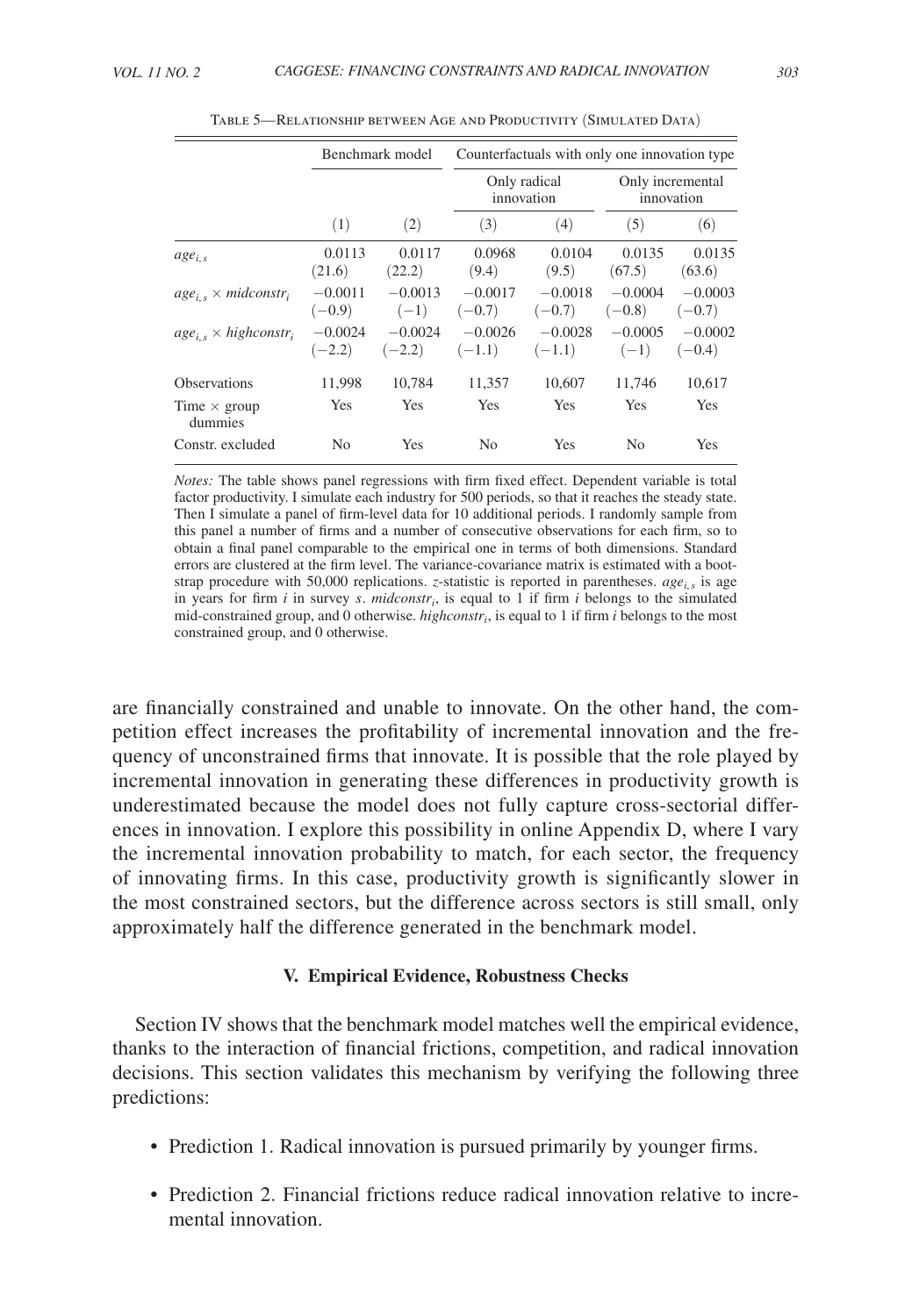<span id="page-28-0"></span>

|                                |                       | Benchmark model       | Counterfactuals with only one innovation type |                       |                                |                       |  |
|--------------------------------|-----------------------|-----------------------|-----------------------------------------------|-----------------------|--------------------------------|-----------------------|--|
|                                |                       |                       | Only radical<br>innovation                    |                       | Only incremental<br>innovation |                       |  |
|                                | (1)                   | (2)                   | (3)                                           | (4)                   | (5)                            | (6)                   |  |
| $age_{i,s}$                    | 0.0113<br>(21.6)      | 0.0117<br>(22.2)      | 0.0968<br>(9.4)                               | 0.0104<br>(9.5)       | 0.0135<br>(67.5)               | 0.0135<br>(63.6)      |  |
| $age_{i.s} \times midconstr_i$ | $-0.0011$<br>$(-0.9)$ | $-0.0013$<br>$(-1)$   | $-0.0017$<br>$(-0.7)$                         | $-0.0018$<br>$(-0.7)$ | $-0.0004$<br>$(-0.8)$          | $-0.0003$<br>$(-0.7)$ |  |
| $age_i \times highconstr_i$    | $-0.0024$<br>$(-2.2)$ | $-0.0024$<br>$(-2.2)$ | $-0.0026$<br>$(-1.1)$                         | $-0.0028$<br>$(-1.1)$ | $-0.0005$<br>$(-1)$            | $-0.0002$<br>$(-0.4)$ |  |
| <b>Observations</b>            | 11,998                | 10,784                | 11,357                                        | 10,607                | 11,746                         | 10,617                |  |
| Time $\times$ group<br>dummies | Yes                   | Yes                   | Yes                                           | <b>Yes</b>            | Yes                            | Yes                   |  |
| Constr. excluded               | No                    | Yes                   | No                                            | Yes                   | No                             | Yes                   |  |

Table 5—Relationship between Age and Productivity (Simulated Data)

*Notes:* The table shows panel regressions with firm fixed effect. Dependent variable is total factor productivity. I simulate each industry for 500 periods, so that it reaches the steady state. Then I simulate a panel of firm-level data for 10 additional periods. I randomly sample from this panel a number of firms and a number of consecutive observations for each firm, so to obtain a final panel comparable to the empirical one in terms of both dimensions. Standard errors are clustered at the firm level. The variance-covariance matrix is estimated with a bootstrap procedure with 50,000 replications. *z*-statistic is reported in parentheses.  $age_i$ , is age in years for firm  $i$  in survey  $s$ . *midconstr<sub>i</sub>*, is equal to 1 if firm  $i$  belongs to the simulated mid-constrained group, and 0 otherwise. *highconstr<sub>i</sub>*, is equal to 1 if firm *i* belongs to the most constrained group, and 0 otherwise.

are financially constrained and unable to innovate. On the other hand, the competition effect increases the profitability of incremental innovation and the frequency of unconstrained firms that innovate. It is possible that the role played by incremental innovation in generating these differences in productivity growth is underestimated because the model does not fully capture cross-sectorial differences in innovation. I explore this possibility in online Appendix D, where I vary the incremental innovation probability to match, for each sector, the frequency of innovating firms. In this case, productivity growth is significantly slower in the most constrained sectors, but the difference across sectors is still small, only approximately half the difference generated in the benchmark model.

# **V. Empirical Evidence, Robustness Checks**

Section IV shows that the benchmark model matches well the empirical evidence, thanks to the interaction of financial frictions, competition, and radical innovation decisions. This section validates this mechanism by verifying the following three predictions:

- Prediction 1. Radical innovation is pursued primarily by younger firms.
- Prediction 2. Financial frictions reduce radical innovation relative to incremental innovation.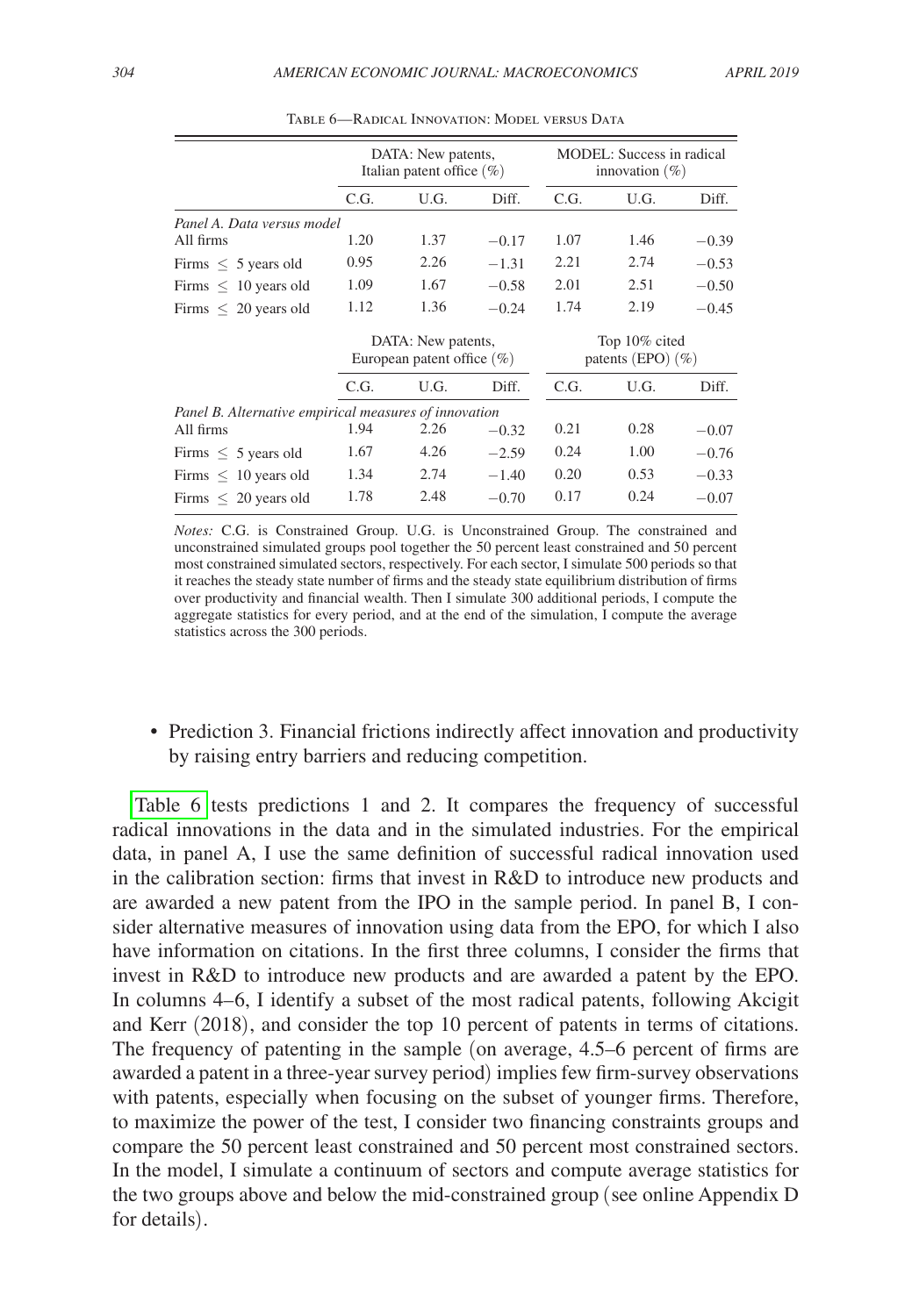|                                                       |      | DATA: New patents,<br>Italian patent office $(\%)$  |         |      | <b>MODEL</b> : Success in radical<br>innovation $(\% )$ |         |
|-------------------------------------------------------|------|-----------------------------------------------------|---------|------|---------------------------------------------------------|---------|
|                                                       | C.G. | U.G.                                                | Diff.   | C.G. | U.G.                                                    | Diff.   |
| Panel A. Data versus model                            |      |                                                     |         |      |                                                         |         |
| All firms                                             | 1.20 | 1.37                                                | $-0.17$ | 1.07 | 1.46                                                    | $-0.39$ |
| Firms $\leq 5$ years old                              | 0.95 | 2.26                                                | $-1.31$ | 2.21 | 2.74                                                    | $-0.53$ |
| Firms $\leq 10$ years old                             | 1.09 | 1.67                                                | $-0.58$ | 2.01 | 2.51                                                    | $-0.50$ |
| Firms $\leq 20$ years old                             | 1.12 | 1.36                                                | $-0.24$ | 1.74 | 2.19                                                    | $-0.45$ |
|                                                       |      | DATA: New patents,<br>European patent office $(\%)$ |         |      | Top 10% cited<br>patents (EPO) $(\% )$                  |         |
|                                                       | C.G. | U.G.                                                | Diff.   | C.G. | U.G.                                                    | Diff.   |
| Panel B. Alternative empirical measures of innovation |      |                                                     |         |      |                                                         |         |
| All firms                                             | 1.94 | 2.26                                                | $-0.32$ | 0.21 | 0.28                                                    | $-0.07$ |
| Firms $\leq 5$ years old                              | 1.67 | 4.26                                                | $-2.59$ | 0.24 | 1.00                                                    | $-0.76$ |
| Firms $\leq 10$ years old                             | 1.34 | 2.74                                                | $-1.40$ | 0.20 | 0.53                                                    | $-0.33$ |
| Firms $\leq 20$ years old                             | 1.78 | 2.48                                                | $-0.70$ | 0.17 | 0.24                                                    | $-0.07$ |

Table 6—Radical Innovation: Model versus Data

*Notes:* C.G. is Constrained Group. U.G. is Unconstrained Group. The constrained and unconstrained simulated groups pool together the 50 percent least constrained and 50 percent most constrained simulated sectors, respectively. For each sector, I simulate 500 periods so that it reaches the steady state number of firms and the steady state equilibrium distribution of firms over productivity and financial wealth. Then I simulate 300 additional periods, I compute the aggregate statistics for every period, and at the end of the simulation, I compute the average statistics across the 300 periods.

• Prediction 3. Financial frictions indirectly affect innovation and productivity by raising entry barriers and reducing competition.

Table 6 tests predictions 1 and 2. It compares the frequency of successful radical innovations in the data and in the simulated industries. For the empirical data, in panel A, I use the same definition of successful radical innovation used in the calibration section: firms that invest in R&D to introduce new products and are awarded a new patent from the IPO in the sample period. In panel B, I consider alternative measures of innovation using data from the EPO, for which I also have information on citations. In the first three columns, I consider the firms that invest in R&D to introduce new products and are awarded a patent by the EPO. In columns 4–6, I identify a subset of the most radical patents, following Akcigit and Kerr (2018), and consider the top 10 percent of patents in terms of citations. The frequency of patenting in the sample (on average, 4.5–6 percent of firms are awarded a patent in a three-year survey period) implies few firm-survey observations with patents, especially when focusing on the subset of younger firms. Therefore, to maximize the power of the test, I consider two financing constraints groups and compare the 50 percent least constrained and 50 percent most constrained sectors. In the model, I simulate a continuum of sectors and compute average statistics for the two groups above and below the mid-constrained group (see online Appendix D for details).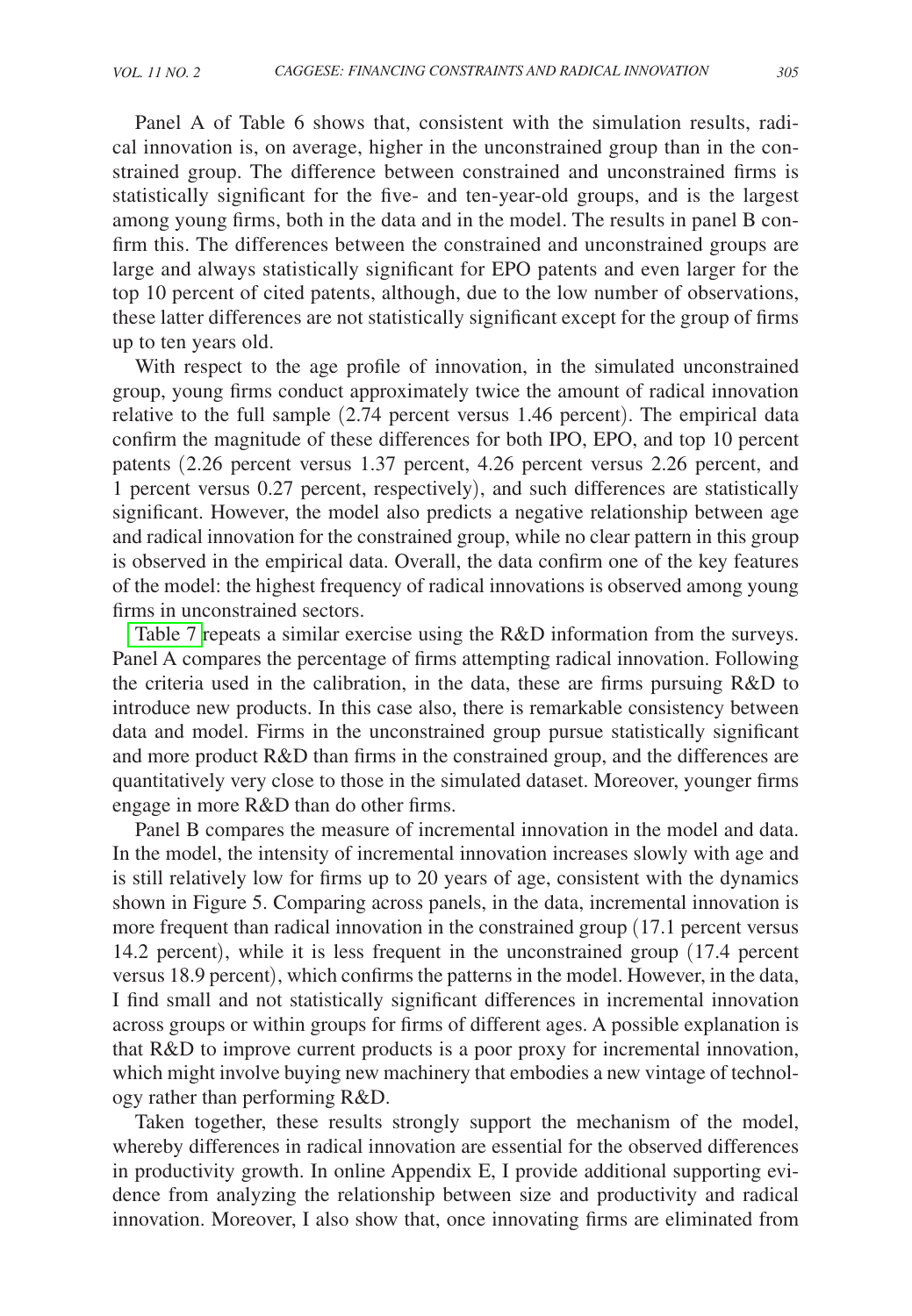Panel A of Table 6 shows that, consistent with the simulation results, radical innovation is, on average, higher in the unconstrained group than in the constrained group. The difference between constrained and unconstrained firms is statistically significant for the five- and ten-year-old groups, and is the largest among young firms, both in the data and in the model. The results in panel B confirm this. The differences between the constrained and unconstrained groups are large and always statistically significant for EPO patents and even larger for the top 10 percent of cited patents, although, due to the low number of observations, these latter differences are not statistically significant except for the group of firms up to ten years old.

With respect to the age profile of innovation, in the simulated unconstrained group, young firms conduct approximately twice the amount of radical innovation relative to the full sample (2.74 percent versus 1.46 percent). The empirical data confirm the magnitude of these differences for both IPO, EPO, and top 10 percent patents (2.26 percent versus 1.37 percent, 4.26 percent versus 2.26 percent, and 1 percent versus 0.27 percent, respectively), and such differences are statistically significant. However, the model also predicts a negative relationship between age and radical innovation for the constrained group, while no clear pattern in this group is observed in the empirical data. Overall, the data confirm one of the key features of the model: the highest frequency of radical innovations is observed among young firms in unconstrained sectors.

[Table 7](#page-31-0) repeats a similar exercise using the R&D information from the surveys. Panel A compares the percentage of firms attempting radical innovation. Following the criteria used in the calibration, in the data, these are firms pursuing R&D to introduce new products. In this case also, there is remarkable consistency between data and model. Firms in the unconstrained group pursue statistically significant and more product R&D than firms in the constrained group, and the differences are quantitatively very close to those in the simulated dataset. Moreover, younger firms engage in more R&D than do other firms.

Panel B compares the measure of incremental innovation in the model and data. In the model, the intensity of incremental innovation increases slowly with age and is still relatively low for firms up to 20 years of age, consistent with the dynamics shown in Figure 5. Comparing across panels, in the data, incremental innovation is more frequent than radical innovation in the constrained group (17.1 percent versus 14.2 percent), while it is less frequent in the unconstrained group (17.4 percent versus 18.9 percent), which confirms the patterns in the model. However, in the data, I find small and not statistically significant differences in incremental innovation across groups or within groups for firms of different ages. A possible explanation is that R&D to improve current products is a poor proxy for incremental innovation, which might involve buying new machinery that embodies a new vintage of technology rather than performing R&D.

Taken together, these results strongly support the mechanism of the model, whereby differences in radical innovation are essential for the observed differences in productivity growth. In online Appendix E, I provide additional supporting evidence from analyzing the relationship between size and productivity and radical innovation. Moreover, I also show that, once innovating firms are eliminated from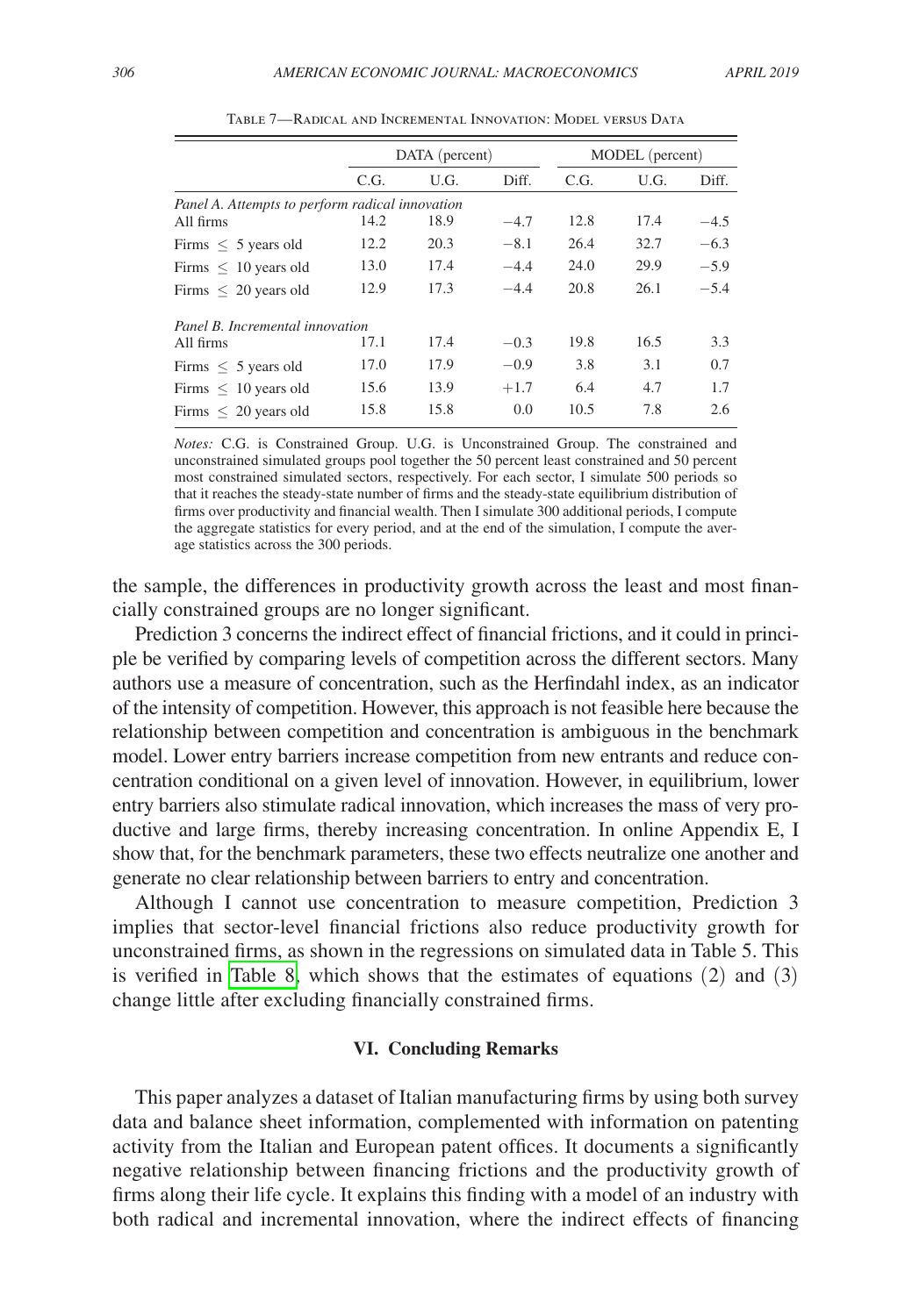<span id="page-31-0"></span>

|                                                 |      | DATA (percent) |        |      | MODEL (percent) |        |
|-------------------------------------------------|------|----------------|--------|------|-----------------|--------|
|                                                 | C.G. | U.G.           | Diff.  | C.G. | U.G.            | Diff.  |
| Panel A. Attempts to perform radical innovation |      |                |        |      |                 |        |
| All firms                                       | 14.2 | 18.9           | $-4.7$ | 12.8 | 17.4            | $-4.5$ |
| Firms $\leq 5$ years old                        | 12.2 | 20.3           | $-8.1$ | 26.4 | 32.7            | $-6.3$ |
| Firms $\leq 10$ years old                       | 13.0 | 17.4           | $-4.4$ | 24.0 | 29.9            | $-5.9$ |
| Firms $\leq 20$ years old                       | 12.9 | 17.3           | $-4.4$ | 20.8 | 26.1            | $-5.4$ |
| Panel B. Incremental innovation                 |      |                |        |      |                 |        |
| All firms                                       | 17.1 | 17.4           | $-0.3$ | 19.8 | 16.5            | 3.3    |
| Firms $\leq 5$ years old                        | 17.0 | 17.9           | $-0.9$ | 3.8  | 3.1             | 0.7    |
| Firms $\leq 10$ years old                       | 15.6 | 13.9           | $+1.7$ | 6.4  | 4.7             | 1.7    |
| Firms $\leq 20$ years old                       | 15.8 | 15.8           | 0.0    | 10.5 | 7.8             | 2.6    |

Table 7—Radical and Incremental Innovation: Model versus Data

*Notes:* C.G. is Constrained Group. U.G. is Unconstrained Group. The constrained and unconstrained simulated groups pool together the 50 percent least constrained and 50 percent most constrained simulated sectors, respectively. For each sector, I simulate 500 periods so that it reaches the steady-state number of firms and the steady-state equilibrium distribution of firms over productivity and financial wealth. Then I simulate 300 additional periods, I compute the aggregate statistics for every period, and at the end of the simulation, I compute the average statistics across the 300 periods.

the sample, the differences in productivity growth across the least and most financially constrained groups are no longer significant.

Prediction 3 concerns the indirect effect of financial frictions, and it could in principle be verified by comparing levels of competition across the different sectors. Many authors use a measure of concentration, such as the Herfindahl index, as an indicator of the intensity of competition. However, this approach is not feasible here because the relationship between competition and concentration is ambiguous in the benchmark model. Lower entry barriers increase competition from new entrants and reduce concentration conditional on a given level of innovation. However, in equilibrium, lower entry barriers also stimulate radical innovation, which increases the mass of very productive and large firms, thereby increasing concentration. In online Appendix E, I show that, for the benchmark parameters, these two effects neutralize one another and generate no clear relationship between barriers to entry and concentration.

Although I cannot use concentration to measure competition, Prediction 3 implies that sector-level financial frictions also reduce productivity growth for unconstrained firms, as shown in the regressions on simulated data in Table 5. This is verified in Table 8, which shows that the estimates of equations  $(2)$  and  $(3)$ change little after excluding financially constrained firms.

# **VI. Concluding Remarks**

This paper analyzes a dataset of Italian manufacturing firms by using both survey data and balance sheet information, complemented with information on patenting activity from the Italian and European patent offices. It documents a significantly negative relationship between financing frictions and the productivity growth of firms along their life cycle. It explains this finding with a model of an industry with both radical and incremental innovation, where the indirect effects of financing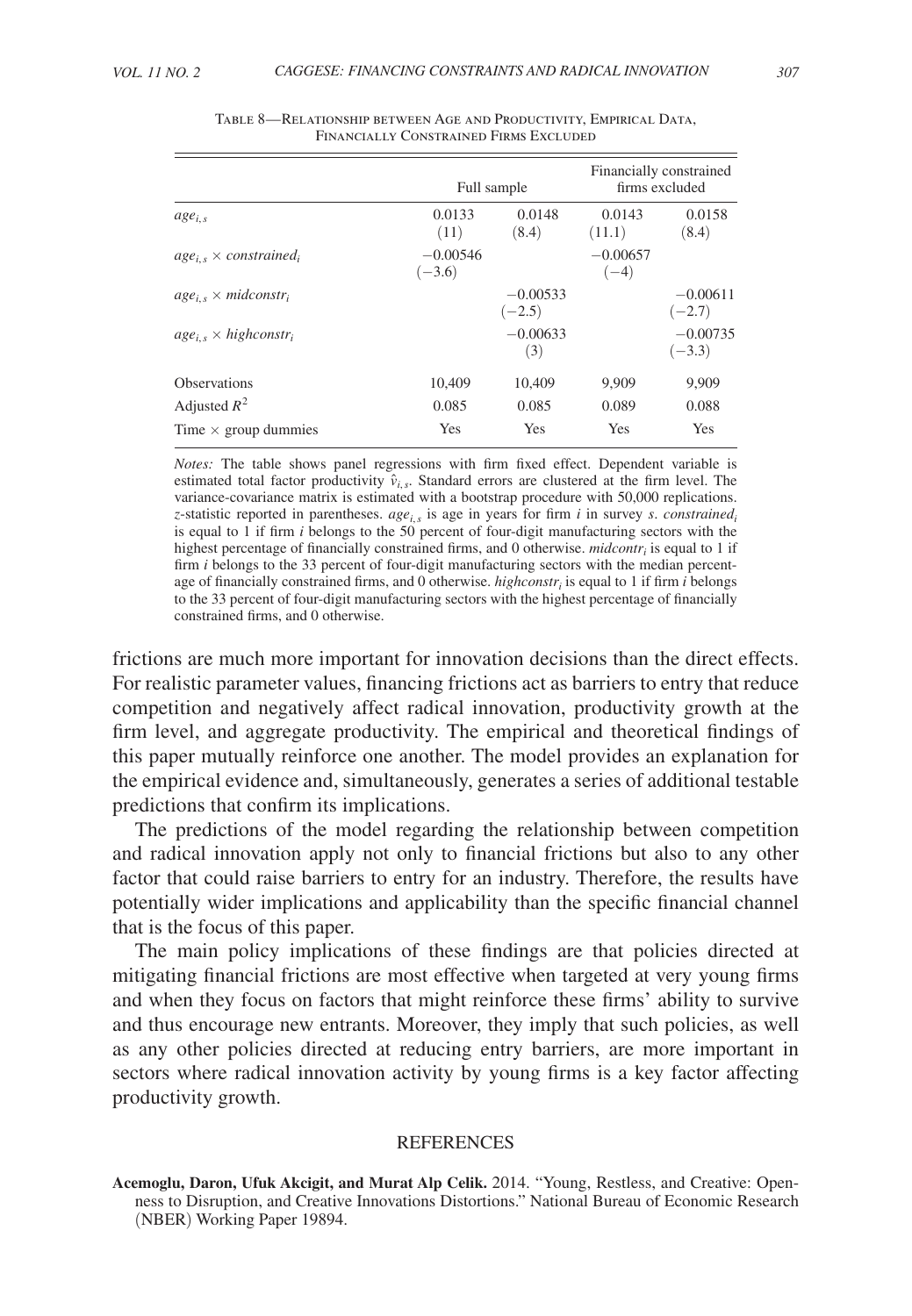<span id="page-32-0"></span>

|                                 | Full sample            | Financially constrained<br>firms excluded |                      |                        |
|---------------------------------|------------------------|-------------------------------------------|----------------------|------------------------|
| $age_{i,s}$                     | 0.0133<br>(11)         | 0.0148<br>(8.4)                           | 0.0143<br>(11.1)     | 0.0158<br>(8.4)        |
| $age_i$ , $\times$ constrained; | $-0.00546$<br>$(-3.6)$ |                                           | $-0.00657$<br>$(-4)$ |                        |
| $age_{i.s} \times midconstr_i$  |                        | $-0.00533$<br>$(-2.5)$                    |                      | $-0.00611$<br>$(-2.7)$ |
| $age_i \times highconstr_i$     |                        | $-0.00633$<br>(3)                         |                      | $-0.00735$<br>$(-3.3)$ |
| <b>Observations</b>             | 10.409                 | 10.409                                    | 9.909                | 9,909                  |
| Adjusted $R^2$                  | 0.085                  | 0.085                                     | 0.089                | 0.088                  |
| Time $\times$ group dummies     | Yes                    | Yes                                       | Yes                  | Yes                    |

| TABLE 8—RELATIONSHIP BETWEEN AGE AND PRODUCTIVITY, EMPIRICAL DATA. |
|--------------------------------------------------------------------|
| FINANCIALLY CONSTRAINED FIRMS EXCLUDED                             |

*Notes:* The table shows panel regressions with firm fixed effect. Dependent variable is estimated total factor productivity  $\hat{v}_{i,s}$ . Standard errors are clustered at the firm level. The variance-covariance matrix is estimated with a bootstrap procedure with 50,000 replications. *z*-statistic reported in parentheses.  $age_{i,s}$  is age in years for firm *i* in survey *s*. *constrained<sub>i</sub>* is equal to 1 if firm *i* belongs to the 50 percent of four-digit manufacturing sectors with the highest percentage of financially constrained firms, and 0 otherwise. *midcontr<sub>i</sub>* is equal to 1 if firm *i* belongs to the 33 percent of four-digit manufacturing sectors with the median percentage of financially constrained firms, and 0 otherwise. *highconstr<sub>i</sub>* is equal to 1 if firm *i* belongs to the 33 percent of four-digit manufacturing sectors with the highest percentage of financially constrained firms, and 0 otherwise.

frictions are much more important for innovation decisions than the direct effects. For realistic parameter values, financing frictions act as barriers to entry that reduce competition and negatively affect radical innovation, productivity growth at the firm level, and aggregate productivity. The empirical and theoretical findings of this paper mutually reinforce one another. The model provides an explanation for the empirical evidence and, simultaneously, generates a series of additional testable predictions that confirm its implications.

The predictions of the model regarding the relationship between competition and radical innovation apply not only to financial frictions but also to any other factor that could raise barriers to entry for an industry. Therefore, the results have potentially wider implications and applicability than the specific financial channel that is the focus of this paper.

The main policy implications of these findings are that policies directed at mitigating financial frictions are most effective when targeted at very young firms and when they focus on factors that might reinforce these firms' ability to survive and thus encourage new entrants. Moreover, they imply that such policies, as well as any other policies directed at reducing entry barriers, are more important in sectors where radical innovation activity by young firms is a key factor affecting productivity growth.

#### **REFERENCES**

**Acemoglu, Daron, Ufuk Akcigit, and Murat Alp Celik.** 2014. "Young, Restless, and Creative: Openness to Disruption, and Creative Innovations Distortions." National Bureau of Economic Research (NBER) Working Paper 19894.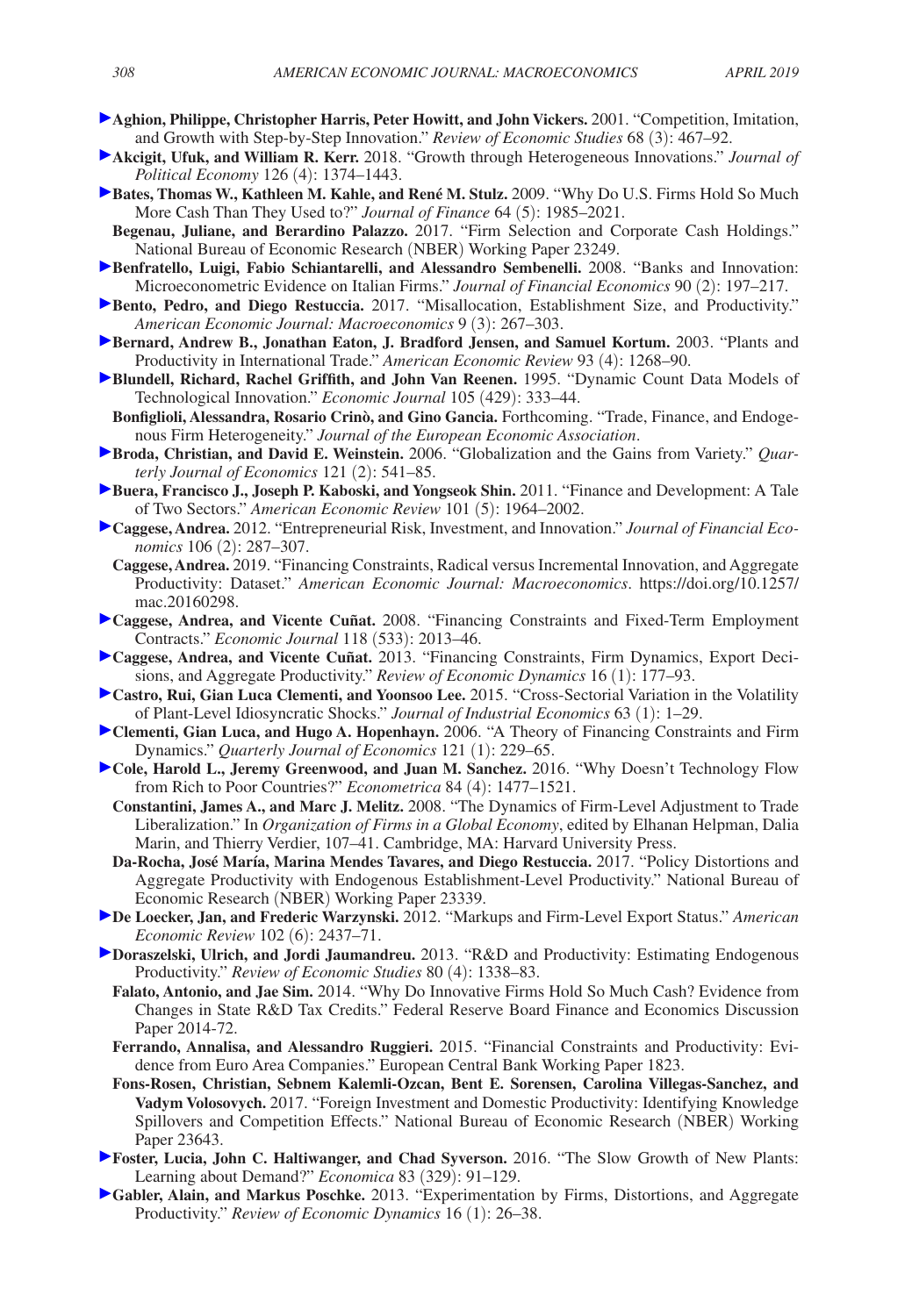- **Aghion, Philippe, Christopher Harris, Peter Howitt, and John Vickers.** 2001. "Competition, Imitation, and Growth with Step-by-Step Innovation." *Review of Economic Studies* 68 (3): 467–92.
- **Akcigit, Ufuk, and William R. Kerr.** 2018. "Growth through Heterogeneous Innovations." *Journal of Political Economy* 126 (4): 1374–1443.
- **Bates, Thomas W., Kathleen M. Kahle, and René M. Stulz.** 2009. "Why Do U.S. Firms Hold So Much More Cash Than They Used to?" *Journal of Finance* 64 (5): 1985–2021.
- **Begenau, Juliane, and Berardino Palazzo.** 2017. "Firm Selection and Corporate Cash Holdings." National Bureau of Economic Research (NBER) Working Paper 23249.
- **Benfratello, Luigi, Fabio Schiantarelli, and Alessandro Sembenelli.** 2008. "Banks and Innovation: Microeconometric Evidence on Italian Firms." *Journal of Financial Economics* 90 (2): 197–217.
- **Bento, Pedro, and Diego Restuccia.** 2017. "Misallocation, Establishment Size, and Productivity." *American Economic Journal: Macroeconomics* 9 (3): 267–303.
- **Bernard, Andrew B., Jonathan Eaton, J. Bradford Jensen, and Samuel Kortum.** 2003. "Plants and Productivity in International Trade." *American Economic Review* 93 (4): 1268–90.
- **Blundell, Richard, Rachel Griffith, and John Van Reenen.** 1995. "Dynamic Count Data Models of Technological Innovation." *Economic Journal* 105 (429): 333–44.
- **Bonfiglioli, Alessandra, Rosario Crinò, and Gino Gancia.** Forthcoming. "Trade, Finance, and Endogenous Firm Heterogeneity." *Journal of the European Economic Association*.
- **Broda, Christian, and David E. Weinstein.** 2006. "Globalization and the Gains from Variety." *Quarterly Journal of Economics* 121 (2): 541–85.
- **Buera, Francisco J., Joseph P. Kaboski, and Yongseok Shin.** 2011. "Finance and Development: A Tale of Two Sectors." *American Economic Review* 101 (5): 1964–2002.
- **Caggese, Andrea.** 2012. "Entrepreneurial Risk, Investment, and Innovation." *Journal of Financial Economics* 106 (2): 287–307.
- **Caggese, Andrea.** 2019. "Financing Constraints, Radical versus Incremental Innovation, and Aggregate Productivity: Dataset." *American Economic Journal: Macroeconomics*. https://doi.org/10.1257/ mac.20160298.
- **Caggese, Andrea, and Vicente Cuñat.** 2008. "Financing Constraints and Fixed-Term Employment Contracts." *Economic Journal* 118 (533): 2013–46.
- **Caggese, Andrea, and Vicente Cuñat.** 2013. "Financing Constraints, Firm Dynamics, Export Decisions, and Aggregate Productivity." *Review of Economic Dynamics* 16 (1): 177–93.
- **Castro, Rui, Gian Luca Clementi, and Yoonsoo Lee.** 2015. "Cross-Sectorial Variation in the Volatility of Plant-Level Idiosyncratic Shocks." *Journal of Industrial Economics* 63 (1): 1–29.
- **Clementi, Gian Luca, and Hugo A. Hopenhayn.** 2006. "A Theory of Financing Constraints and Firm Dynamics." *Quarterly Journal of Economics* 121 (1): 229–65.
- **Cole, Harold L., Jeremy Greenwood, and Juan M. Sanchez.** 2016. "Why Doesn't Technology Flow from Rich to Poor Countries?" *Econometrica* 84 (4): 1477–1521.
	- **Constantini, James A., and Marc J. Melitz.** 2008. "The Dynamics of Firm-Level Adjustment to Trade Liberalization." In *Organization of Firms in a Global Economy*, edited by Elhanan Helpman, Dalia Marin, and Thierry Verdier, 107–41. Cambridge, MA: Harvard University Press.
	- **Da-Rocha, José María, Marina Mendes Tavares, and Diego Restuccia.** 2017. "Policy Distortions and Aggregate Productivity with Endogenous Establishment-Level Productivity." National Bureau of Economic Research (NBER) Working Paper 23339.
- **De Loecker, Jan, and Frederic Warzynski.** 2012. "Markups and Firm-Level Export Status." *American Economic Review* 102 (6): 2437–71.
- **Doraszelski, Ulrich, and Jordi Jaumandreu.** 2013. "R&D and Productivity: Estimating Endogenous Productivity." *Review of Economic Studies* 80 (4): 1338–83.
	- **Falato, Antonio, and Jae Sim.** 2014. "Why Do Innovative Firms Hold So Much Cash? Evidence from Changes in State R&D Tax Credits." Federal Reserve Board Finance and Economics Discussion Paper 2014-72.
	- **Ferrando, Annalisa, and Alessandro Ruggieri.** 2015. "Financial Constraints and Productivity: Evidence from Euro Area Companies." European Central Bank Working Paper 1823.
	- **Fons-Rosen, Christian, Sebnem Kalemli-Ozcan, Bent E. Sorensen, Carolina Villegas-Sanchez, and Vadym Volosovych.** 2017. "Foreign Investment and Domestic Productivity: Identifying Knowledge Spillovers and Competition Effects." National Bureau of Economic Research (NBER) Working Paper 23643.
- **Foster, Lucia, John C. Haltiwanger, and Chad Syverson.** 2016. "The Slow Growth of New Plants: Learning about Demand?" *Economica* 83 (329): 91–129.
- **Gabler, Alain, and Markus Poschke.** 2013. "Experimentation by Firms, Distortions, and Aggregate Productivity." *Review of Economic Dynamics* 16 (1): 26–38.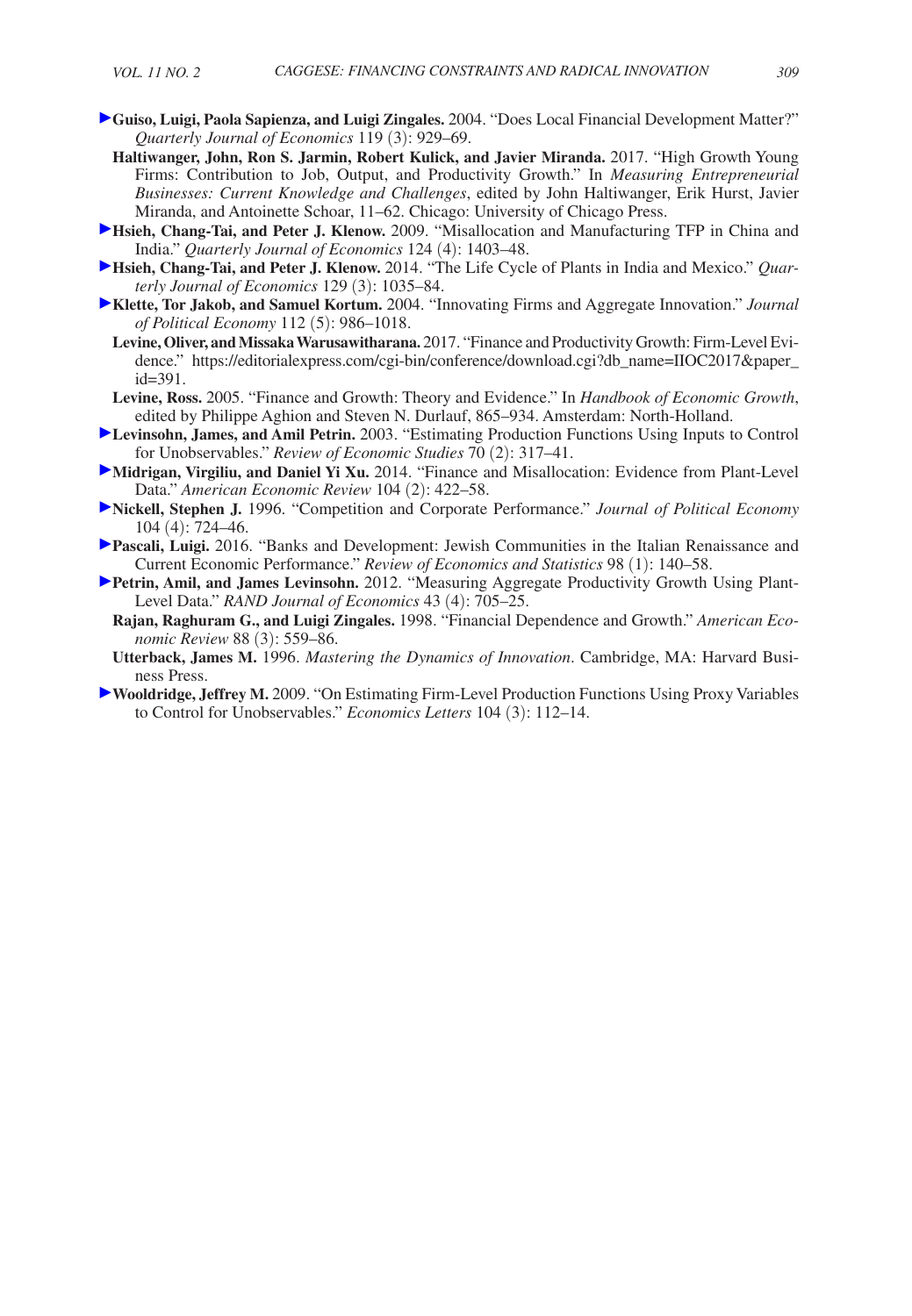- **Guiso, Luigi, Paola Sapienza, and Luigi Zingales.** 2004. "Does Local Financial Development Matter?" *Quarterly Journal of Economics* 119 (3): 929–69.
	- **Haltiwanger, John, Ron S. Jarmin, Robert Kulick, and Javier Miranda.** 2017. "High Growth Young Firms: Contribution to Job, Output, and Productivity Growth." In *Measuring Entrepreneurial Businesses: Current Knowledge and Challenges*, edited by John Haltiwanger, Erik Hurst, Javier Miranda, and Antoinette Schoar, 11–62. Chicago: University of Chicago Press.
- **Hsieh, Chang-Tai, and Peter J. Klenow.** 2009. "Misallocation and Manufacturing TFP in China and India." *Quarterly Journal of Economics* 124 (4): 1403–48.
- **Hsieh, Chang-Tai, and Peter J. Klenow.** 2014. "The Life Cycle of Plants in India and Mexico." *Quarterly Journal of Economics* 129 (3): 1035–84.
- **Klette, Tor Jakob, and Samuel Kortum.** 2004. "Innovating Firms and Aggregate Innovation." *Journal of Political Economy* 112 (5): 986–1018.
- **Levine, Oliver, and Missaka Warusawitharana.** 2017. "Finance and Productivity Growth: Firm-Level Evi[dence." https://editorialexpress.com/cgi-bin/conference/download.cgi?db\\_name=IIOC2017&paper\\_](https://editorialexpress.com/cgi-bin/conference/download.cgi?db_name=IIOC2017&paper_id=391) id=391.
- **Levine, Ross.** 2005. "Finance and Growth: Theory and Evidence." In *Handbook of Economic Growth*, edited by Philippe Aghion and Steven N. Durlauf, 865–934. Amsterdam: North-Holland.
- **Levinsohn, James, and Amil Petrin.** 2003. "Estimating Production Functions Using Inputs to Control for Unobservables." *Review of Economic Studies* 70 (2): 317–41.
- **Midrigan, Virgiliu, and Daniel Yi Xu.** 2014. "Finance and Misallocation: Evidence from Plant-Level Data." *American Economic Review* 104 (2): 422–58.
- **Nickell, Stephen J.** 1996. "Competition and Corporate Performance." *Journal of Political Economy* 104 (4): 724–46.
- **Pascali, Luigi.** 2016. "Banks and Development: Jewish Communities in the Italian Renaissance and Current Economic Performance." *Review of Economics and Statistics* 98 (1): 140–58.
- **Petrin, Amil, and James Levinsohn.** 2012. "Measuring Aggregate Productivity Growth Using Plant-Level Data." *RAND Journal of Economics* 43 (4): 705–25.
- **Rajan, Raghuram G., and Luigi Zingales.** 1998. "Financial Dependence and Growth." *American Economic Review* 88 (3): 559–86.
- **Utterback, James M.** 1996. *Mastering the Dynamics of Innovation*. Cambridge, MA: Harvard Business Press.
- **Wooldridge, Jeffrey M.** 2009. "On Estimating Firm-Level Production Functions Using Proxy Variables to Control for Unobservables." *Economics Letters* 104 (3): 112–14.